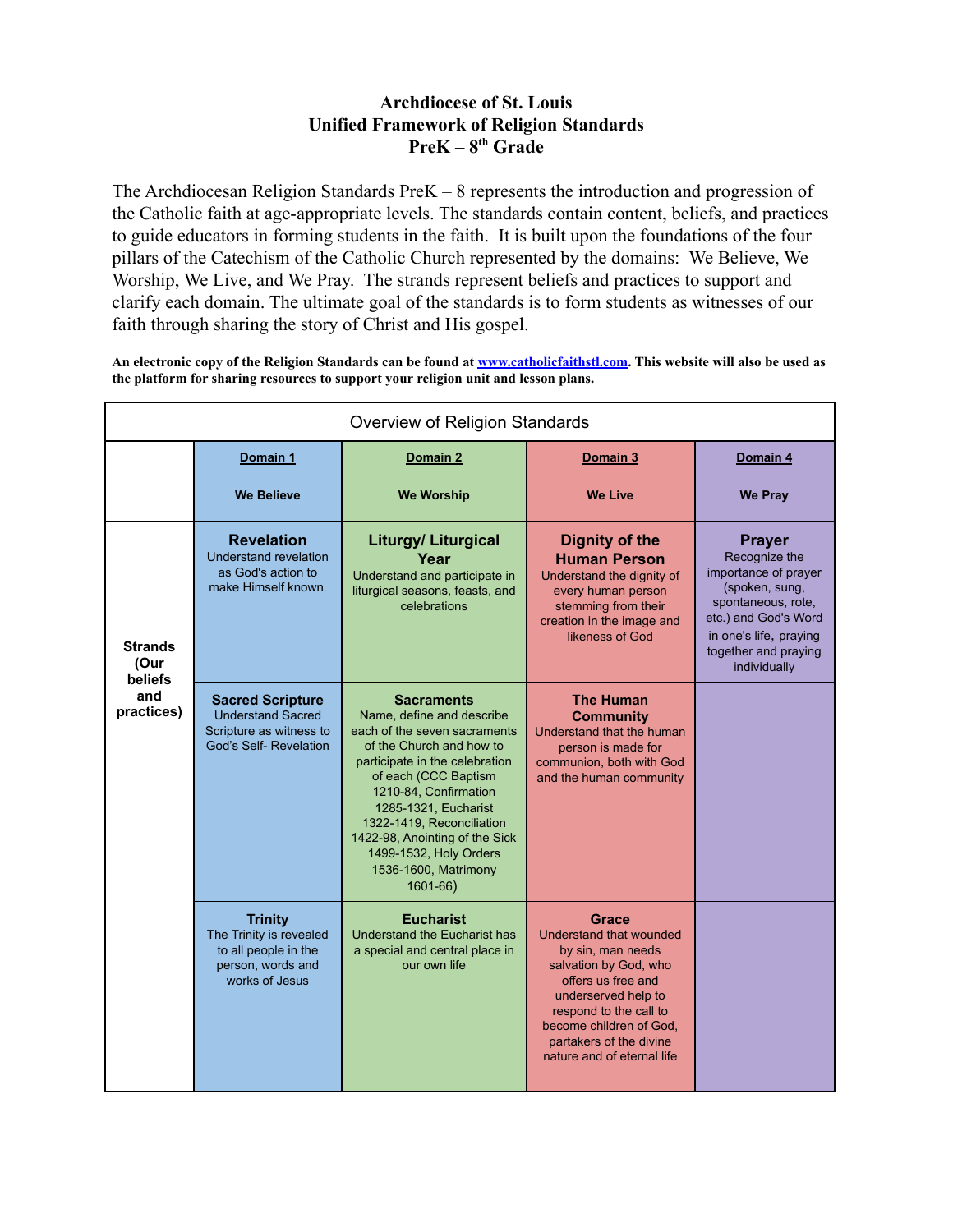## **Archdiocese of St. Louis Unified Framework of Religion Standards PreK – 8th Grade**

The Archdiocesan Religion Standards PreK – 8 represents the introduction and progression of the Catholic faith at age-appropriate levels. The standards contain content, beliefs, and practices to guide educators in forming students in the faith. It is built upon the foundations of the four pillars of the Catechism of the Catholic Church represented by the domains: We Believe, We Worship, We Live, and We Pray. The strands represent beliefs and practices to support and clarify each domain. The ultimate goal of the standards is to form students as witnesses of our faith through sharing the story of Christ and His gospel.

**An electronic copy of the Religion Standards can be found at [www.catholicfaithstl.com.](http://www.catholicfaithstl.com/) This website will also be used as the platform for sharing resources to support your religion unit and lesson plans.**

| Overview of Religion Standards           |                                                                                                          |                                                                                                                                                                                                                                                                                                                                                     |                                                                                                                                                                                                                                           |                                                                                                                                                                                          |
|------------------------------------------|----------------------------------------------------------------------------------------------------------|-----------------------------------------------------------------------------------------------------------------------------------------------------------------------------------------------------------------------------------------------------------------------------------------------------------------------------------------------------|-------------------------------------------------------------------------------------------------------------------------------------------------------------------------------------------------------------------------------------------|------------------------------------------------------------------------------------------------------------------------------------------------------------------------------------------|
|                                          | Domain 1                                                                                                 | Domain 2                                                                                                                                                                                                                                                                                                                                            | Domain 3                                                                                                                                                                                                                                  | Domain 4                                                                                                                                                                                 |
|                                          | <b>We Believe</b>                                                                                        | <b>We Worship</b>                                                                                                                                                                                                                                                                                                                                   | <b>We Live</b>                                                                                                                                                                                                                            | <b>We Pray</b>                                                                                                                                                                           |
| <b>Strands</b><br>(Our<br><b>beliefs</b> | <b>Revelation</b><br>Understand revelation<br>as God's action to<br>make Himself known.                  | Liturgy/ Liturgical<br>Year<br>Understand and participate in<br>liturgical seasons, feasts, and<br>celebrations                                                                                                                                                                                                                                     | <b>Dignity of the</b><br><b>Human Person</b><br>Understand the dignity of<br>every human person<br>stemming from their<br>creation in the image and<br>likeness of God                                                                    | <b>Prayer</b><br>Recognize the<br>importance of prayer<br>(spoken, sung,<br>spontaneous, rote,<br>etc.) and God's Word<br>in one's life, praying<br>together and praying<br>individually |
| and<br>practices)                        | <b>Sacred Scripture</b><br><b>Understand Sacred</b><br>Scripture as witness to<br>God's Self- Revelation | <b>Sacraments</b><br>Name, define and describe<br>each of the seven sacraments<br>of the Church and how to<br>participate in the celebration<br>of each (CCC Baptism<br>1210-84, Confirmation<br>1285-1321, Eucharist<br>1322-1419, Reconciliation<br>1422-98, Anointing of the Sick<br>1499-1532, Holy Orders<br>1536-1600, Matrimony<br>$1601-66$ | <b>The Human</b><br><b>Community</b><br>Understand that the human<br>person is made for<br>communion, both with God<br>and the human community                                                                                            |                                                                                                                                                                                          |
|                                          | <b>Trinity</b><br>The Trinity is revealed<br>to all people in the<br>person, words and<br>works of Jesus | <b>Eucharist</b><br><b>Understand the Eucharist has</b><br>a special and central place in<br>our own life                                                                                                                                                                                                                                           | Grace<br>Understand that wounded<br>by sin, man needs<br>salvation by God, who<br>offers us free and<br>underserved help to<br>respond to the call to<br>become children of God.<br>partakers of the divine<br>nature and of eternal life |                                                                                                                                                                                          |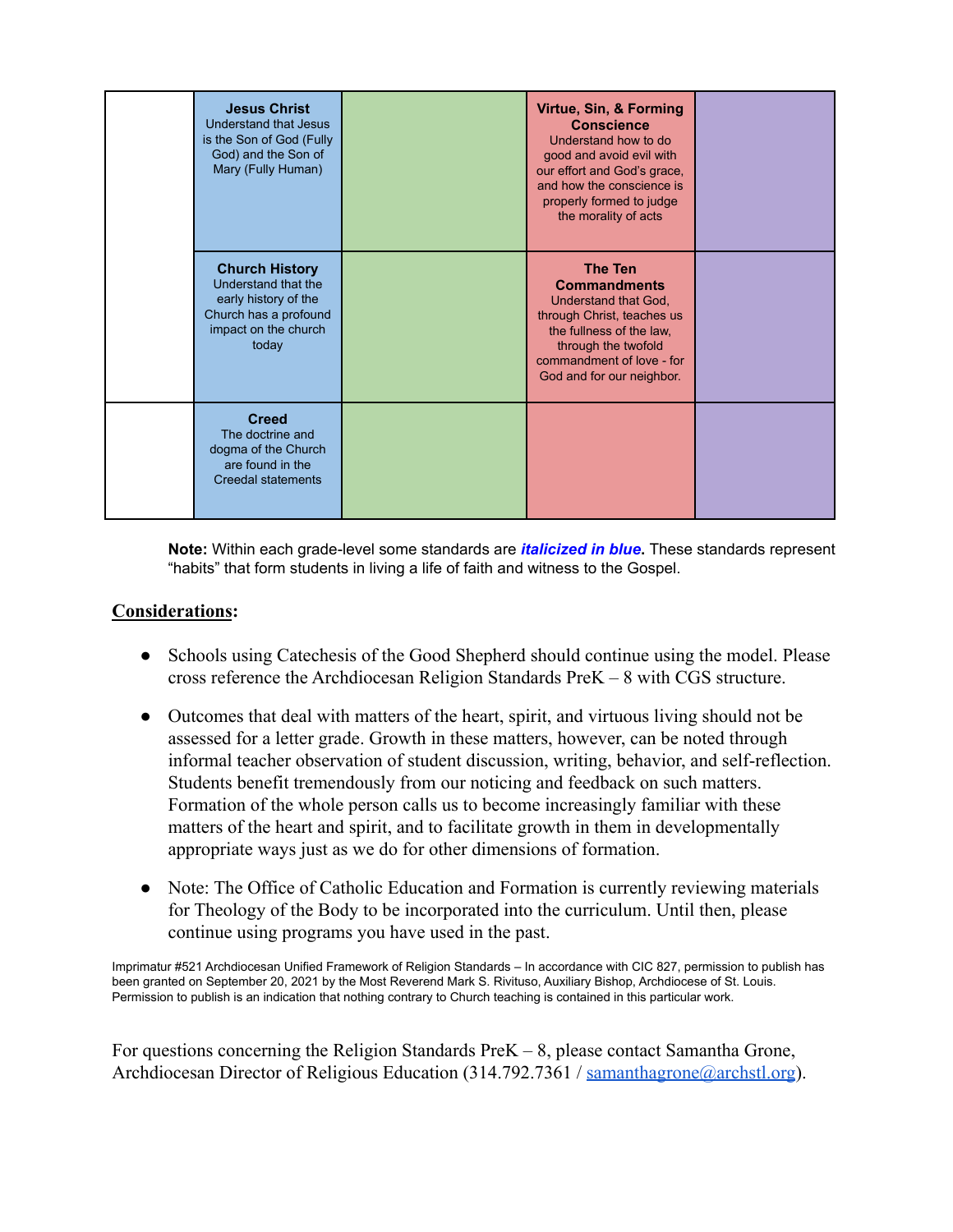| <b>Jesus Christ</b><br>Understand that Jesus<br>is the Son of God (Fully<br>God) and the Son of<br>Mary (Fully Human)          | Virtue, Sin, & Forming<br><b>Conscience</b><br>Understand how to do<br>good and avoid evil with<br>our effort and God's grace,<br>and how the conscience is<br>properly formed to judge<br>the morality of acts |  |
|--------------------------------------------------------------------------------------------------------------------------------|-----------------------------------------------------------------------------------------------------------------------------------------------------------------------------------------------------------------|--|
| <b>Church History</b><br>Understand that the<br>early history of the<br>Church has a profound<br>impact on the church<br>today | The Ten<br><b>Commandments</b><br>Understand that God.<br>through Christ, teaches us<br>the fullness of the law,<br>through the twofold<br>commandment of love - for<br>God and for our neighbor.               |  |
| <b>Creed</b><br>The doctrine and<br>dogma of the Church<br>are found in the<br>Creedal statements                              |                                                                                                                                                                                                                 |  |

**Note:** Within each grade-level some standards are *italicized in blue***.** These standards represent "habits" that form students in living a life of faith and witness to the Gospel.

## **Considerations:**

- Schools using Catechesis of the Good Shepherd should continue using the model. Please cross reference the Archdiocesan Religion Standards PreK – 8 with CGS structure.
- Outcomes that deal with matters of the heart, spirit, and virtuous living should not be assessed for a letter grade. Growth in these matters, however, can be noted through informal teacher observation of student discussion, writing, behavior, and self-reflection. Students benefit tremendously from our noticing and feedback on such matters. Formation of the whole person calls us to become increasingly familiar with these matters of the heart and spirit, and to facilitate growth in them in developmentally appropriate ways just as we do for other dimensions of formation.
- Note: The Office of Catholic Education and Formation is currently reviewing materials for Theology of the Body to be incorporated into the curriculum. Until then, please continue using programs you have used in the past.

Imprimatur #521 Archdiocesan Unified Framework of Religion Standards - In accordance with CIC 827, permission to publish has been granted on September 20, 2021 by the Most Reverend Mark S. Rivituso, Auxiliary Bishop, Archdiocese of St. Louis. Permission to publish is an indication that nothing contrary to Church teaching is contained in this particular work.

For questions concerning the Religion Standards PreK – 8, please contact Samantha Grone, Archdiocesan Director of Religious Education (314.792.7361 / [samanthagrone@archstl.org](mailto:samanthagrone@archstl.org)).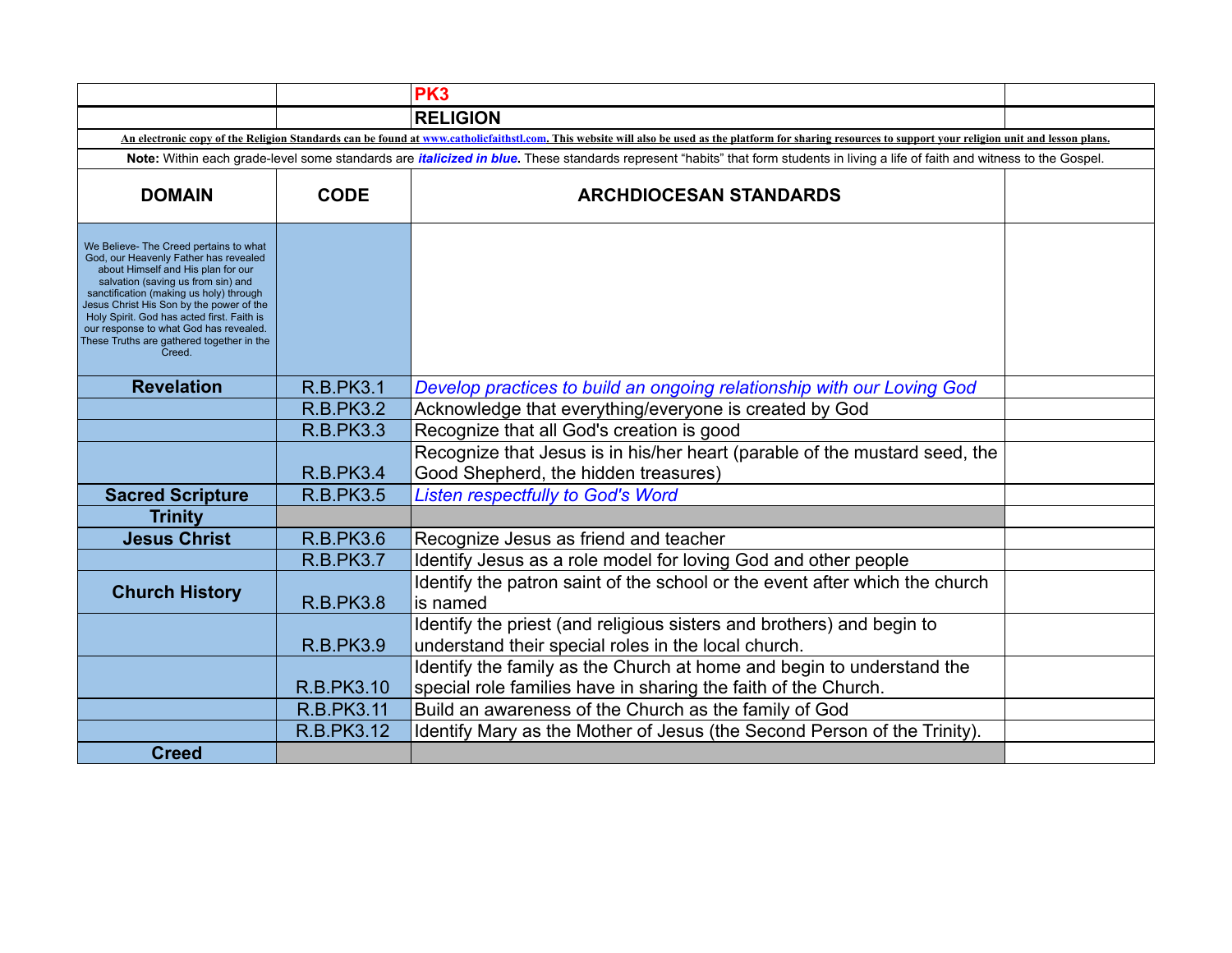|                                                                                                                                                                                                                                                                                                                                                                                                   |                   | PK <sub>3</sub>                                                                                                                                                                                             |  |
|---------------------------------------------------------------------------------------------------------------------------------------------------------------------------------------------------------------------------------------------------------------------------------------------------------------------------------------------------------------------------------------------------|-------------------|-------------------------------------------------------------------------------------------------------------------------------------------------------------------------------------------------------------|--|
|                                                                                                                                                                                                                                                                                                                                                                                                   |                   | <b>RELIGION</b>                                                                                                                                                                                             |  |
|                                                                                                                                                                                                                                                                                                                                                                                                   |                   | An electronic copy of the Religion Standards can be found at www.catholicfaithstl.com. This website will also be used as the platform for sharing resources to support your religion unit and lesson plans. |  |
|                                                                                                                                                                                                                                                                                                                                                                                                   |                   | Note: Within each grade-level some standards are <i>italicized in blue</i> . These standards represent "habits" that form students in living a life of faith and witness to the Gospel.                     |  |
| <b>DOMAIN</b>                                                                                                                                                                                                                                                                                                                                                                                     | <b>CODE</b>       | <b>ARCHDIOCESAN STANDARDS</b>                                                                                                                                                                               |  |
| We Believe- The Creed pertains to what<br>God, our Heavenly Father has revealed<br>about Himself and His plan for our<br>salvation (saving us from sin) and<br>sanctification (making us holy) through<br>Jesus Christ His Son by the power of the<br>Holy Spirit. God has acted first. Faith is<br>our response to what God has revealed.<br>These Truths are gathered together in the<br>Creed. |                   |                                                                                                                                                                                                             |  |
| <b>Revelation</b>                                                                                                                                                                                                                                                                                                                                                                                 | <b>R.B.PK3.1</b>  | Develop practices to build an ongoing relationship with our Loving God                                                                                                                                      |  |
|                                                                                                                                                                                                                                                                                                                                                                                                   | <b>R.B.PK3.2</b>  | Acknowledge that everything/everyone is created by God                                                                                                                                                      |  |
|                                                                                                                                                                                                                                                                                                                                                                                                   | <b>R.B.PK3.3</b>  | Recognize that all God's creation is good                                                                                                                                                                   |  |
|                                                                                                                                                                                                                                                                                                                                                                                                   | <b>R.B.PK3.4</b>  | Recognize that Jesus is in his/her heart (parable of the mustard seed, the<br>Good Shepherd, the hidden treasures)                                                                                          |  |
| <b>Sacred Scripture</b>                                                                                                                                                                                                                                                                                                                                                                           | <b>R.B.PK3.5</b>  | <b>Listen respectfully to God's Word</b>                                                                                                                                                                    |  |
| <b>Trinity</b>                                                                                                                                                                                                                                                                                                                                                                                    |                   |                                                                                                                                                                                                             |  |
| <b>Jesus Christ</b>                                                                                                                                                                                                                                                                                                                                                                               | <b>R.B.PK3.6</b>  | Recognize Jesus as friend and teacher                                                                                                                                                                       |  |
|                                                                                                                                                                                                                                                                                                                                                                                                   | <b>R.B.PK3.7</b>  | Identify Jesus as a role model for loving God and other people                                                                                                                                              |  |
| <b>Church History</b>                                                                                                                                                                                                                                                                                                                                                                             | <b>R.B.PK3.8</b>  | Identify the patron saint of the school or the event after which the church<br>is named                                                                                                                     |  |
|                                                                                                                                                                                                                                                                                                                                                                                                   | <b>R.B.PK3.9</b>  | Identify the priest (and religious sisters and brothers) and begin to<br>understand their special roles in the local church.                                                                                |  |
|                                                                                                                                                                                                                                                                                                                                                                                                   | R.B.PK3.10        | Identify the family as the Church at home and begin to understand the<br>special role families have in sharing the faith of the Church.                                                                     |  |
|                                                                                                                                                                                                                                                                                                                                                                                                   | <b>R.B.PK3.11</b> | Build an awareness of the Church as the family of God                                                                                                                                                       |  |
|                                                                                                                                                                                                                                                                                                                                                                                                   | R.B.PK3.12        | Identify Mary as the Mother of Jesus (the Second Person of the Trinity).                                                                                                                                    |  |
| <b>Creed</b>                                                                                                                                                                                                                                                                                                                                                                                      |                   |                                                                                                                                                                                                             |  |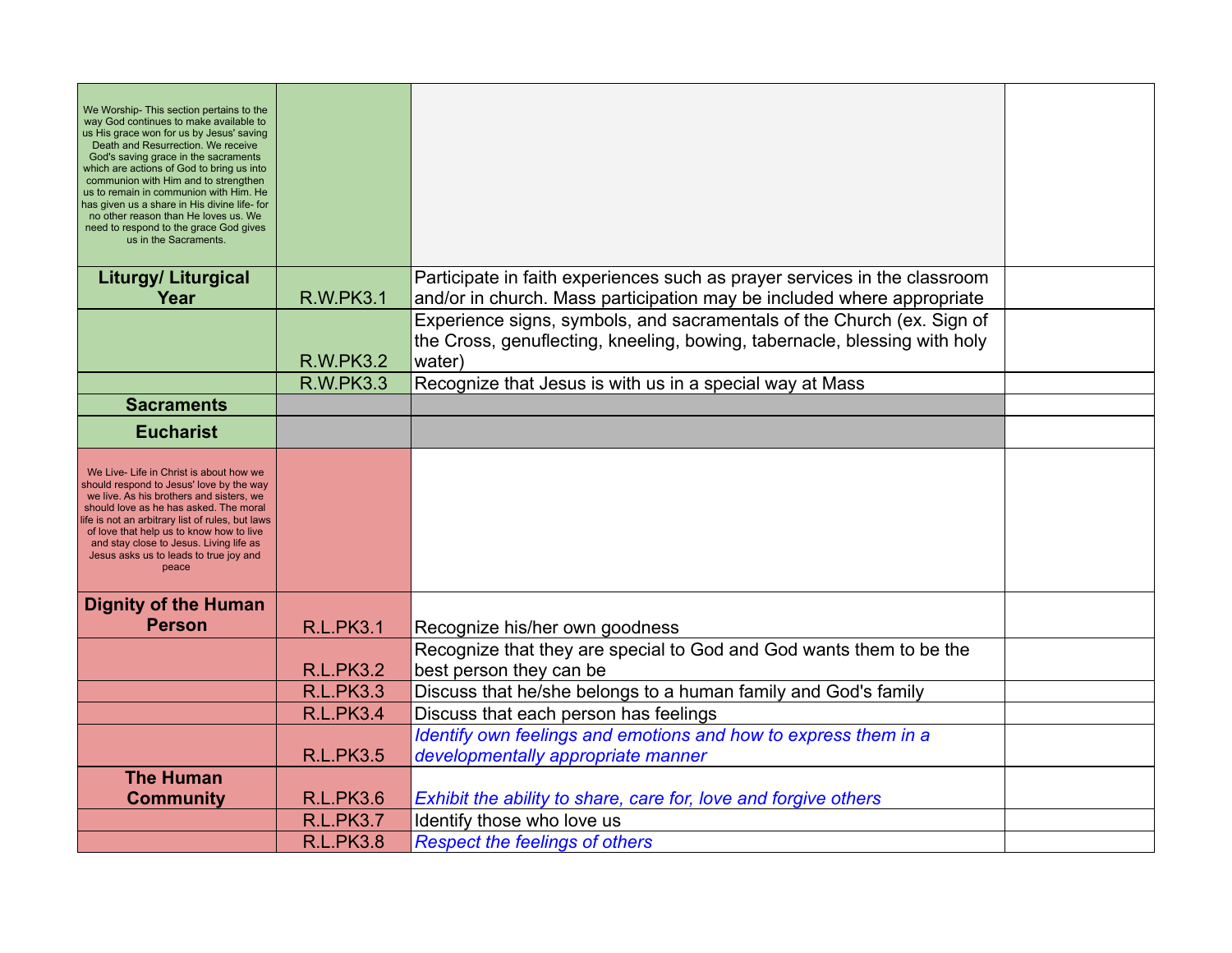| We Worship-This section pertains to the<br>way God continues to make available to<br>us His grace won for us by Jesus' saving<br>Death and Resurrection. We receive<br>God's saving grace in the sacraments<br>which are actions of God to bring us into<br>communion with Him and to strengthen<br>us to remain in communion with Him. He<br>has given us a share in His divine life- for<br>no other reason than He loves us. We<br>need to respond to the grace God gives<br>us in the Sacraments. |                  |                                                                                                                                                               |  |
|-------------------------------------------------------------------------------------------------------------------------------------------------------------------------------------------------------------------------------------------------------------------------------------------------------------------------------------------------------------------------------------------------------------------------------------------------------------------------------------------------------|------------------|---------------------------------------------------------------------------------------------------------------------------------------------------------------|--|
| <b>Liturgy/ Liturgical</b><br>Year                                                                                                                                                                                                                                                                                                                                                                                                                                                                    | <b>R.W.PK3.1</b> | Participate in faith experiences such as prayer services in the classroom<br>and/or in church. Mass participation may be included where appropriate           |  |
|                                                                                                                                                                                                                                                                                                                                                                                                                                                                                                       | <b>R.W.PK3.2</b> | Experience signs, symbols, and sacramentals of the Church (ex. Sign of<br>the Cross, genuflecting, kneeling, bowing, tabernacle, blessing with holy<br>water) |  |
|                                                                                                                                                                                                                                                                                                                                                                                                                                                                                                       | <b>R.W.PK3.3</b> | Recognize that Jesus is with us in a special way at Mass                                                                                                      |  |
| <b>Sacraments</b>                                                                                                                                                                                                                                                                                                                                                                                                                                                                                     |                  |                                                                                                                                                               |  |
| <b>Eucharist</b>                                                                                                                                                                                                                                                                                                                                                                                                                                                                                      |                  |                                                                                                                                                               |  |
| We Live- Life in Christ is about how we<br>should respond to Jesus' love by the way<br>we live. As his brothers and sisters, we<br>should love as he has asked. The moral<br>ife is not an arbitrary list of rules, but laws<br>of love that help us to know how to live<br>and stay close to Jesus. Living life as<br>Jesus asks us to leads to true joy and<br>peace                                                                                                                                |                  |                                                                                                                                                               |  |
| <b>Dignity of the Human</b>                                                                                                                                                                                                                                                                                                                                                                                                                                                                           |                  |                                                                                                                                                               |  |
| <b>Person</b>                                                                                                                                                                                                                                                                                                                                                                                                                                                                                         | <b>R.L.PK3.1</b> | Recognize his/her own goodness                                                                                                                                |  |
|                                                                                                                                                                                                                                                                                                                                                                                                                                                                                                       | <b>R.L.PK3.2</b> | Recognize that they are special to God and God wants them to be the<br>best person they can be                                                                |  |
|                                                                                                                                                                                                                                                                                                                                                                                                                                                                                                       | <b>R.L.PK3.3</b> | Discuss that he/she belongs to a human family and God's family                                                                                                |  |
|                                                                                                                                                                                                                                                                                                                                                                                                                                                                                                       | <b>R.L.PK3.4</b> | Discuss that each person has feelings                                                                                                                         |  |
|                                                                                                                                                                                                                                                                                                                                                                                                                                                                                                       | <b>R.L.PK3.5</b> | Identify own feelings and emotions and how to express them in a<br>developmentally appropriate manner                                                         |  |
| <b>The Human</b>                                                                                                                                                                                                                                                                                                                                                                                                                                                                                      |                  |                                                                                                                                                               |  |
| <b>Community</b>                                                                                                                                                                                                                                                                                                                                                                                                                                                                                      | <b>R.L.PK3.6</b> | Exhibit the ability to share, care for, love and forgive others                                                                                               |  |
|                                                                                                                                                                                                                                                                                                                                                                                                                                                                                                       | <b>R.L.PK3.7</b> | Identify those who love us                                                                                                                                    |  |
|                                                                                                                                                                                                                                                                                                                                                                                                                                                                                                       | <b>R.L.PK3.8</b> | <b>Respect the feelings of others</b>                                                                                                                         |  |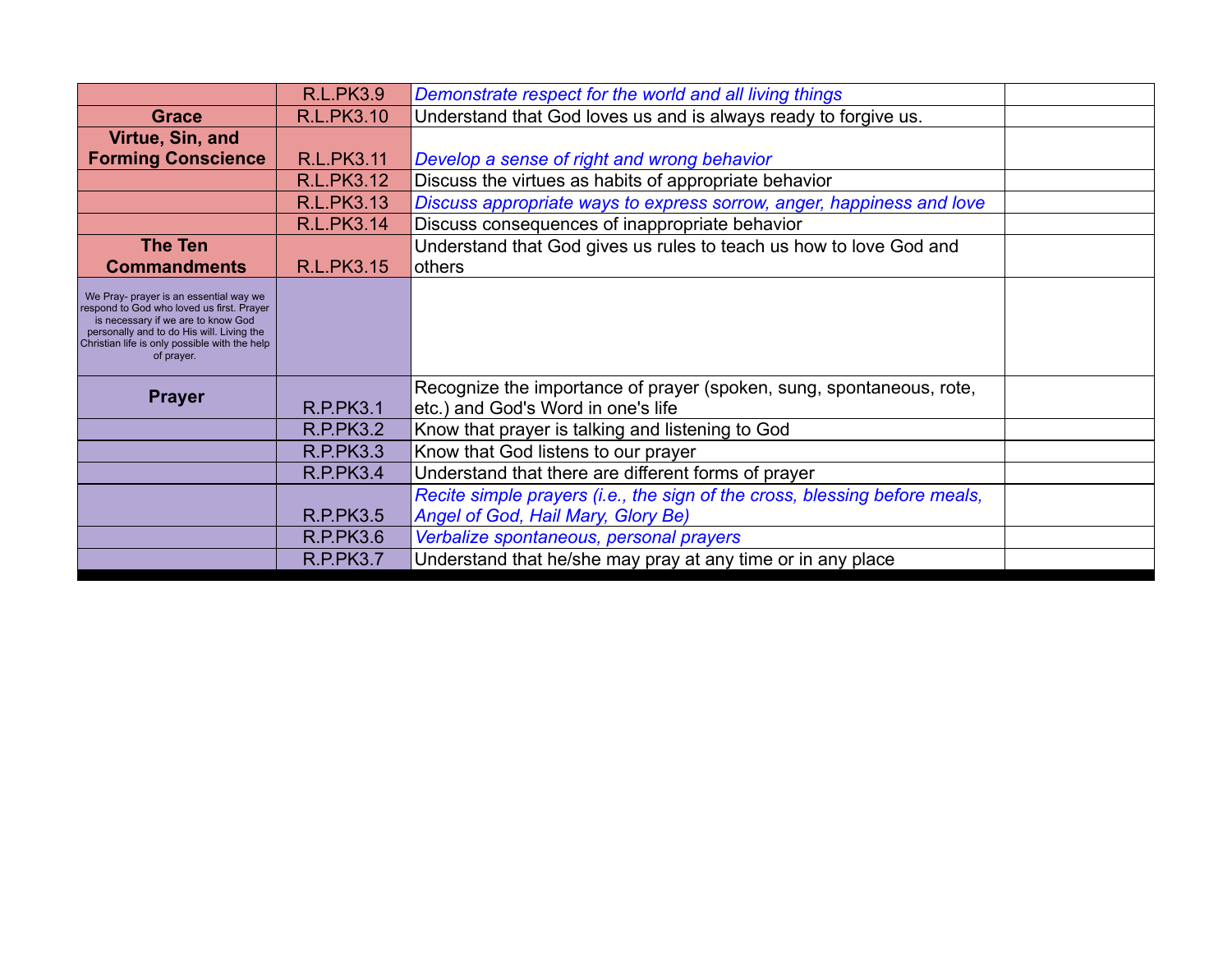|                                                                                                                                                                                                                                       | <b>R.L.PK3.9</b>  | Demonstrate respect for the world and all living things                                                    |  |
|---------------------------------------------------------------------------------------------------------------------------------------------------------------------------------------------------------------------------------------|-------------------|------------------------------------------------------------------------------------------------------------|--|
| <b>Grace</b>                                                                                                                                                                                                                          | R.L.PK3.10        | Understand that God loves us and is always ready to forgive us.                                            |  |
| Virtue, Sin, and                                                                                                                                                                                                                      |                   |                                                                                                            |  |
| <b>Forming Conscience</b>                                                                                                                                                                                                             | <b>R.L.PK3.11</b> | Develop a sense of right and wrong behavior                                                                |  |
|                                                                                                                                                                                                                                       | <b>R.L.PK3.12</b> | Discuss the virtues as habits of appropriate behavior                                                      |  |
|                                                                                                                                                                                                                                       | <b>R.L.PK3.13</b> | Discuss appropriate ways to express sorrow, anger, happiness and love                                      |  |
|                                                                                                                                                                                                                                       | <b>R.L.PK3.14</b> | Discuss consequences of inappropriate behavior                                                             |  |
| <b>The Ten</b>                                                                                                                                                                                                                        |                   | Understand that God gives us rules to teach us how to love God and                                         |  |
| <b>Commandments</b>                                                                                                                                                                                                                   | <b>R.L.PK3.15</b> | <b>lothers</b>                                                                                             |  |
| We Pray- prayer is an essential way we<br>respond to God who loved us first. Prayer<br>is necessary if we are to know God<br>personally and to do His will. Living the<br>Christian life is only possible with the help<br>of prayer. |                   |                                                                                                            |  |
| <b>Prayer</b>                                                                                                                                                                                                                         | <b>R.P.PK3.1</b>  | Recognize the importance of prayer (spoken, sung, spontaneous, rote,<br>etc.) and God's Word in one's life |  |
|                                                                                                                                                                                                                                       | <b>R.P.PK3.2</b>  | Know that prayer is talking and listening to God                                                           |  |
|                                                                                                                                                                                                                                       | <b>R.P.PK3.3</b>  | Know that God listens to our prayer                                                                        |  |
|                                                                                                                                                                                                                                       | <b>R.P.PK3.4</b>  | Understand that there are different forms of prayer                                                        |  |
|                                                                                                                                                                                                                                       |                   | Recite simple prayers (i.e., the sign of the cross, blessing before meals,                                 |  |
|                                                                                                                                                                                                                                       | <b>R.P.PK3.5</b>  | Angel of God, Hail Mary, Glory Be)                                                                         |  |
|                                                                                                                                                                                                                                       | <b>R.P.PK3.6</b>  | Verbalize spontaneous, personal prayers                                                                    |  |
|                                                                                                                                                                                                                                       | <b>R.P.PK3.7</b>  | Understand that he/she may pray at any time or in any place                                                |  |
|                                                                                                                                                                                                                                       |                   |                                                                                                            |  |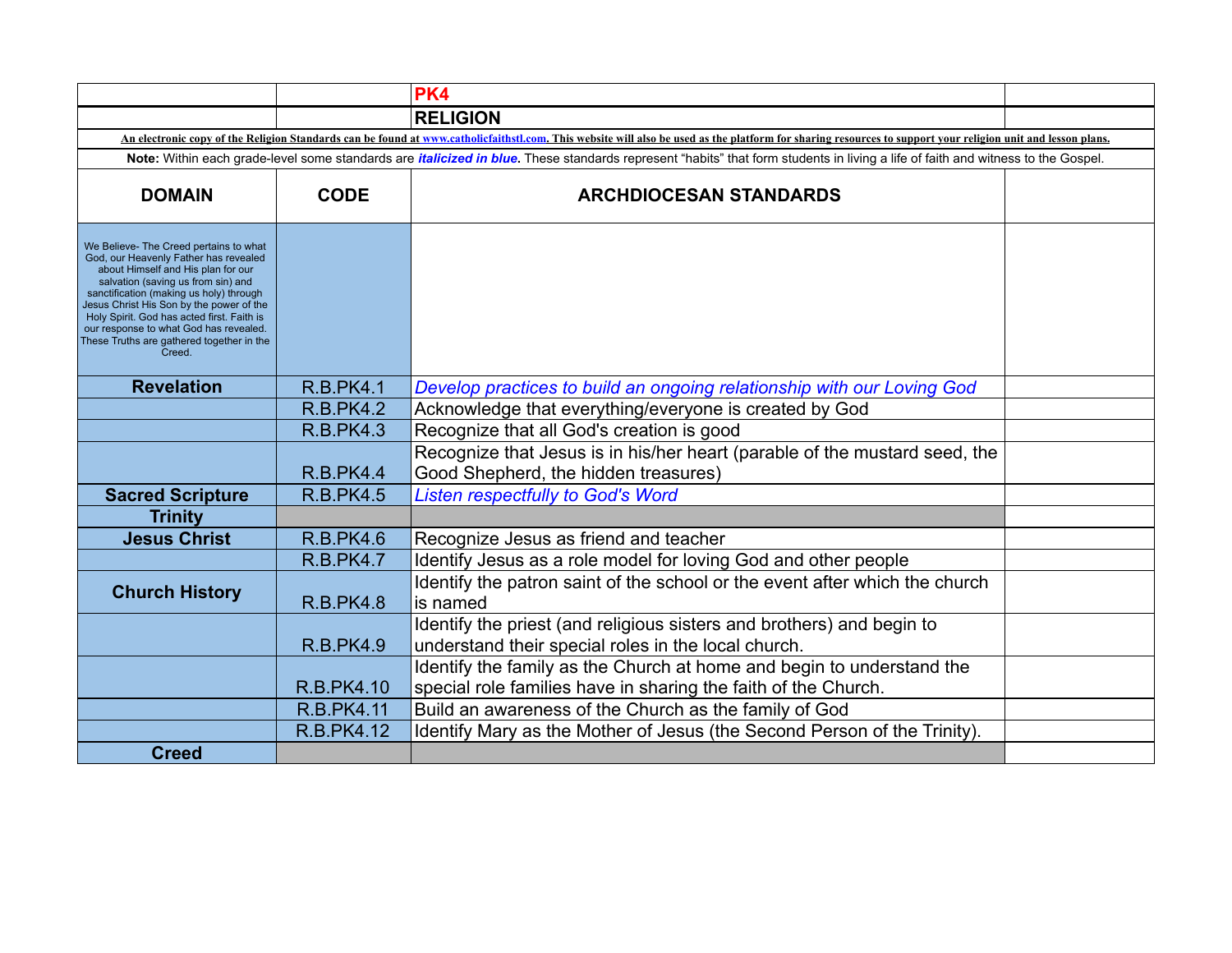|                                                                                                                                                                                                                                                                                                                                                                                                   |                   | PK4                                                                                                                                                                                                         |  |
|---------------------------------------------------------------------------------------------------------------------------------------------------------------------------------------------------------------------------------------------------------------------------------------------------------------------------------------------------------------------------------------------------|-------------------|-------------------------------------------------------------------------------------------------------------------------------------------------------------------------------------------------------------|--|
|                                                                                                                                                                                                                                                                                                                                                                                                   |                   | <b>RELIGION</b>                                                                                                                                                                                             |  |
|                                                                                                                                                                                                                                                                                                                                                                                                   |                   | An electronic copy of the Religion Standards can be found at www.catholicfaithstl.com. This website will also be used as the platform for sharing resources to support your religion unit and lesson plans. |  |
|                                                                                                                                                                                                                                                                                                                                                                                                   |                   | Note: Within each grade-level some standards are <i>italicized in blue</i> . These standards represent "habits" that form students in living a life of faith and witness to the Gospel.                     |  |
| <b>DOMAIN</b>                                                                                                                                                                                                                                                                                                                                                                                     | <b>CODE</b>       | <b>ARCHDIOCESAN STANDARDS</b>                                                                                                                                                                               |  |
| We Believe- The Creed pertains to what<br>God, our Heavenly Father has revealed<br>about Himself and His plan for our<br>salvation (saving us from sin) and<br>sanctification (making us holy) through<br>Jesus Christ His Son by the power of the<br>Holy Spirit. God has acted first. Faith is<br>our response to what God has revealed.<br>These Truths are gathered together in the<br>Creed. |                   |                                                                                                                                                                                                             |  |
| <b>Revelation</b>                                                                                                                                                                                                                                                                                                                                                                                 | <b>R.B.PK4.1</b>  | Develop practices to build an ongoing relationship with our Loving God                                                                                                                                      |  |
|                                                                                                                                                                                                                                                                                                                                                                                                   | <b>R.B.PK4.2</b>  | Acknowledge that everything/everyone is created by God                                                                                                                                                      |  |
|                                                                                                                                                                                                                                                                                                                                                                                                   | <b>R.B.PK4.3</b>  | Recognize that all God's creation is good                                                                                                                                                                   |  |
|                                                                                                                                                                                                                                                                                                                                                                                                   | <b>R.B.PK4.4</b>  | Recognize that Jesus is in his/her heart (parable of the mustard seed, the<br>Good Shepherd, the hidden treasures)                                                                                          |  |
| <b>Sacred Scripture</b>                                                                                                                                                                                                                                                                                                                                                                           | <b>R.B.PK4.5</b>  | <b>Listen respectfully to God's Word</b>                                                                                                                                                                    |  |
| <b>Trinity</b>                                                                                                                                                                                                                                                                                                                                                                                    |                   |                                                                                                                                                                                                             |  |
| <b>Jesus Christ</b>                                                                                                                                                                                                                                                                                                                                                                               | <b>R.B.PK4.6</b>  | Recognize Jesus as friend and teacher                                                                                                                                                                       |  |
|                                                                                                                                                                                                                                                                                                                                                                                                   | <b>R.B.PK4.7</b>  | Identify Jesus as a role model for loving God and other people                                                                                                                                              |  |
| <b>Church History</b>                                                                                                                                                                                                                                                                                                                                                                             | <b>R.B.PK4.8</b>  | Identify the patron saint of the school or the event after which the church<br>is named                                                                                                                     |  |
|                                                                                                                                                                                                                                                                                                                                                                                                   | <b>R.B.PK4.9</b>  | Identify the priest (and religious sisters and brothers) and begin to<br>understand their special roles in the local church.                                                                                |  |
|                                                                                                                                                                                                                                                                                                                                                                                                   | R.B.PK4.10        | Identify the family as the Church at home and begin to understand the<br>special role families have in sharing the faith of the Church.                                                                     |  |
|                                                                                                                                                                                                                                                                                                                                                                                                   | <b>R.B.PK4.11</b> | Build an awareness of the Church as the family of God                                                                                                                                                       |  |
|                                                                                                                                                                                                                                                                                                                                                                                                   | R.B.PK4.12        | Identify Mary as the Mother of Jesus (the Second Person of the Trinity).                                                                                                                                    |  |
| <b>Creed</b>                                                                                                                                                                                                                                                                                                                                                                                      |                   |                                                                                                                                                                                                             |  |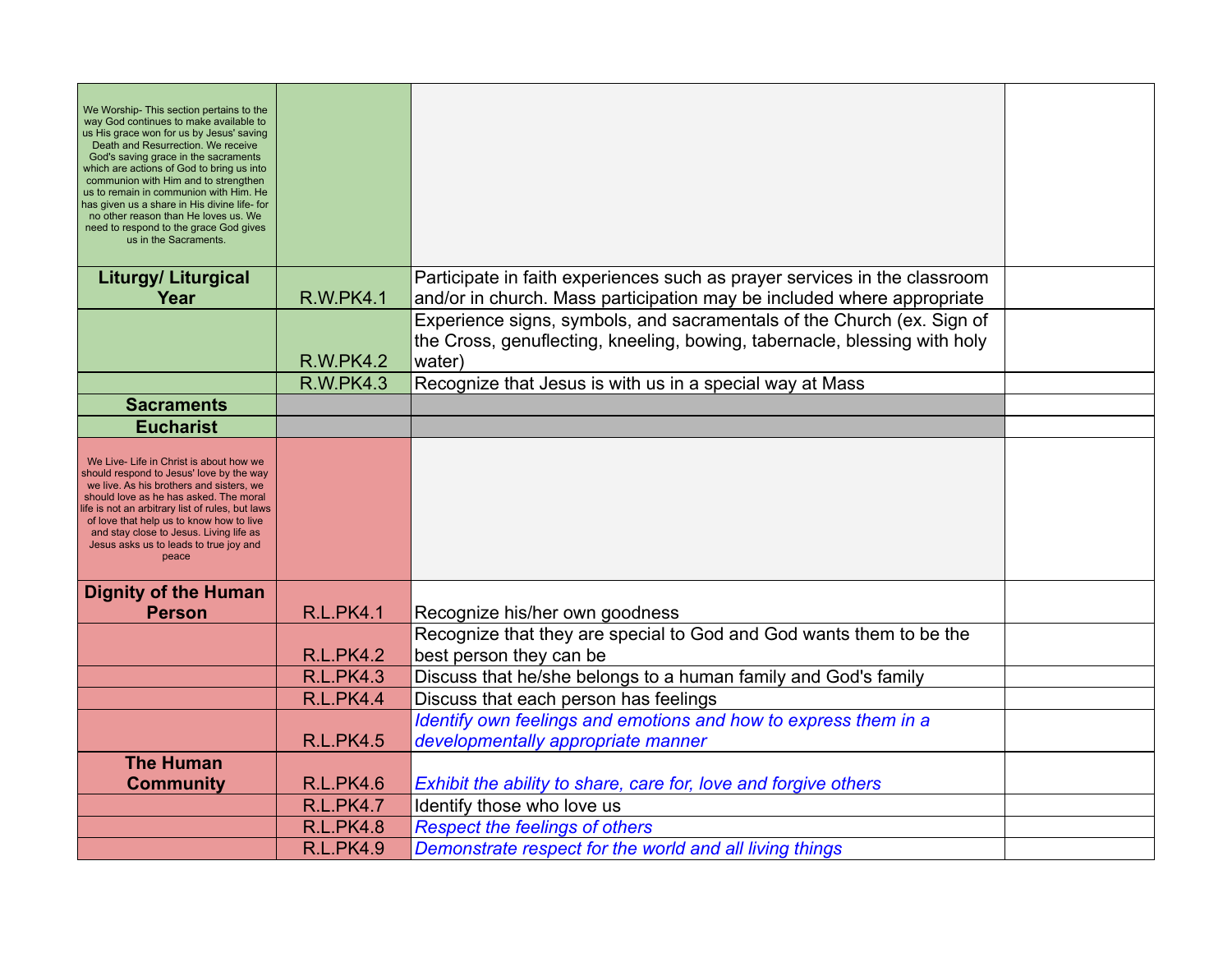| We Worship-This section pertains to the<br>way God continues to make available to<br>us His grace won for us by Jesus' saving |                  |                                                                                                          |  |
|-------------------------------------------------------------------------------------------------------------------------------|------------------|----------------------------------------------------------------------------------------------------------|--|
| Death and Resurrection. We receive<br>God's saving grace in the sacraments                                                    |                  |                                                                                                          |  |
| which are actions of God to bring us into<br>communion with Him and to strengthen                                             |                  |                                                                                                          |  |
| us to remain in communion with Him. He<br>has given us a share in His divine life- for                                        |                  |                                                                                                          |  |
| no other reason than He loves us. We<br>need to respond to the grace God gives                                                |                  |                                                                                                          |  |
| us in the Sacraments.                                                                                                         |                  |                                                                                                          |  |
| <b>Liturgy/ Liturgical</b>                                                                                                    |                  | Participate in faith experiences such as prayer services in the classroom                                |  |
| Year                                                                                                                          | <b>R.W.PK4.1</b> | and/or in church. Mass participation may be included where appropriate                                   |  |
|                                                                                                                               |                  | Experience signs, symbols, and sacramentals of the Church (ex. Sign of                                   |  |
|                                                                                                                               |                  | the Cross, genuflecting, kneeling, bowing, tabernacle, blessing with holy                                |  |
|                                                                                                                               | <b>R.W.PK4.2</b> | water)                                                                                                   |  |
|                                                                                                                               | <b>R.W.PK4.3</b> | Recognize that Jesus is with us in a special way at Mass                                                 |  |
| <b>Sacraments</b><br><b>Eucharist</b>                                                                                         |                  |                                                                                                          |  |
|                                                                                                                               |                  |                                                                                                          |  |
| We Live- Life in Christ is about how we<br>should respond to Jesus' love by the way                                           |                  |                                                                                                          |  |
| we live. As his brothers and sisters, we<br>should love as he has asked. The moral                                            |                  |                                                                                                          |  |
| ife is not an arbitrary list of rules, but laws<br>of love that help us to know how to live                                   |                  |                                                                                                          |  |
| and stay close to Jesus. Living life as<br>Jesus asks us to leads to true joy and                                             |                  |                                                                                                          |  |
| peace                                                                                                                         |                  |                                                                                                          |  |
| <b>Dignity of the Human</b>                                                                                                   |                  |                                                                                                          |  |
| <b>Person</b>                                                                                                                 | <b>R.L.PK4.1</b> | Recognize his/her own goodness                                                                           |  |
|                                                                                                                               |                  | Recognize that they are special to God and God wants them to be the                                      |  |
|                                                                                                                               | <b>R.L.PK4.2</b> | best person they can be                                                                                  |  |
|                                                                                                                               | <b>R.L.PK4.3</b> | Discuss that he/she belongs to a human family and God's family                                           |  |
|                                                                                                                               | <b>R.L.PK4.4</b> | Discuss that each person has feelings<br>Identify own feelings and emotions and how to express them in a |  |
|                                                                                                                               | <b>R.L.PK4.5</b> | developmentally appropriate manner                                                                       |  |
| <b>The Human</b>                                                                                                              |                  |                                                                                                          |  |
| <b>Community</b>                                                                                                              | <b>R.L.PK4.6</b> | Exhibit the ability to share, care for, love and forgive others                                          |  |
|                                                                                                                               | <b>R.L.PK4.7</b> | Identify those who love us                                                                               |  |
|                                                                                                                               | <b>R.L.PK4.8</b> | <b>Respect the feelings of others</b>                                                                    |  |
|                                                                                                                               | <b>R.L.PK4.9</b> | Demonstrate respect for the world and all living things                                                  |  |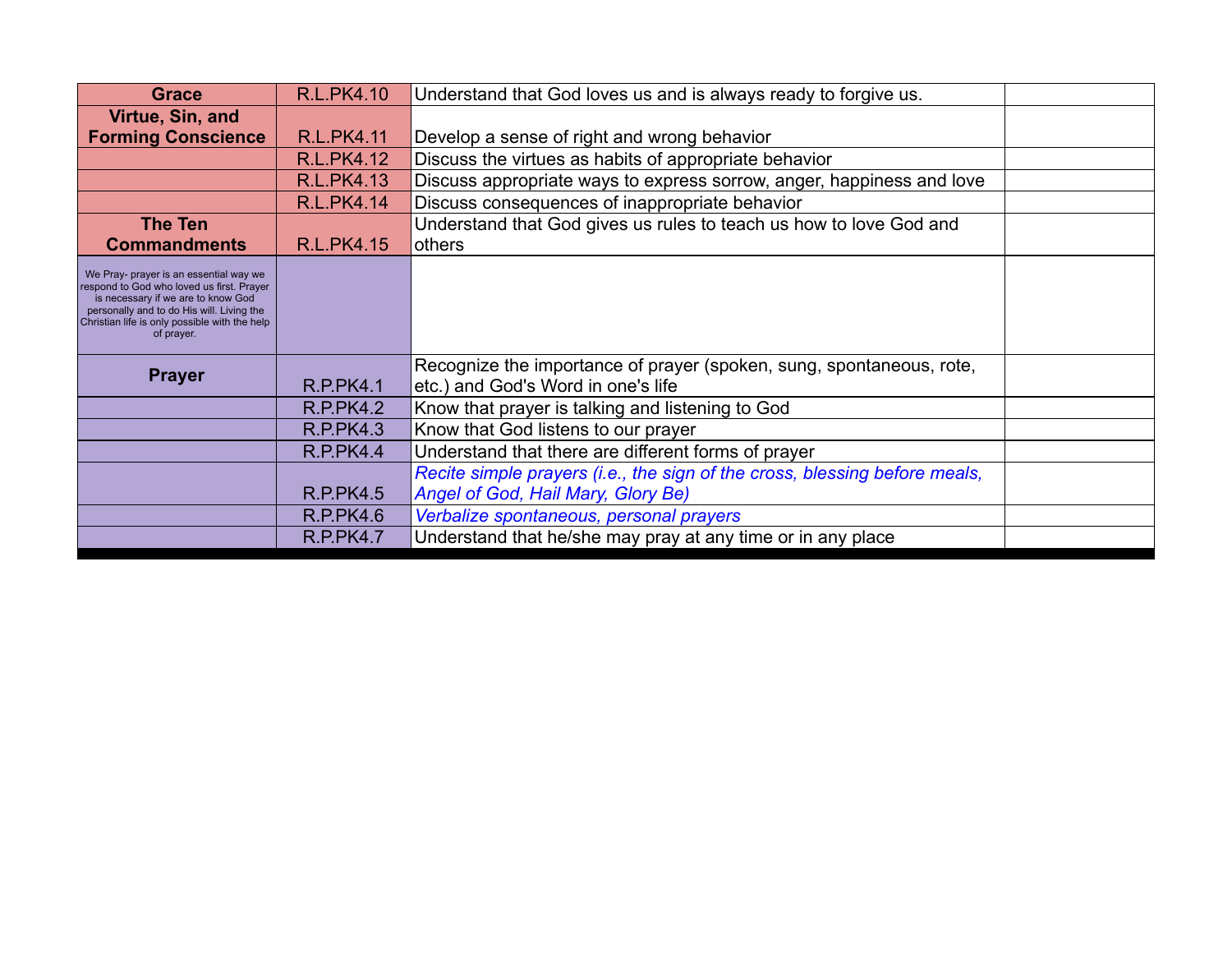| <b>Grace</b>                                                                                                                                                                                                                          | <b>R.L.PK4.10</b> | Understand that God loves us and is always ready to forgive us.                                                  |  |
|---------------------------------------------------------------------------------------------------------------------------------------------------------------------------------------------------------------------------------------|-------------------|------------------------------------------------------------------------------------------------------------------|--|
| Virtue, Sin, and                                                                                                                                                                                                                      |                   |                                                                                                                  |  |
| <b>Forming Conscience</b>                                                                                                                                                                                                             | <b>R.L.PK4.11</b> | Develop a sense of right and wrong behavior                                                                      |  |
|                                                                                                                                                                                                                                       | <b>R.L.PK4.12</b> | Discuss the virtues as habits of appropriate behavior                                                            |  |
|                                                                                                                                                                                                                                       | <b>R.L.PK4.13</b> | Discuss appropriate ways to express sorrow, anger, happiness and love                                            |  |
|                                                                                                                                                                                                                                       | <b>R.L.PK4.14</b> | Discuss consequences of inappropriate behavior                                                                   |  |
| <b>The Ten</b>                                                                                                                                                                                                                        |                   | Understand that God gives us rules to teach us how to love God and                                               |  |
| <b>Commandments</b>                                                                                                                                                                                                                   | <b>R.L.PK4.15</b> | others                                                                                                           |  |
| We Pray- prayer is an essential way we<br>respond to God who loved us first. Prayer<br>is necessary if we are to know God<br>personally and to do His will. Living the<br>Christian life is only possible with the help<br>of prayer. |                   |                                                                                                                  |  |
| <b>Prayer</b>                                                                                                                                                                                                                         | <b>R.P.PK4.1</b>  | Recognize the importance of prayer (spoken, sung, spontaneous, rote,<br>etc.) and God's Word in one's life       |  |
|                                                                                                                                                                                                                                       | <b>R.P.PK4.2</b>  | Know that prayer is talking and listening to God                                                                 |  |
|                                                                                                                                                                                                                                       | <b>R.P.PK4.3</b>  | Know that God listens to our prayer                                                                              |  |
|                                                                                                                                                                                                                                       | <b>R.P.PK4.4</b>  | Understand that there are different forms of prayer                                                              |  |
|                                                                                                                                                                                                                                       | <b>R.P.PK4.5</b>  | Recite simple prayers (i.e., the sign of the cross, blessing before meals,<br>Angel of God, Hail Mary, Glory Be) |  |
|                                                                                                                                                                                                                                       | <b>R.P.PK4.6</b>  | Verbalize spontaneous, personal prayers                                                                          |  |
|                                                                                                                                                                                                                                       | <b>R.P.PK4.7</b>  | Understand that he/she may pray at any time or in any place                                                      |  |
|                                                                                                                                                                                                                                       |                   |                                                                                                                  |  |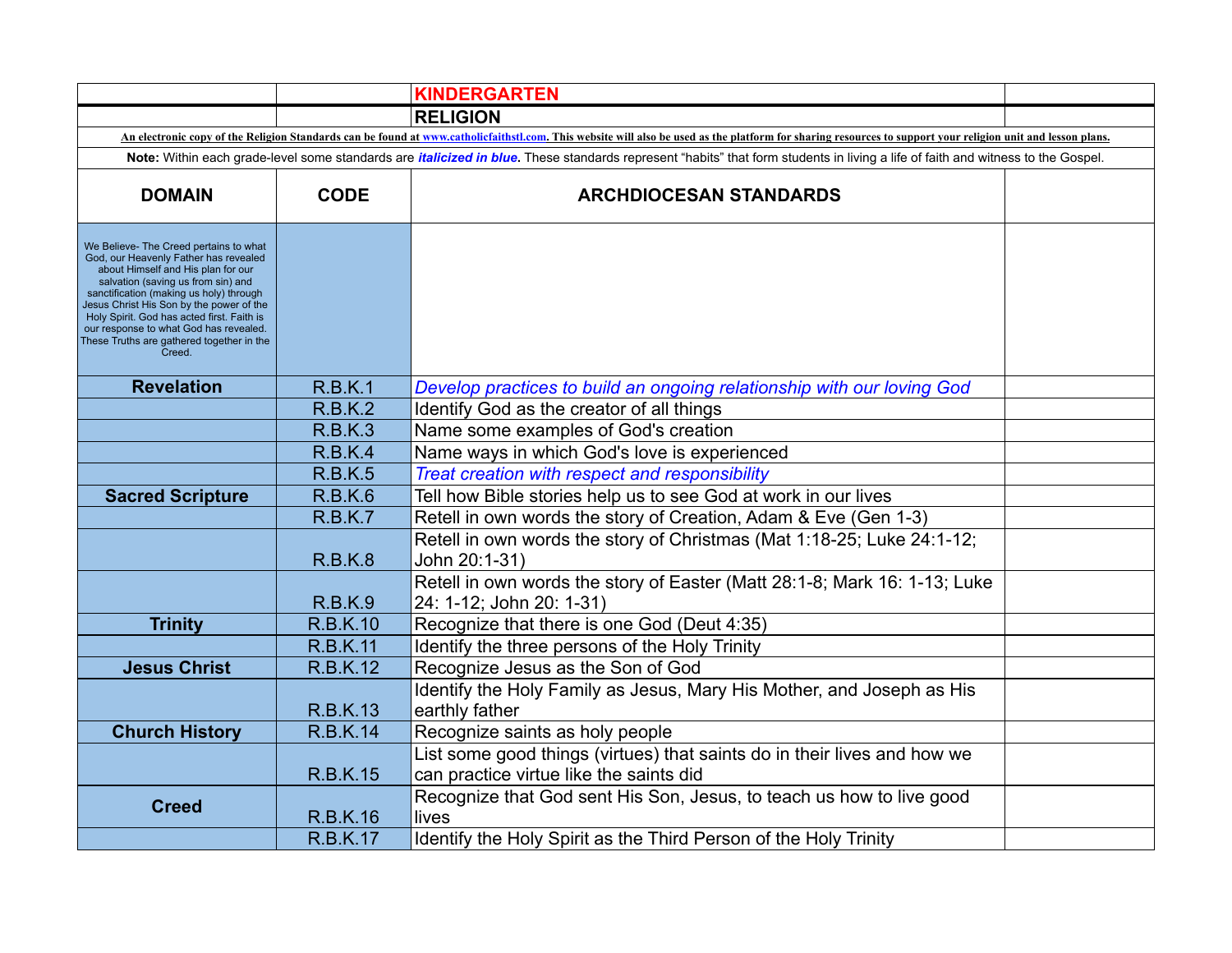|                                                                                                                                                                                                                                                                                                                                                                                                   |                 | <b>KINDERGARTEN</b>                                                                                                                                                                                         |  |
|---------------------------------------------------------------------------------------------------------------------------------------------------------------------------------------------------------------------------------------------------------------------------------------------------------------------------------------------------------------------------------------------------|-----------------|-------------------------------------------------------------------------------------------------------------------------------------------------------------------------------------------------------------|--|
|                                                                                                                                                                                                                                                                                                                                                                                                   |                 | <b>RELIGION</b>                                                                                                                                                                                             |  |
|                                                                                                                                                                                                                                                                                                                                                                                                   |                 | An electronic copy of the Religion Standards can be found at www.catholicfaithstl.com. This website will also be used as the platform for sharing resources to support your religion unit and lesson plans. |  |
|                                                                                                                                                                                                                                                                                                                                                                                                   |                 | Note: Within each grade-level some standards are <i>italicized in blue</i> . These standards represent "habits" that form students in living a life of faith and witness to the Gospel.                     |  |
| <b>DOMAIN</b>                                                                                                                                                                                                                                                                                                                                                                                     | <b>CODE</b>     | <b>ARCHDIOCESAN STANDARDS</b>                                                                                                                                                                               |  |
| We Believe- The Creed pertains to what<br>God, our Heavenly Father has revealed<br>about Himself and His plan for our<br>salvation (saving us from sin) and<br>sanctification (making us holy) through<br>Jesus Christ His Son by the power of the<br>Holy Spirit. God has acted first. Faith is<br>our response to what God has revealed.<br>These Truths are gathered together in the<br>Creed. |                 |                                                                                                                                                                                                             |  |
| <b>Revelation</b>                                                                                                                                                                                                                                                                                                                                                                                 | <b>R.B.K.1</b>  | Develop practices to build an ongoing relationship with our loving God                                                                                                                                      |  |
|                                                                                                                                                                                                                                                                                                                                                                                                   | R.B.K.2         | Identify God as the creator of all things                                                                                                                                                                   |  |
|                                                                                                                                                                                                                                                                                                                                                                                                   | R.B.K.3         | Name some examples of God's creation                                                                                                                                                                        |  |
|                                                                                                                                                                                                                                                                                                                                                                                                   | R.B.K.4         | Name ways in which God's love is experienced                                                                                                                                                                |  |
|                                                                                                                                                                                                                                                                                                                                                                                                   | <b>R.B.K.5</b>  | Treat creation with respect and responsibility                                                                                                                                                              |  |
| <b>Sacred Scripture</b>                                                                                                                                                                                                                                                                                                                                                                           | R.B.K.6         | Tell how Bible stories help us to see God at work in our lives                                                                                                                                              |  |
|                                                                                                                                                                                                                                                                                                                                                                                                   | <b>R.B.K.7</b>  | Retell in own words the story of Creation, Adam & Eve (Gen 1-3)                                                                                                                                             |  |
|                                                                                                                                                                                                                                                                                                                                                                                                   | R.B.K.8         | Retell in own words the story of Christmas (Mat 1:18-25; Luke 24:1-12;<br>John 20:1-31)                                                                                                                     |  |
|                                                                                                                                                                                                                                                                                                                                                                                                   | <b>R.B.K.9</b>  | Retell in own words the story of Easter (Matt 28:1-8; Mark 16: 1-13; Luke<br>24: 1-12; John 20: 1-31)                                                                                                       |  |
| <b>Trinity</b>                                                                                                                                                                                                                                                                                                                                                                                    | <b>R.B.K.10</b> | Recognize that there is one God (Deut 4:35)                                                                                                                                                                 |  |
|                                                                                                                                                                                                                                                                                                                                                                                                   | <b>R.B.K.11</b> | Identify the three persons of the Holy Trinity                                                                                                                                                              |  |
| <b>Jesus Christ</b>                                                                                                                                                                                                                                                                                                                                                                               | <b>R.B.K.12</b> | Recognize Jesus as the Son of God                                                                                                                                                                           |  |
|                                                                                                                                                                                                                                                                                                                                                                                                   | <b>R.B.K.13</b> | Identify the Holy Family as Jesus, Mary His Mother, and Joseph as His<br>earthly father                                                                                                                     |  |
| <b>Church History</b>                                                                                                                                                                                                                                                                                                                                                                             | <b>R.B.K.14</b> | Recognize saints as holy people                                                                                                                                                                             |  |
|                                                                                                                                                                                                                                                                                                                                                                                                   | <b>R.B.K.15</b> | List some good things (virtues) that saints do in their lives and how we<br>can practice virtue like the saints did                                                                                         |  |
| <b>Creed</b>                                                                                                                                                                                                                                                                                                                                                                                      | <b>R.B.K.16</b> | Recognize that God sent His Son, Jesus, to teach us how to live good<br>lives                                                                                                                               |  |
|                                                                                                                                                                                                                                                                                                                                                                                                   | <b>R.B.K.17</b> | Identify the Holy Spirit as the Third Person of the Holy Trinity                                                                                                                                            |  |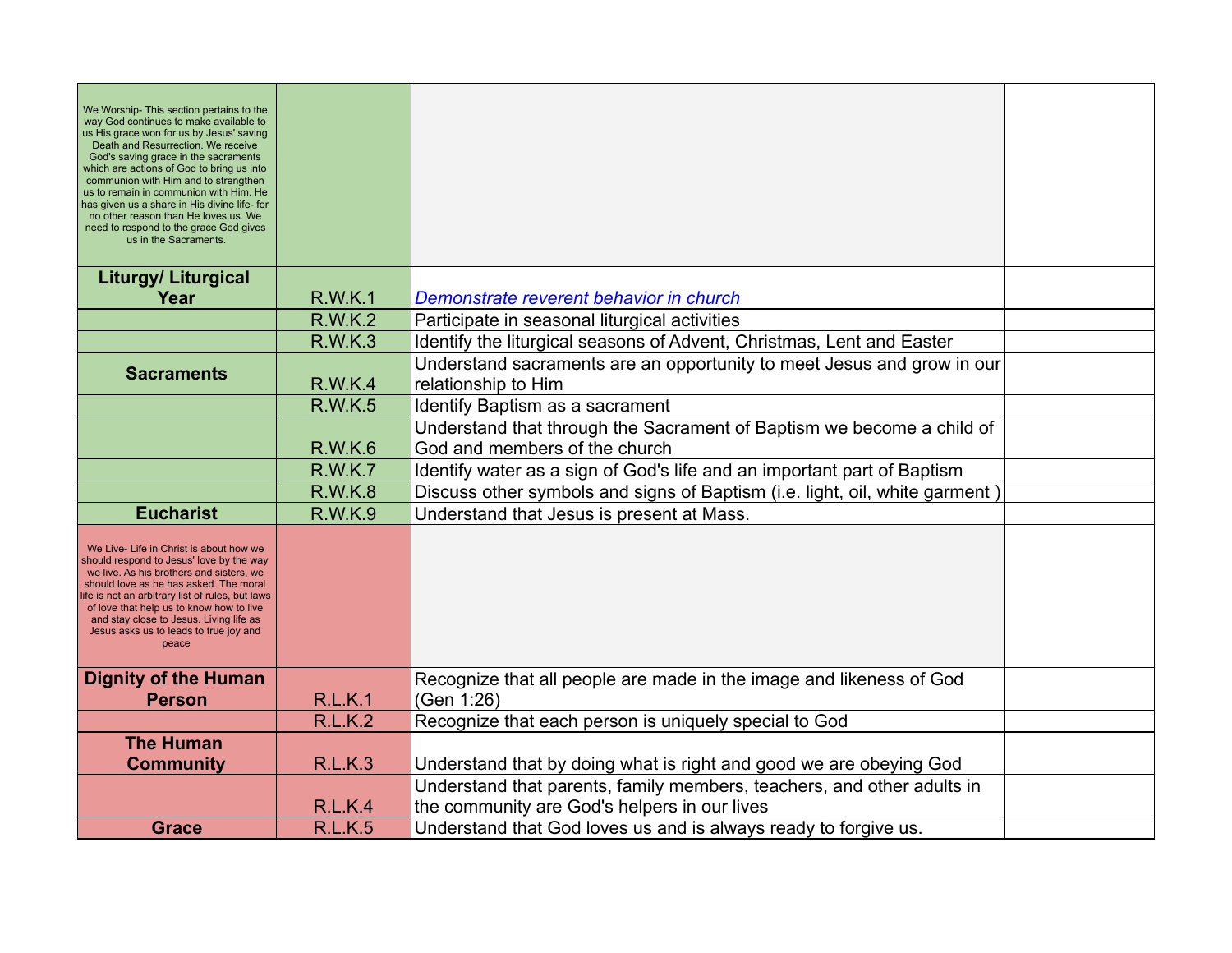| We Worship-This section pertains to the<br>way God continues to make available to<br>us His grace won for us by Jesus' saving<br>Death and Resurrection. We receive<br>God's saving grace in the sacraments<br>which are actions of God to bring us into<br>communion with Him and to strengthen<br>us to remain in communion with Him. He<br>has given us a share in His divine life- for<br>no other reason than He loves us. We<br>need to respond to the grace God gives<br>us in the Sacraments. |                |                                                                             |  |
|-------------------------------------------------------------------------------------------------------------------------------------------------------------------------------------------------------------------------------------------------------------------------------------------------------------------------------------------------------------------------------------------------------------------------------------------------------------------------------------------------------|----------------|-----------------------------------------------------------------------------|--|
| Liturgy/ Liturgical                                                                                                                                                                                                                                                                                                                                                                                                                                                                                   |                |                                                                             |  |
| Year                                                                                                                                                                                                                                                                                                                                                                                                                                                                                                  | <b>R.W.K.1</b> | Demonstrate reverent behavior in church                                     |  |
|                                                                                                                                                                                                                                                                                                                                                                                                                                                                                                       | <b>R.W.K.2</b> | Participate in seasonal liturgical activities                               |  |
|                                                                                                                                                                                                                                                                                                                                                                                                                                                                                                       | <b>R.W.K.3</b> | Identify the liturgical seasons of Advent, Christmas, Lent and Easter       |  |
|                                                                                                                                                                                                                                                                                                                                                                                                                                                                                                       |                | Understand sacraments are an opportunity to meet Jesus and grow in our      |  |
| <b>Sacraments</b>                                                                                                                                                                                                                                                                                                                                                                                                                                                                                     | <b>R.W.K.4</b> | relationship to Him                                                         |  |
|                                                                                                                                                                                                                                                                                                                                                                                                                                                                                                       | <b>R.W.K.5</b> | <b>Identify Baptism as a sacrament</b>                                      |  |
|                                                                                                                                                                                                                                                                                                                                                                                                                                                                                                       |                | Understand that through the Sacrament of Baptism we become a child of       |  |
|                                                                                                                                                                                                                                                                                                                                                                                                                                                                                                       | <b>R.W.K.6</b> | God and members of the church                                               |  |
|                                                                                                                                                                                                                                                                                                                                                                                                                                                                                                       | <b>R.W.K.7</b> | Identify water as a sign of God's life and an important part of Baptism     |  |
|                                                                                                                                                                                                                                                                                                                                                                                                                                                                                                       | <b>R.W.K.8</b> | Discuss other symbols and signs of Baptism (i.e. light, oil, white garment) |  |
| <b>Eucharist</b>                                                                                                                                                                                                                                                                                                                                                                                                                                                                                      | <b>R.W.K.9</b> | Understand that Jesus is present at Mass.                                   |  |
| We Live- Life in Christ is about how we<br>should respond to Jesus' love by the way<br>we live. As his brothers and sisters, we<br>should love as he has asked. The moral<br>ife is not an arbitrary list of rules, but laws<br>of love that help us to know how to live<br>and stay close to Jesus. Living life as<br>Jesus asks us to leads to true joy and<br>peace                                                                                                                                |                |                                                                             |  |
| <b>Dignity of the Human</b>                                                                                                                                                                                                                                                                                                                                                                                                                                                                           |                | Recognize that all people are made in the image and likeness of God         |  |
| <b>Person</b>                                                                                                                                                                                                                                                                                                                                                                                                                                                                                         | <b>R.L.K.1</b> | (Gen 1:26)                                                                  |  |
|                                                                                                                                                                                                                                                                                                                                                                                                                                                                                                       | <b>R.L.K.2</b> | Recognize that each person is uniquely special to God                       |  |
| <b>The Human</b>                                                                                                                                                                                                                                                                                                                                                                                                                                                                                      |                |                                                                             |  |
| <b>Community</b>                                                                                                                                                                                                                                                                                                                                                                                                                                                                                      | <b>R.L.K.3</b> | Understand that by doing what is right and good we are obeying God          |  |
|                                                                                                                                                                                                                                                                                                                                                                                                                                                                                                       |                | Understand that parents, family members, teachers, and other adults in      |  |
|                                                                                                                                                                                                                                                                                                                                                                                                                                                                                                       | <b>R.L.K.4</b> | the community are God's helpers in our lives                                |  |
| <b>Grace</b>                                                                                                                                                                                                                                                                                                                                                                                                                                                                                          | <b>R.L.K.5</b> | Understand that God loves us and is always ready to forgive us.             |  |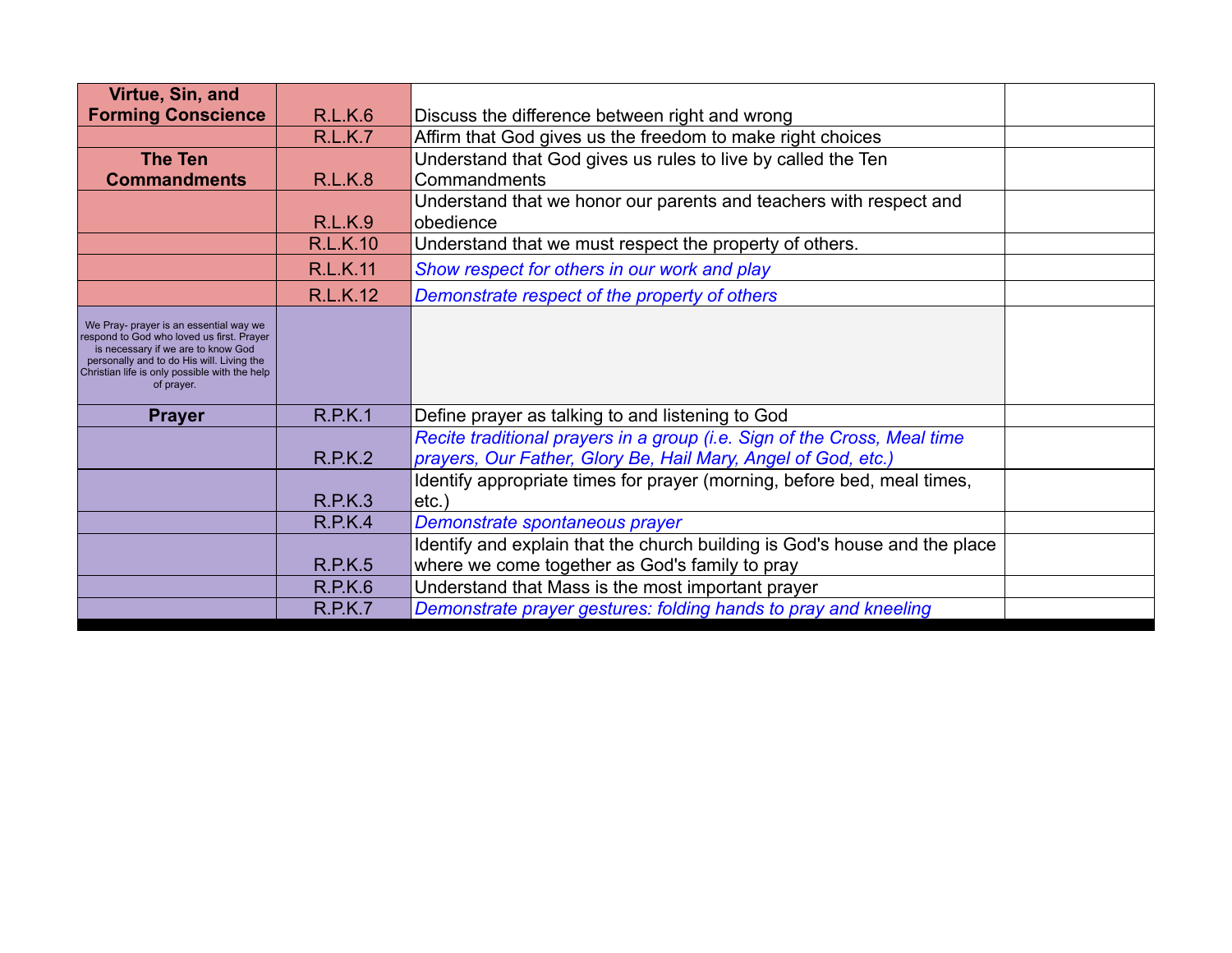| Virtue, Sin, and                                                                                                                                                                                                                      |                 |                                                                                                                                                                                                                      |  |
|---------------------------------------------------------------------------------------------------------------------------------------------------------------------------------------------------------------------------------------|-----------------|----------------------------------------------------------------------------------------------------------------------------------------------------------------------------------------------------------------------|--|
| <b>Forming Conscience</b>                                                                                                                                                                                                             | <b>R.L.K.6</b>  | Discuss the difference between right and wrong                                                                                                                                                                       |  |
|                                                                                                                                                                                                                                       | <b>R.L.K.7</b>  | Affirm that God gives us the freedom to make right choices                                                                                                                                                           |  |
| <b>The Ten</b>                                                                                                                                                                                                                        |                 | Understand that God gives us rules to live by called the Ten                                                                                                                                                         |  |
| <b>Commandments</b>                                                                                                                                                                                                                   | <b>R.L.K.8</b>  | Commandments                                                                                                                                                                                                         |  |
|                                                                                                                                                                                                                                       |                 | Understand that we honor our parents and teachers with respect and                                                                                                                                                   |  |
|                                                                                                                                                                                                                                       | <b>R.L.K.9</b>  | obedience                                                                                                                                                                                                            |  |
|                                                                                                                                                                                                                                       | <b>R.L.K.10</b> | Understand that we must respect the property of others.                                                                                                                                                              |  |
|                                                                                                                                                                                                                                       | <b>R.L.K.11</b> | Show respect for others in our work and play                                                                                                                                                                         |  |
|                                                                                                                                                                                                                                       | <b>R.L.K.12</b> | Demonstrate respect of the property of others                                                                                                                                                                        |  |
| We Pray- prayer is an essential way we<br>respond to God who loved us first. Prayer<br>is necessary if we are to know God<br>personally and to do His will. Living the<br>Christian life is only possible with the help<br>of prayer. |                 |                                                                                                                                                                                                                      |  |
| <b>Prayer</b>                                                                                                                                                                                                                         | <b>R.P.K.1</b>  | Define prayer as talking to and listening to God                                                                                                                                                                     |  |
|                                                                                                                                                                                                                                       | <b>R.P.K.2</b>  | Recite traditional prayers in a group (i.e. Sign of the Cross, Meal time<br>prayers, Our Father, Glory Be, Hail Mary, Angel of God, etc.)<br>Identify appropriate times for prayer (morning, before bed, meal times, |  |
|                                                                                                                                                                                                                                       | <b>R.P.K.3</b>  | etc.                                                                                                                                                                                                                 |  |
|                                                                                                                                                                                                                                       | R.P.K.4         | Demonstrate spontaneous prayer                                                                                                                                                                                       |  |
|                                                                                                                                                                                                                                       | <b>R.P.K.5</b>  | Identify and explain that the church building is God's house and the place<br>where we come together as God's family to pray                                                                                         |  |
|                                                                                                                                                                                                                                       | R.P.K.6         | Understand that Mass is the most important prayer                                                                                                                                                                    |  |
|                                                                                                                                                                                                                                       | <b>R.P.K.7</b>  | Demonstrate prayer gestures: folding hands to pray and kneeling                                                                                                                                                      |  |
|                                                                                                                                                                                                                                       |                 |                                                                                                                                                                                                                      |  |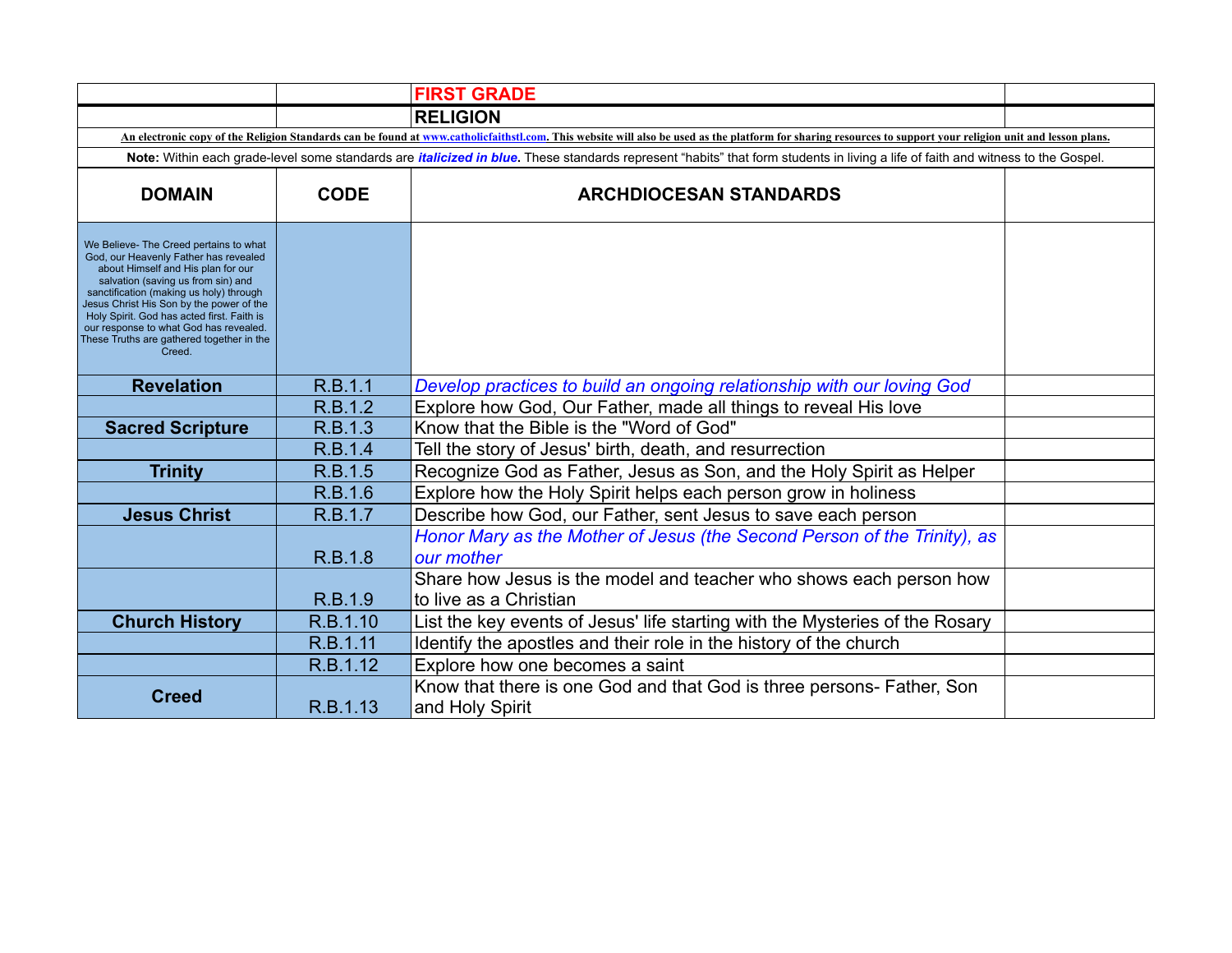|                                                                                                                                                                                                                                                                                                                                                                                                   |             | <b>FIRST GRADE</b>                                                                                                                                                                                          |  |
|---------------------------------------------------------------------------------------------------------------------------------------------------------------------------------------------------------------------------------------------------------------------------------------------------------------------------------------------------------------------------------------------------|-------------|-------------------------------------------------------------------------------------------------------------------------------------------------------------------------------------------------------------|--|
|                                                                                                                                                                                                                                                                                                                                                                                                   |             | <b>RELIGION</b>                                                                                                                                                                                             |  |
|                                                                                                                                                                                                                                                                                                                                                                                                   |             | An electronic copy of the Religion Standards can be found at www.catholicfaithstl.com. This website will also be used as the platform for sharing resources to support your religion unit and lesson plans. |  |
|                                                                                                                                                                                                                                                                                                                                                                                                   |             | Note: Within each grade-level some standards are <i>italicized in blue</i> . These standards represent "habits" that form students in living a life of faith and witness to the Gospel.                     |  |
| <b>DOMAIN</b>                                                                                                                                                                                                                                                                                                                                                                                     | <b>CODE</b> | <b>ARCHDIOCESAN STANDARDS</b>                                                                                                                                                                               |  |
| We Believe- The Creed pertains to what<br>God, our Heavenly Father has revealed<br>about Himself and His plan for our<br>salvation (saving us from sin) and<br>sanctification (making us holy) through<br>Jesus Christ His Son by the power of the<br>Holy Spirit. God has acted first. Faith is<br>our response to what God has revealed.<br>These Truths are gathered together in the<br>Creed. |             |                                                                                                                                                                                                             |  |
| <b>Revelation</b>                                                                                                                                                                                                                                                                                                                                                                                 | R.B.1.1     | Develop practices to build an ongoing relationship with our loving God                                                                                                                                      |  |
|                                                                                                                                                                                                                                                                                                                                                                                                   | R.B.1.2     | Explore how God, Our Father, made all things to reveal His love                                                                                                                                             |  |
| <b>Sacred Scripture</b>                                                                                                                                                                                                                                                                                                                                                                           | R.B.1.3     | Know that the Bible is the "Word of God"                                                                                                                                                                    |  |
|                                                                                                                                                                                                                                                                                                                                                                                                   | R.B.1.4     | Tell the story of Jesus' birth, death, and resurrection                                                                                                                                                     |  |
| <b>Trinity</b>                                                                                                                                                                                                                                                                                                                                                                                    | R.B.1.5     | Recognize God as Father, Jesus as Son, and the Holy Spirit as Helper                                                                                                                                        |  |
|                                                                                                                                                                                                                                                                                                                                                                                                   | R.B.1.6     | Explore how the Holy Spirit helps each person grow in holiness                                                                                                                                              |  |
| <b>Jesus Christ</b>                                                                                                                                                                                                                                                                                                                                                                               | R.B.1.7     | Describe how God, our Father, sent Jesus to save each person                                                                                                                                                |  |
|                                                                                                                                                                                                                                                                                                                                                                                                   | R.B.1.8     | Honor Mary as the Mother of Jesus (the Second Person of the Trinity), as<br>our mother                                                                                                                      |  |
|                                                                                                                                                                                                                                                                                                                                                                                                   | R.B.1.9     | Share how Jesus is the model and teacher who shows each person how<br>to live as a Christian                                                                                                                |  |
| <b>Church History</b>                                                                                                                                                                                                                                                                                                                                                                             | R.B.1.10    | List the key events of Jesus' life starting with the Mysteries of the Rosary                                                                                                                                |  |
|                                                                                                                                                                                                                                                                                                                                                                                                   | R.B.1.11    | Identify the apostles and their role in the history of the church                                                                                                                                           |  |
|                                                                                                                                                                                                                                                                                                                                                                                                   | R.B.1.12    | Explore how one becomes a saint                                                                                                                                                                             |  |
| <b>Creed</b>                                                                                                                                                                                                                                                                                                                                                                                      | R.B.1.13    | Know that there is one God and that God is three persons- Father, Son<br>and Holy Spirit                                                                                                                    |  |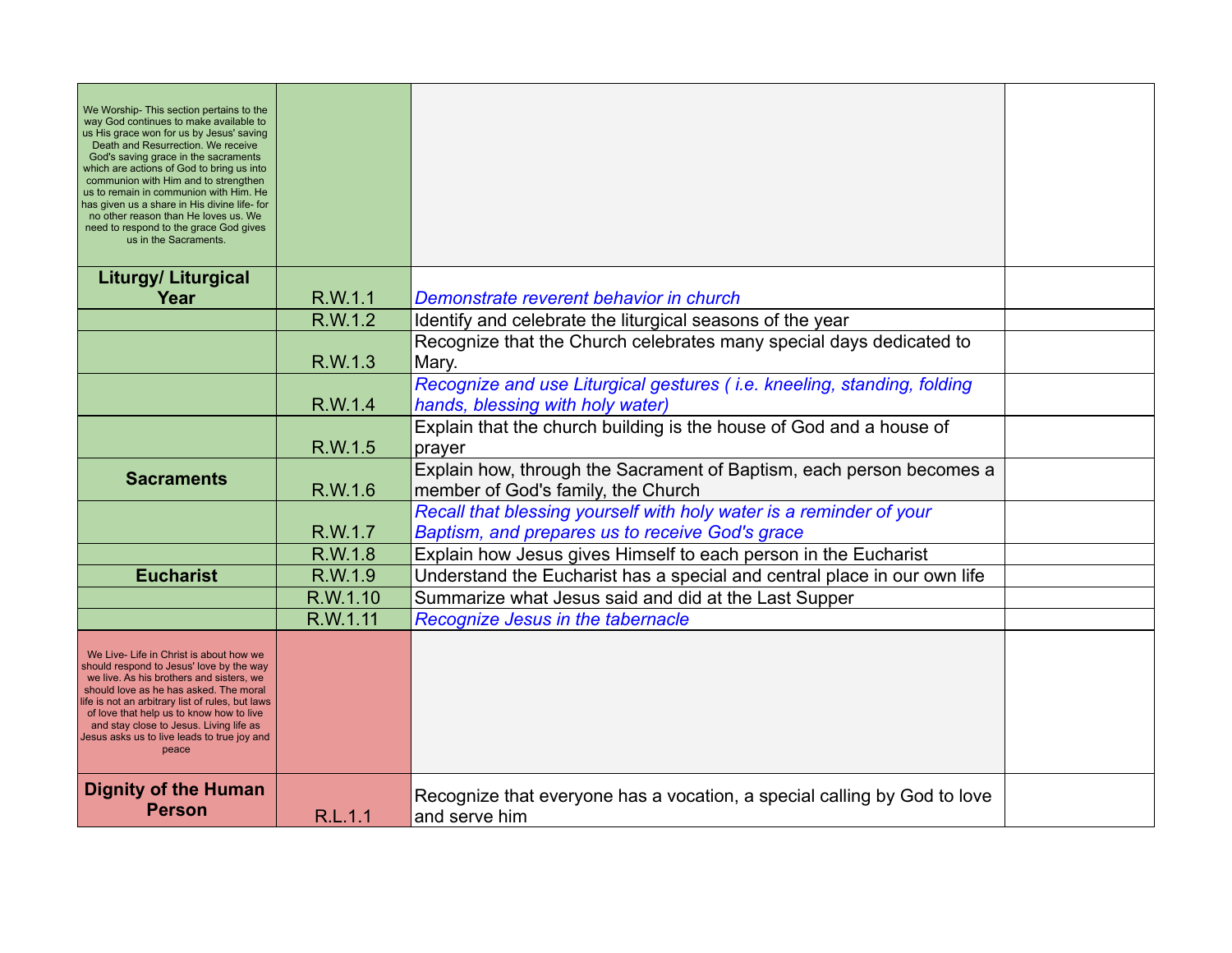| We Worship-This section pertains to the                                                                                  |  |
|--------------------------------------------------------------------------------------------------------------------------|--|
| way God continues to make available to<br>us His grace won for us by Jesus' saving<br>Death and Resurrection. We receive |  |
| God's saving grace in the sacraments<br>which are actions of God to bring us into                                        |  |
| communion with Him and to strengthen<br>us to remain in communion with Him. He                                           |  |
| has given us a share in His divine life- for<br>no other reason than He loves us. We                                     |  |
| need to respond to the grace God gives<br>us in the Sacraments.                                                          |  |
|                                                                                                                          |  |
| <b>Liturgy/ Liturgical</b><br>R.W.1.1<br>Demonstrate reverent behavior in church<br>Year                                 |  |
| R.W.1.2<br>Identify and celebrate the liturgical seasons of the year                                                     |  |
| Recognize that the Church celebrates many special days dedicated to                                                      |  |
| R.W.1.3<br>Mary.                                                                                                         |  |
| Recognize and use Liturgical gestures (i.e. kneeling, standing, folding                                                  |  |
| R.W.1.4<br>hands, blessing with holy water)                                                                              |  |
| Explain that the church building is the house of God and a house of                                                      |  |
| R.W.1.5<br>prayer<br>Explain how, through the Sacrament of Baptism, each person becomes a                                |  |
| <b>Sacraments</b><br>R.W.1.6<br>member of God's family, the Church                                                       |  |
| Recall that blessing yourself with holy water is a reminder of your                                                      |  |
| R.W.1.7<br>Baptism, and prepares us to receive God's grace                                                               |  |
| R.W.1.8<br>Explain how Jesus gives Himself to each person in the Eucharist                                               |  |
| R.W.1.9<br><b>Eucharist</b><br>Understand the Eucharist has a special and central place in our own life                  |  |
| R.W.1.10<br>Summarize what Jesus said and did at the Last Supper                                                         |  |
| R.W.1.11<br>Recognize Jesus in the tabernacle                                                                            |  |
| We Live- Life in Christ is about how we                                                                                  |  |
| should respond to Jesus' love by the way<br>we live. As his brothers and sisters, we                                     |  |
| should love as he has asked. The moral<br>life is not an arbitrary list of rules, but laws                               |  |
| of love that help us to know how to live<br>and stay close to Jesus. Living life as                                      |  |
| Jesus asks us to live leads to true joy and<br>peace                                                                     |  |
|                                                                                                                          |  |
|                                                                                                                          |  |
| <b>Dignity of the Human</b><br>Recognize that everyone has a vocation, a special calling by God to love                  |  |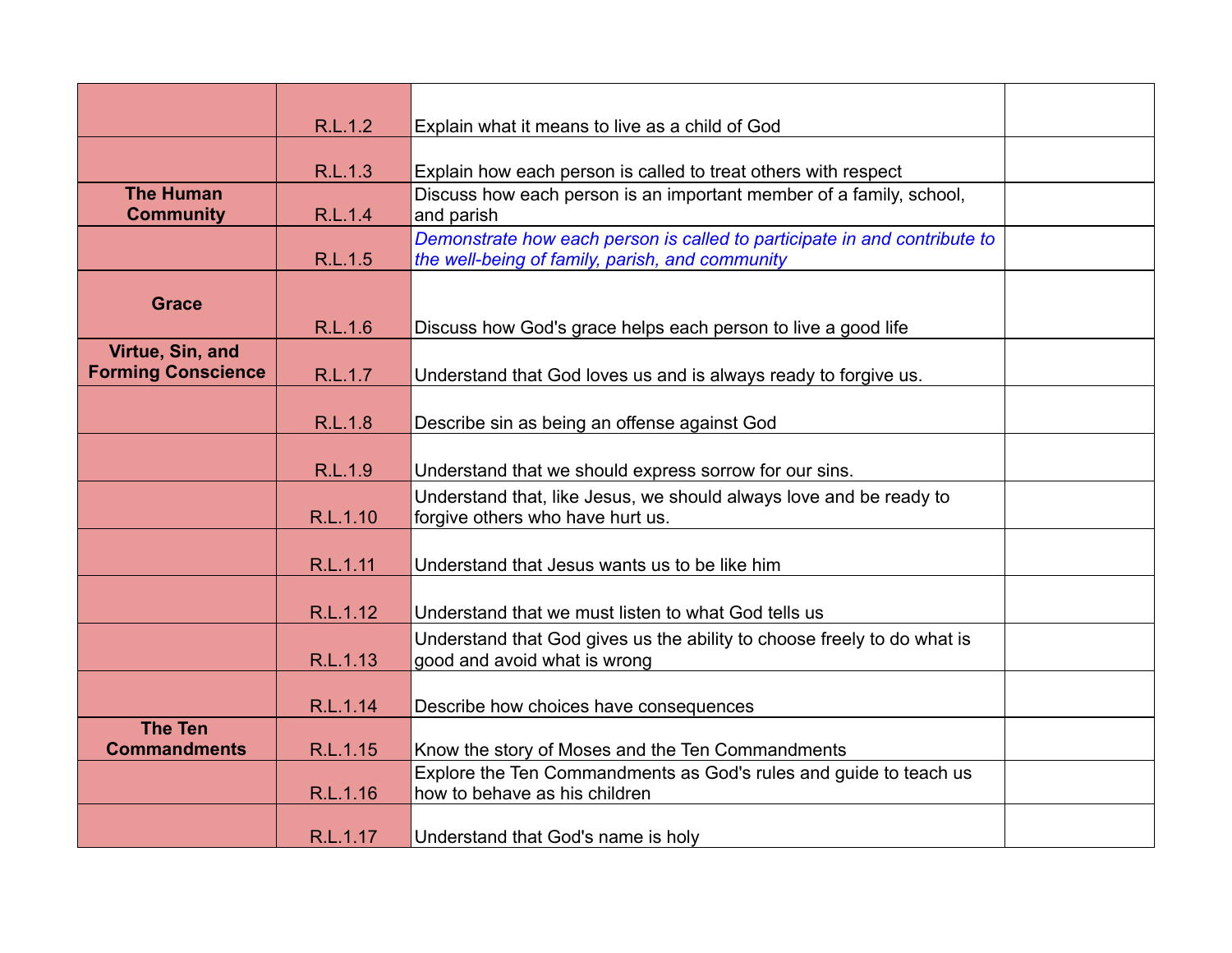|                           | R.L.1.2  | Explain what it means to live as a child of God                                                                                       |  |
|---------------------------|----------|---------------------------------------------------------------------------------------------------------------------------------------|--|
|                           |          |                                                                                                                                       |  |
| <b>The Human</b>          | R.L.1.3  | Explain how each person is called to treat others with respect<br>Discuss how each person is an important member of a family, school, |  |
| <b>Community</b>          | R.L.1.4  | and parish                                                                                                                            |  |
|                           |          | Demonstrate how each person is called to participate in and contribute to                                                             |  |
|                           | R.L.1.5  | the well-being of family, parish, and community                                                                                       |  |
|                           |          |                                                                                                                                       |  |
| <b>Grace</b>              |          |                                                                                                                                       |  |
|                           | R.L.1.6  | Discuss how God's grace helps each person to live a good life                                                                         |  |
| Virtue, Sin, and          |          |                                                                                                                                       |  |
| <b>Forming Conscience</b> | R.L.1.7  | Understand that God loves us and is always ready to forgive us.                                                                       |  |
|                           |          |                                                                                                                                       |  |
|                           | R.L.1.8  | Describe sin as being an offense against God                                                                                          |  |
|                           |          |                                                                                                                                       |  |
|                           | R.L.1.9  | Understand that we should express sorrow for our sins.                                                                                |  |
|                           | R.L.1.10 | Understand that, like Jesus, we should always love and be ready to<br>forgive others who have hurt us.                                |  |
|                           |          |                                                                                                                                       |  |
|                           | R.L.1.11 | Understand that Jesus wants us to be like him                                                                                         |  |
|                           |          |                                                                                                                                       |  |
|                           | R.L.1.12 | Understand that we must listen to what God tells us                                                                                   |  |
|                           |          | Understand that God gives us the ability to choose freely to do what is                                                               |  |
|                           | R.L.1.13 | good and avoid what is wrong                                                                                                          |  |
|                           |          |                                                                                                                                       |  |
|                           | R.L.1.14 | Describe how choices have consequences                                                                                                |  |
| <b>The Ten</b>            |          |                                                                                                                                       |  |
| <b>Commandments</b>       | R.L.1.15 | Know the story of Moses and the Ten Commandments                                                                                      |  |
|                           | R.L.1.16 | Explore the Ten Commandments as God's rules and guide to teach us<br>how to behave as his children                                    |  |
|                           |          |                                                                                                                                       |  |
|                           | R.L.1.17 | Understand that God's name is holy                                                                                                    |  |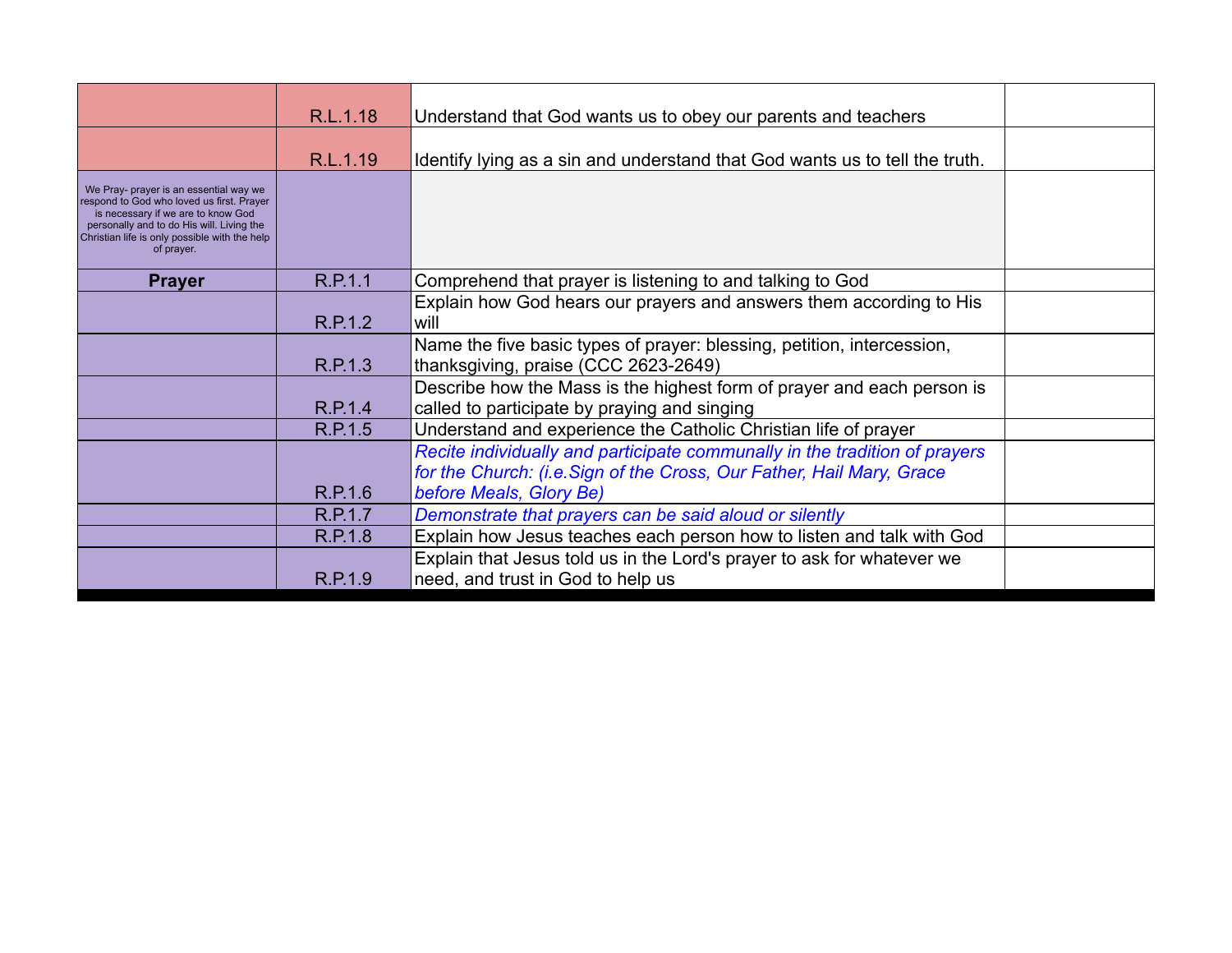|                                                                                                                                                                                                                                       | R.L.1.18 | Understand that God wants us to obey our parents and teachers                                                                                       |  |
|---------------------------------------------------------------------------------------------------------------------------------------------------------------------------------------------------------------------------------------|----------|-----------------------------------------------------------------------------------------------------------------------------------------------------|--|
|                                                                                                                                                                                                                                       | R.L.1.19 | Identify lying as a sin and understand that God wants us to tell the truth.                                                                         |  |
| We Pray- prayer is an essential way we<br>respond to God who loved us first. Prayer<br>is necessary if we are to know God<br>personally and to do His will. Living the<br>Christian life is only possible with the help<br>of prayer. |          |                                                                                                                                                     |  |
| <b>Prayer</b>                                                                                                                                                                                                                         | R.P.1.1  | Comprehend that prayer is listening to and talking to God                                                                                           |  |
|                                                                                                                                                                                                                                       | R.P.1.2  | Explain how God hears our prayers and answers them according to His<br>will                                                                         |  |
|                                                                                                                                                                                                                                       | R.P.1.3  | Name the five basic types of prayer: blessing, petition, intercession,<br>thanksgiving, praise (CCC 2623-2649)                                      |  |
|                                                                                                                                                                                                                                       | R.P.1.4  | Describe how the Mass is the highest form of prayer and each person is<br>called to participate by praying and singing                              |  |
|                                                                                                                                                                                                                                       | R.P.1.5  | Understand and experience the Catholic Christian life of prayer                                                                                     |  |
|                                                                                                                                                                                                                                       | R.P.1.6  | Recite individually and participate communally in the tradition of prayers<br>for the Church: (i.e. Sign of the Cross, Our Father, Hail Mary, Grace |  |
|                                                                                                                                                                                                                                       | R.P.1.7  | before Meals, Glory Be)                                                                                                                             |  |
|                                                                                                                                                                                                                                       | R.P.1.8  | Demonstrate that prayers can be said aloud or silently<br>Explain how Jesus teaches each person how to listen and talk with God                     |  |
|                                                                                                                                                                                                                                       |          |                                                                                                                                                     |  |
|                                                                                                                                                                                                                                       | R.P.1.9  | Explain that Jesus told us in the Lord's prayer to ask for whatever we<br>need, and trust in God to help us                                         |  |
|                                                                                                                                                                                                                                       |          |                                                                                                                                                     |  |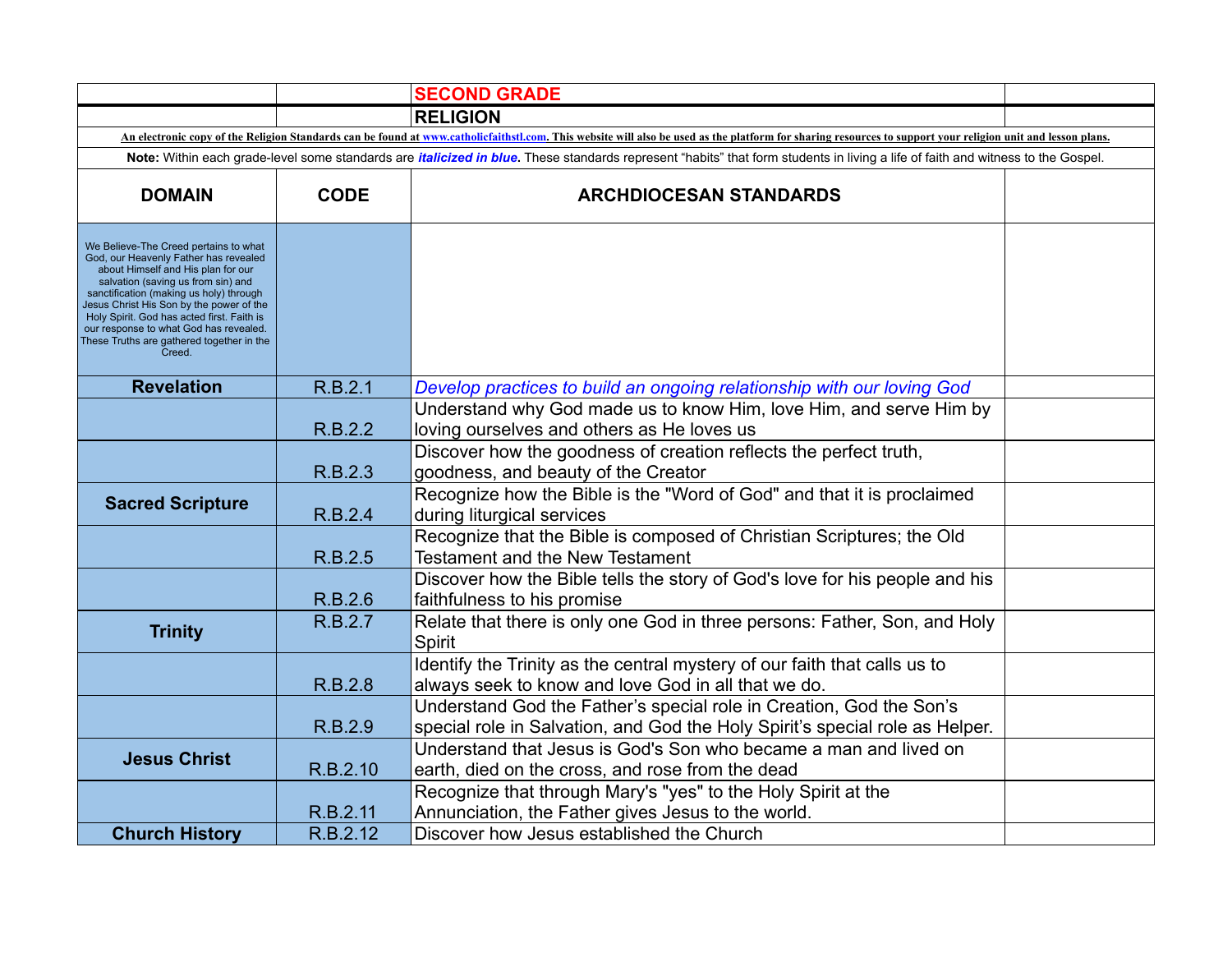|                                                                                                                                                                                                                                                                                                                                                                                                  |             | <b>SECOND GRADE</b>                                                                                                                                                                                         |  |
|--------------------------------------------------------------------------------------------------------------------------------------------------------------------------------------------------------------------------------------------------------------------------------------------------------------------------------------------------------------------------------------------------|-------------|-------------------------------------------------------------------------------------------------------------------------------------------------------------------------------------------------------------|--|
|                                                                                                                                                                                                                                                                                                                                                                                                  |             | <b>RELIGION</b>                                                                                                                                                                                             |  |
|                                                                                                                                                                                                                                                                                                                                                                                                  |             | An electronic copy of the Religion Standards can be found at www.catholicfaithstl.com. This website will also be used as the platform for sharing resources to support your religion unit and lesson plans. |  |
|                                                                                                                                                                                                                                                                                                                                                                                                  |             | Note: Within each grade-level some standards are <i>italicized in blue</i> . These standards represent "habits" that form students in living a life of faith and witness to the Gospel.                     |  |
| <b>DOMAIN</b>                                                                                                                                                                                                                                                                                                                                                                                    | <b>CODE</b> | <b>ARCHDIOCESAN STANDARDS</b>                                                                                                                                                                               |  |
| We Believe-The Creed pertains to what<br>God, our Heavenly Father has revealed<br>about Himself and His plan for our<br>salvation (saving us from sin) and<br>sanctification (making us holy) through<br>Jesus Christ His Son by the power of the<br>Holy Spirit. God has acted first. Faith is<br>our response to what God has revealed.<br>These Truths are gathered together in the<br>Creed. |             |                                                                                                                                                                                                             |  |
| <b>Revelation</b>                                                                                                                                                                                                                                                                                                                                                                                | R.B.2.1     | Develop practices to build an ongoing relationship with our loving God                                                                                                                                      |  |
|                                                                                                                                                                                                                                                                                                                                                                                                  | R.B.2.2     | Understand why God made us to know Him, love Him, and serve Him by<br>loving ourselves and others as He loves us                                                                                            |  |
|                                                                                                                                                                                                                                                                                                                                                                                                  | R.B.2.3     | Discover how the goodness of creation reflects the perfect truth,<br>goodness, and beauty of the Creator                                                                                                    |  |
| <b>Sacred Scripture</b>                                                                                                                                                                                                                                                                                                                                                                          | R.B.2.4     | Recognize how the Bible is the "Word of God" and that it is proclaimed<br>during liturgical services                                                                                                        |  |
|                                                                                                                                                                                                                                                                                                                                                                                                  | R.B.2.5     | Recognize that the Bible is composed of Christian Scriptures; the Old<br><b>Testament and the New Testament</b>                                                                                             |  |
|                                                                                                                                                                                                                                                                                                                                                                                                  | R.B.2.6     | Discover how the Bible tells the story of God's love for his people and his<br>faithfulness to his promise                                                                                                  |  |
| <b>Trinity</b>                                                                                                                                                                                                                                                                                                                                                                                   | R.B.2.7     | Relate that there is only one God in three persons: Father, Son, and Holy<br>Spirit                                                                                                                         |  |
|                                                                                                                                                                                                                                                                                                                                                                                                  | R.B.2.8     | Identify the Trinity as the central mystery of our faith that calls us to<br>always seek to know and love God in all that we do.                                                                            |  |
|                                                                                                                                                                                                                                                                                                                                                                                                  | R.B.2.9     | Understand God the Father's special role in Creation, God the Son's<br>special role in Salvation, and God the Holy Spirit's special role as Helper.                                                         |  |
| <b>Jesus Christ</b>                                                                                                                                                                                                                                                                                                                                                                              | R.B.2.10    | Understand that Jesus is God's Son who became a man and lived on<br>earth, died on the cross, and rose from the dead                                                                                        |  |
|                                                                                                                                                                                                                                                                                                                                                                                                  | R.B.2.11    | Recognize that through Mary's "yes" to the Holy Spirit at the<br>Annunciation, the Father gives Jesus to the world.                                                                                         |  |
| <b>Church History</b>                                                                                                                                                                                                                                                                                                                                                                            | R.B.2.12    | Discover how Jesus established the Church                                                                                                                                                                   |  |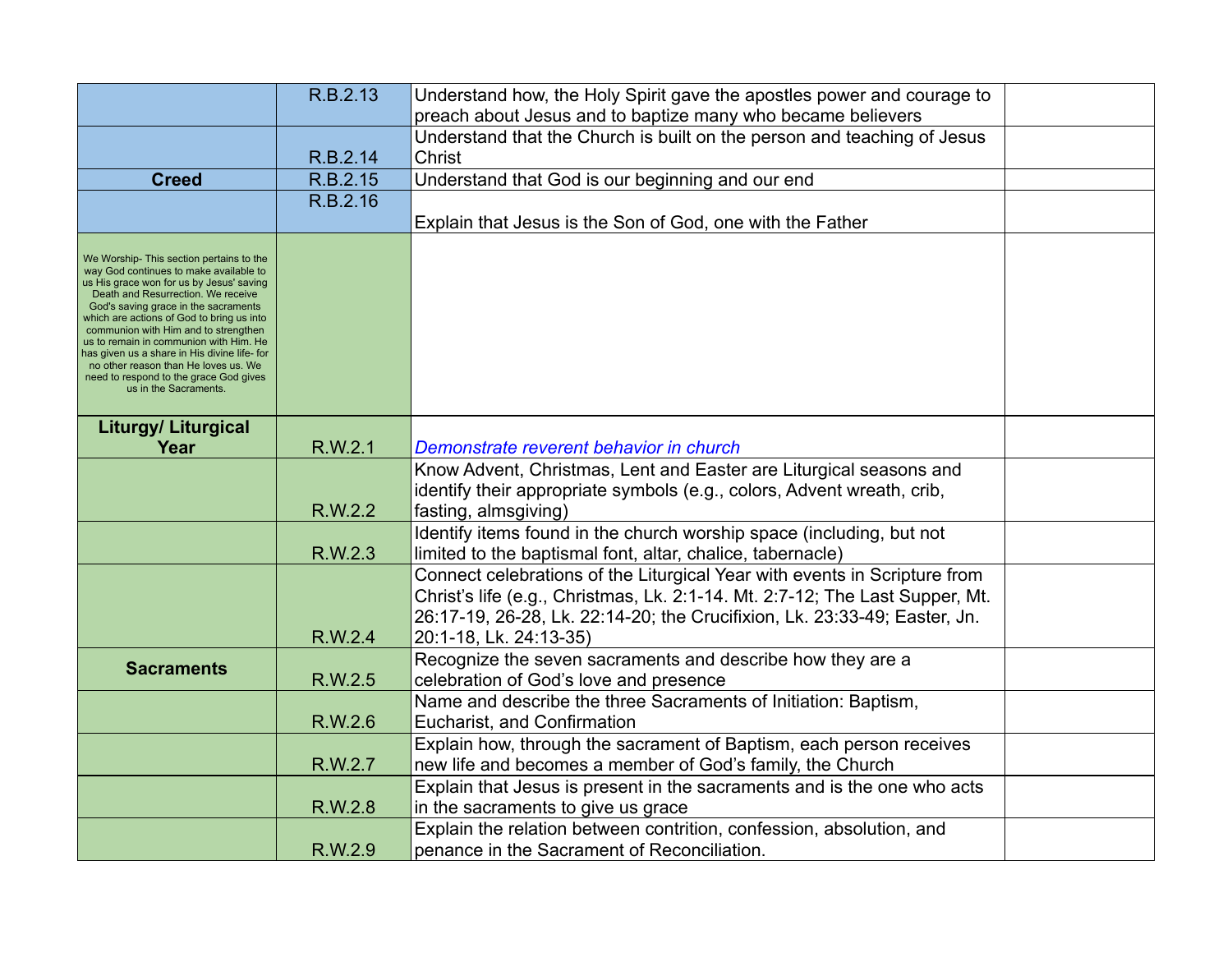|                                                                                                                                                                                                                                                                                                                                                                                                                                                                                                        | R.B.2.13 | Understand how, the Holy Spirit gave the apostles power and courage to                                                                                                                                                                                           |  |
|--------------------------------------------------------------------------------------------------------------------------------------------------------------------------------------------------------------------------------------------------------------------------------------------------------------------------------------------------------------------------------------------------------------------------------------------------------------------------------------------------------|----------|------------------------------------------------------------------------------------------------------------------------------------------------------------------------------------------------------------------------------------------------------------------|--|
|                                                                                                                                                                                                                                                                                                                                                                                                                                                                                                        |          | preach about Jesus and to baptize many who became believers                                                                                                                                                                                                      |  |
|                                                                                                                                                                                                                                                                                                                                                                                                                                                                                                        |          | Understand that the Church is built on the person and teaching of Jesus                                                                                                                                                                                          |  |
|                                                                                                                                                                                                                                                                                                                                                                                                                                                                                                        | R.B.2.14 | Christ                                                                                                                                                                                                                                                           |  |
| <b>Creed</b>                                                                                                                                                                                                                                                                                                                                                                                                                                                                                           | R.B.2.15 | Understand that God is our beginning and our end                                                                                                                                                                                                                 |  |
|                                                                                                                                                                                                                                                                                                                                                                                                                                                                                                        | R.B.2.16 |                                                                                                                                                                                                                                                                  |  |
|                                                                                                                                                                                                                                                                                                                                                                                                                                                                                                        |          | Explain that Jesus is the Son of God, one with the Father                                                                                                                                                                                                        |  |
| We Worship- This section pertains to the<br>way God continues to make available to<br>us His grace won for us by Jesus' saving<br>Death and Resurrection. We receive<br>God's saving grace in the sacraments<br>which are actions of God to bring us into<br>communion with Him and to strengthen<br>us to remain in communion with Him. He<br>has given us a share in His divine life- for<br>no other reason than He loves us. We<br>need to respond to the grace God gives<br>us in the Sacraments. |          |                                                                                                                                                                                                                                                                  |  |
| <b>Liturgy/ Liturgical</b>                                                                                                                                                                                                                                                                                                                                                                                                                                                                             |          |                                                                                                                                                                                                                                                                  |  |
| Year                                                                                                                                                                                                                                                                                                                                                                                                                                                                                                   | R.W.2.1  | Demonstrate reverent behavior in church                                                                                                                                                                                                                          |  |
|                                                                                                                                                                                                                                                                                                                                                                                                                                                                                                        |          | Know Advent, Christmas, Lent and Easter are Liturgical seasons and                                                                                                                                                                                               |  |
|                                                                                                                                                                                                                                                                                                                                                                                                                                                                                                        |          | identify their appropriate symbols (e.g., colors, Advent wreath, crib,                                                                                                                                                                                           |  |
|                                                                                                                                                                                                                                                                                                                                                                                                                                                                                                        | R.W.2.2  | fasting, almsgiving)                                                                                                                                                                                                                                             |  |
|                                                                                                                                                                                                                                                                                                                                                                                                                                                                                                        |          | Identify items found in the church worship space (including, but not                                                                                                                                                                                             |  |
|                                                                                                                                                                                                                                                                                                                                                                                                                                                                                                        | R.W.2.3  | limited to the baptismal font, altar, chalice, tabernacle)                                                                                                                                                                                                       |  |
|                                                                                                                                                                                                                                                                                                                                                                                                                                                                                                        | R.W.2.4  | Connect celebrations of the Liturgical Year with events in Scripture from<br>Christ's life (e.g., Christmas, Lk. 2:1-14. Mt. 2:7-12; The Last Supper, Mt.<br>26:17-19, 26-28, Lk. 22:14-20; the Crucifixion, Lk. 23:33-49; Easter, Jn.<br>20:1-18, Lk. 24:13-35) |  |
| <b>Sacraments</b>                                                                                                                                                                                                                                                                                                                                                                                                                                                                                      | R.W.2.5  | Recognize the seven sacraments and describe how they are a<br>celebration of God's love and presence                                                                                                                                                             |  |
|                                                                                                                                                                                                                                                                                                                                                                                                                                                                                                        | R.W.2.6  | Name and describe the three Sacraments of Initiation: Baptism,<br>Eucharist, and Confirmation                                                                                                                                                                    |  |
|                                                                                                                                                                                                                                                                                                                                                                                                                                                                                                        | R.W.2.7  | Explain how, through the sacrament of Baptism, each person receives<br>new life and becomes a member of God's family, the Church                                                                                                                                 |  |
|                                                                                                                                                                                                                                                                                                                                                                                                                                                                                                        | R.W.2.8  | Explain that Jesus is present in the sacraments and is the one who acts<br>in the sacraments to give us grace                                                                                                                                                    |  |
|                                                                                                                                                                                                                                                                                                                                                                                                                                                                                                        | R.W.2.9  | Explain the relation between contrition, confession, absolution, and<br>penance in the Sacrament of Reconciliation.                                                                                                                                              |  |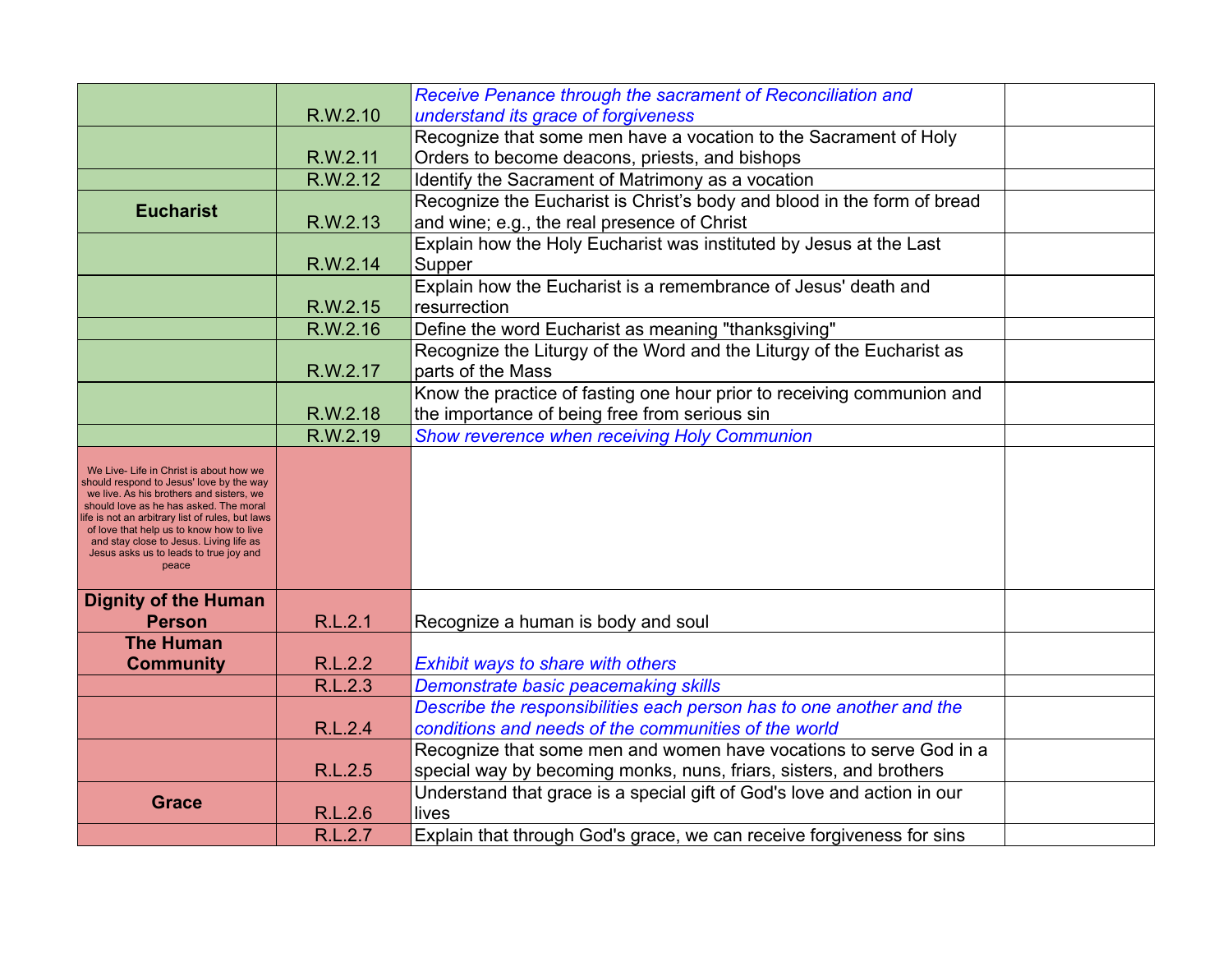|                                                                                                                                                                                                                                                                                                                                                                        |          | Receive Penance through the sacrament of Reconciliation and             |  |
|------------------------------------------------------------------------------------------------------------------------------------------------------------------------------------------------------------------------------------------------------------------------------------------------------------------------------------------------------------------------|----------|-------------------------------------------------------------------------|--|
|                                                                                                                                                                                                                                                                                                                                                                        | R.W.2.10 | understand its grace of forgiveness                                     |  |
|                                                                                                                                                                                                                                                                                                                                                                        |          | Recognize that some men have a vocation to the Sacrament of Holy        |  |
|                                                                                                                                                                                                                                                                                                                                                                        | R.W.2.11 | Orders to become deacons, priests, and bishops                          |  |
|                                                                                                                                                                                                                                                                                                                                                                        | R.W.2.12 | Identify the Sacrament of Matrimony as a vocation                       |  |
| <b>Eucharist</b>                                                                                                                                                                                                                                                                                                                                                       |          | Recognize the Eucharist is Christ's body and blood in the form of bread |  |
|                                                                                                                                                                                                                                                                                                                                                                        | R.W.2.13 | and wine; e.g., the real presence of Christ                             |  |
|                                                                                                                                                                                                                                                                                                                                                                        |          | Explain how the Holy Eucharist was instituted by Jesus at the Last      |  |
|                                                                                                                                                                                                                                                                                                                                                                        | R.W.2.14 | Supper                                                                  |  |
|                                                                                                                                                                                                                                                                                                                                                                        |          | Explain how the Eucharist is a remembrance of Jesus' death and          |  |
|                                                                                                                                                                                                                                                                                                                                                                        | R.W.2.15 | resurrection                                                            |  |
|                                                                                                                                                                                                                                                                                                                                                                        | R.W.2.16 | Define the word Eucharist as meaning "thanksgiving"                     |  |
|                                                                                                                                                                                                                                                                                                                                                                        |          | Recognize the Liturgy of the Word and the Liturgy of the Eucharist as   |  |
|                                                                                                                                                                                                                                                                                                                                                                        | R.W.2.17 | parts of the Mass                                                       |  |
|                                                                                                                                                                                                                                                                                                                                                                        |          | Know the practice of fasting one hour prior to receiving communion and  |  |
|                                                                                                                                                                                                                                                                                                                                                                        | R.W.2.18 | the importance of being free from serious sin                           |  |
|                                                                                                                                                                                                                                                                                                                                                                        | R.W.2.19 | Show reverence when receiving Holy Communion                            |  |
| We Live- Life in Christ is about how we<br>should respond to Jesus' love by the way<br>we live. As his brothers and sisters, we<br>should love as he has asked. The moral<br>ife is not an arbitrary list of rules, but laws<br>of love that help us to know how to live<br>and stay close to Jesus. Living life as<br>Jesus asks us to leads to true joy and<br>peace |          |                                                                         |  |
| <b>Dignity of the Human</b>                                                                                                                                                                                                                                                                                                                                            |          |                                                                         |  |
| <b>Person</b>                                                                                                                                                                                                                                                                                                                                                          | R.L.2.1  | Recognize a human is body and soul                                      |  |
| <b>The Human</b>                                                                                                                                                                                                                                                                                                                                                       |          |                                                                         |  |
| <b>Community</b>                                                                                                                                                                                                                                                                                                                                                       | R.L.2.2  | Exhibit ways to share with others                                       |  |
|                                                                                                                                                                                                                                                                                                                                                                        | R.L.2.3  | Demonstrate basic peacemaking skills                                    |  |
|                                                                                                                                                                                                                                                                                                                                                                        |          | Describe the responsibilities each person has to one another and the    |  |
|                                                                                                                                                                                                                                                                                                                                                                        | R.L.2.4  | conditions and needs of the communities of the world                    |  |
|                                                                                                                                                                                                                                                                                                                                                                        |          | Recognize that some men and women have vocations to serve God in a      |  |
|                                                                                                                                                                                                                                                                                                                                                                        | R.L.2.5  | special way by becoming monks, nuns, friars, sisters, and brothers      |  |
| <b>Grace</b>                                                                                                                                                                                                                                                                                                                                                           |          | Understand that grace is a special gift of God's love and action in our |  |
|                                                                                                                                                                                                                                                                                                                                                                        | R.L.2.6  | lives                                                                   |  |
|                                                                                                                                                                                                                                                                                                                                                                        | R.L.2.7  | Explain that through God's grace, we can receive forgiveness for sins   |  |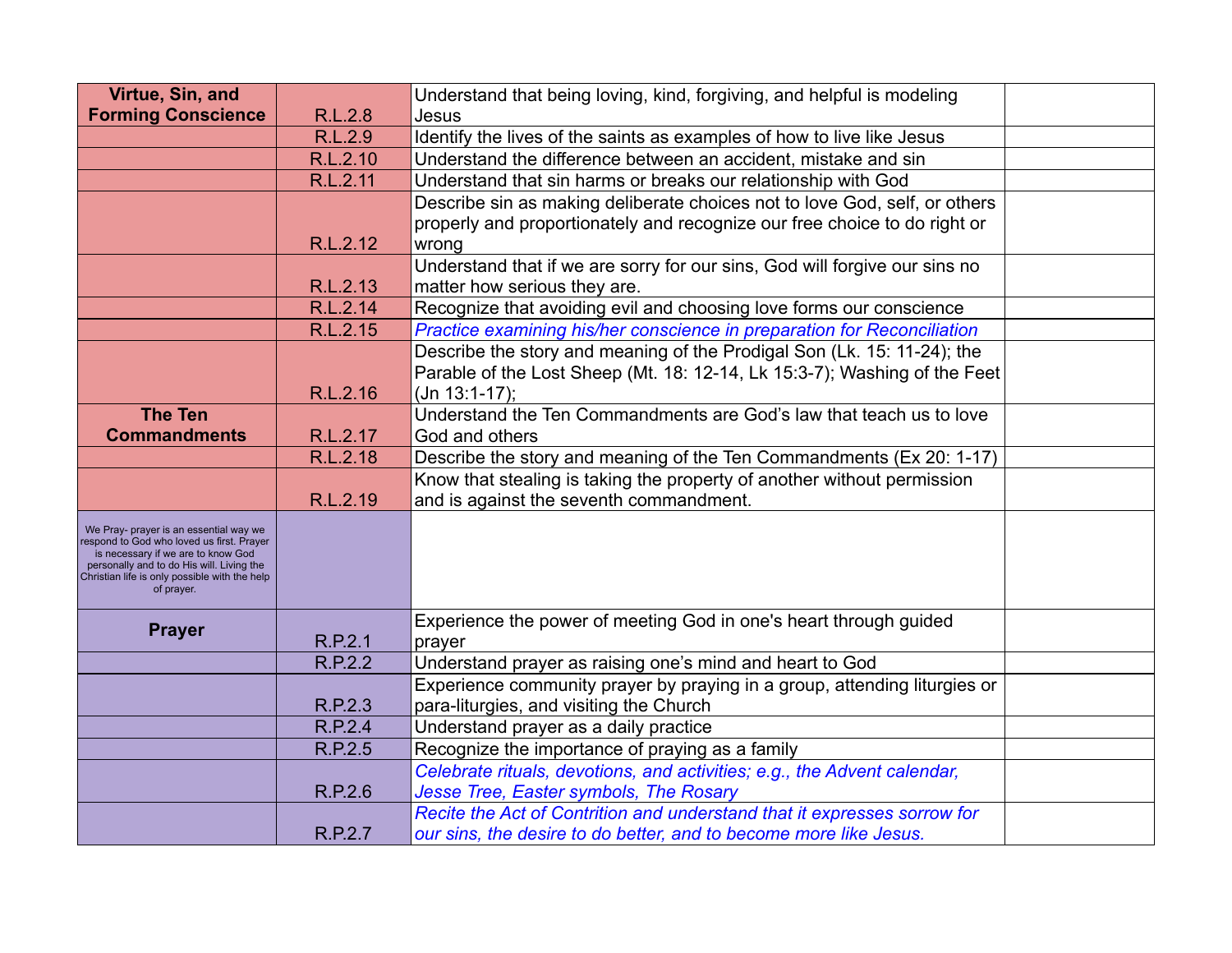| Virtue, Sin, and                                                                                                                                                                                                                     |          | Understand that being loving, kind, forgiving, and helpful is modeling     |  |
|--------------------------------------------------------------------------------------------------------------------------------------------------------------------------------------------------------------------------------------|----------|----------------------------------------------------------------------------|--|
| <b>Forming Conscience</b>                                                                                                                                                                                                            | R.L.2.8  | Jesus                                                                      |  |
|                                                                                                                                                                                                                                      | R.L.2.9  | Identify the lives of the saints as examples of how to live like Jesus     |  |
|                                                                                                                                                                                                                                      | R.L.2.10 | Understand the difference between an accident, mistake and sin             |  |
|                                                                                                                                                                                                                                      | R.L.2.11 | Understand that sin harms or breaks our relationship with God              |  |
|                                                                                                                                                                                                                                      |          | Describe sin as making deliberate choices not to love God, self, or others |  |
|                                                                                                                                                                                                                                      |          | properly and proportionately and recognize our free choice to do right or  |  |
|                                                                                                                                                                                                                                      | R.L.2.12 | wrong                                                                      |  |
|                                                                                                                                                                                                                                      |          | Understand that if we are sorry for our sins, God will forgive our sins no |  |
|                                                                                                                                                                                                                                      | R.L.2.13 | matter how serious they are.                                               |  |
|                                                                                                                                                                                                                                      | R.L.2.14 | Recognize that avoiding evil and choosing love forms our conscience        |  |
|                                                                                                                                                                                                                                      | R.L.2.15 | Practice examining his/her conscience in preparation for Reconciliation    |  |
|                                                                                                                                                                                                                                      |          | Describe the story and meaning of the Prodigal Son (Lk. 15: 11-24); the    |  |
|                                                                                                                                                                                                                                      |          | Parable of the Lost Sheep (Mt. 18: 12-14, Lk 15:3-7); Washing of the Feet  |  |
|                                                                                                                                                                                                                                      | R.L.2.16 | $Jn 13:1-17$ ;                                                             |  |
| <b>The Ten</b>                                                                                                                                                                                                                       |          | Understand the Ten Commandments are God's law that teach us to love        |  |
| <b>Commandments</b>                                                                                                                                                                                                                  | R.L.2.17 | God and others                                                             |  |
|                                                                                                                                                                                                                                      | R.L.2.18 | Describe the story and meaning of the Ten Commandments (Ex 20: 1-17)       |  |
|                                                                                                                                                                                                                                      |          | Know that stealing is taking the property of another without permission    |  |
|                                                                                                                                                                                                                                      | R.L.2.19 | and is against the seventh commandment.                                    |  |
| We Pray- prayer is an essential way we<br>espond to God who loved us first. Prayer<br>is necessary if we are to know God<br>personally and to do His will. Living the<br>Christian life is only possible with the help<br>of prayer. |          |                                                                            |  |
| <b>Prayer</b>                                                                                                                                                                                                                        |          | Experience the power of meeting God in one's heart through guided          |  |
|                                                                                                                                                                                                                                      | R.P.2.1  | prayer                                                                     |  |
|                                                                                                                                                                                                                                      | R.P.2.2  | Understand prayer as raising one's mind and heart to God                   |  |
|                                                                                                                                                                                                                                      |          | Experience community prayer by praying in a group, attending liturgies or  |  |
|                                                                                                                                                                                                                                      | R.P.2.3  | para-liturgies, and visiting the Church                                    |  |
|                                                                                                                                                                                                                                      | R.P.2.4  | Understand prayer as a daily practice                                      |  |
|                                                                                                                                                                                                                                      | R.P.2.5  | Recognize the importance of praying as a family                            |  |
|                                                                                                                                                                                                                                      |          | Celebrate rituals, devotions, and activities; e.g., the Advent calendar,   |  |
|                                                                                                                                                                                                                                      | R.P.2.6  | Jesse Tree, Easter symbols, The Rosary                                     |  |
|                                                                                                                                                                                                                                      |          | Recite the Act of Contrition and understand that it expresses sorrow for   |  |
|                                                                                                                                                                                                                                      | R.P.2.7  | our sins, the desire to do better, and to become more like Jesus.          |  |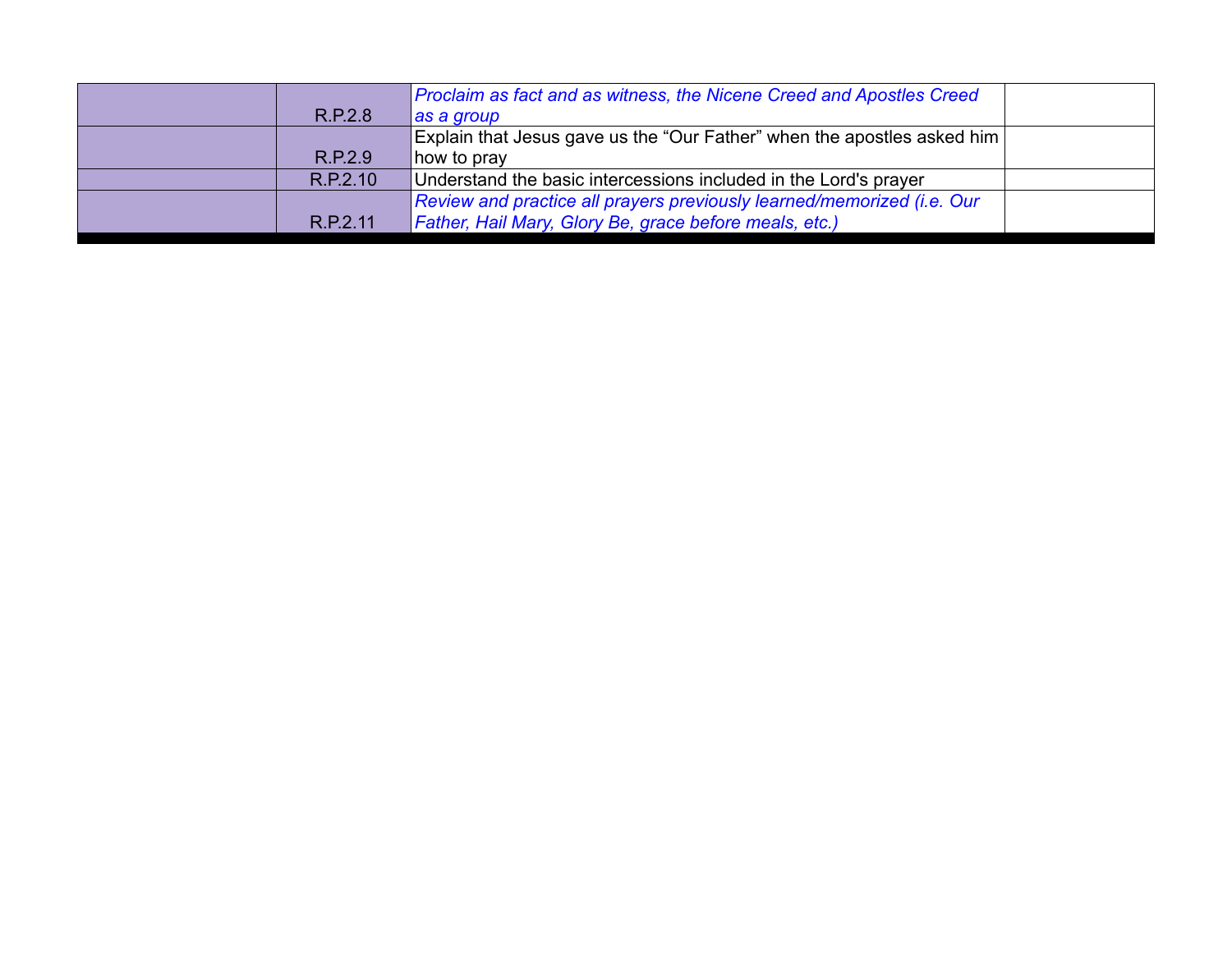|          | Proclaim as fact and as witness, the Nicene Creed and Apostles Creed    |  |
|----------|-------------------------------------------------------------------------|--|
| R.P.2.8  | as a group                                                              |  |
|          | Explain that Jesus gave us the "Our Father" when the apostles asked him |  |
| R.P.2.9  | how to pray                                                             |  |
| R.P.2.10 | Understand the basic intercessions included in the Lord's prayer        |  |
|          | Review and practice all prayers previously learned/memorized (i.e. Our  |  |
| R.P.2.11 | Father, Hail Mary, Glory Be, grace before meals, etc.)                  |  |
|          |                                                                         |  |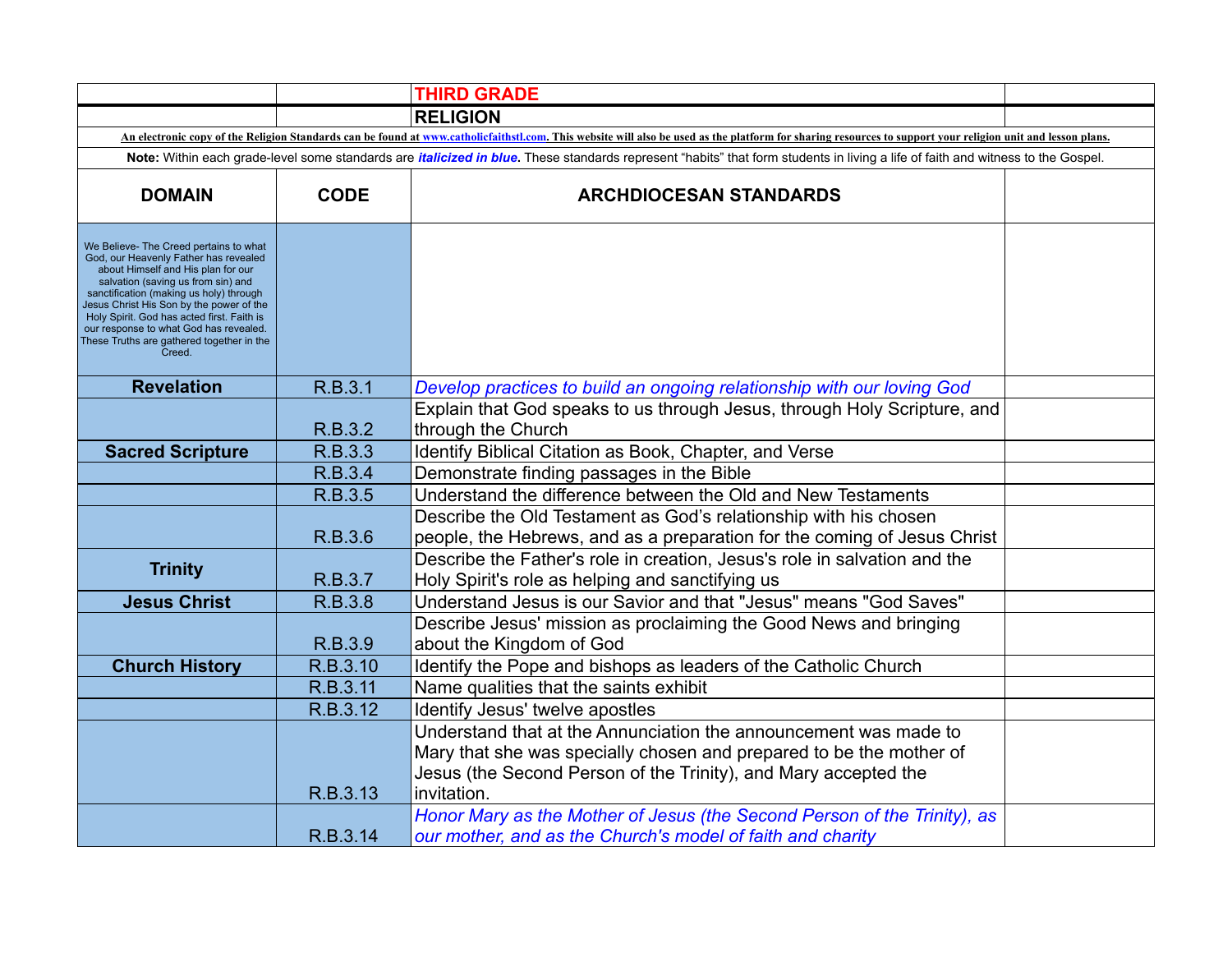|                                                                                                                                                                                                                                                                                                                                                                                                   |             | <b>THIRD GRADE</b>                                                                                                                                                                                          |  |
|---------------------------------------------------------------------------------------------------------------------------------------------------------------------------------------------------------------------------------------------------------------------------------------------------------------------------------------------------------------------------------------------------|-------------|-------------------------------------------------------------------------------------------------------------------------------------------------------------------------------------------------------------|--|
|                                                                                                                                                                                                                                                                                                                                                                                                   |             | <b>RELIGION</b>                                                                                                                                                                                             |  |
|                                                                                                                                                                                                                                                                                                                                                                                                   |             | An electronic copy of the Religion Standards can be found at www.catholicfaithstl.com. This website will also be used as the platform for sharing resources to support your religion unit and lesson plans. |  |
|                                                                                                                                                                                                                                                                                                                                                                                                   |             | Note: Within each grade-level some standards are <i>italicized in blue</i> . These standards represent "habits" that form students in living a life of faith and witness to the Gospel.                     |  |
| <b>DOMAIN</b>                                                                                                                                                                                                                                                                                                                                                                                     | <b>CODE</b> | <b>ARCHDIOCESAN STANDARDS</b>                                                                                                                                                                               |  |
| We Believe- The Creed pertains to what<br>God, our Heavenly Father has revealed<br>about Himself and His plan for our<br>salvation (saving us from sin) and<br>sanctification (making us holy) through<br>Jesus Christ His Son by the power of the<br>Holy Spirit. God has acted first. Faith is<br>our response to what God has revealed.<br>These Truths are gathered together in the<br>Creed. |             |                                                                                                                                                                                                             |  |
| <b>Revelation</b>                                                                                                                                                                                                                                                                                                                                                                                 | R.B.3.1     | Develop practices to build an ongoing relationship with our loving God                                                                                                                                      |  |
| <b>Sacred Scripture</b>                                                                                                                                                                                                                                                                                                                                                                           | R.B.3.2     | Explain that God speaks to us through Jesus, through Holy Scripture, and<br>through the Church                                                                                                              |  |
|                                                                                                                                                                                                                                                                                                                                                                                                   | R.B.3.3     | Identify Biblical Citation as Book, Chapter, and Verse                                                                                                                                                      |  |
|                                                                                                                                                                                                                                                                                                                                                                                                   | R.B.3.4     | Demonstrate finding passages in the Bible                                                                                                                                                                   |  |
|                                                                                                                                                                                                                                                                                                                                                                                                   | R.B.3.5     | Understand the difference between the Old and New Testaments                                                                                                                                                |  |
|                                                                                                                                                                                                                                                                                                                                                                                                   | R.B.3.6     | Describe the Old Testament as God's relationship with his chosen<br>people, the Hebrews, and as a preparation for the coming of Jesus Christ                                                                |  |
| <b>Trinity</b>                                                                                                                                                                                                                                                                                                                                                                                    | R.B.3.7     | Describe the Father's role in creation, Jesus's role in salvation and the<br>Holy Spirit's role as helping and sanctifying us                                                                               |  |
| <b>Jesus Christ</b>                                                                                                                                                                                                                                                                                                                                                                               | R.B.3.8     | Understand Jesus is our Savior and that "Jesus" means "God Saves"                                                                                                                                           |  |
|                                                                                                                                                                                                                                                                                                                                                                                                   | R.B.3.9     | Describe Jesus' mission as proclaiming the Good News and bringing<br>about the Kingdom of God                                                                                                               |  |
| <b>Church History</b>                                                                                                                                                                                                                                                                                                                                                                             | R.B.3.10    | Identify the Pope and bishops as leaders of the Catholic Church                                                                                                                                             |  |
|                                                                                                                                                                                                                                                                                                                                                                                                   | R.B.3.11    | Name qualities that the saints exhibit                                                                                                                                                                      |  |
|                                                                                                                                                                                                                                                                                                                                                                                                   | R.B.3.12    | Identify Jesus' twelve apostles                                                                                                                                                                             |  |
|                                                                                                                                                                                                                                                                                                                                                                                                   |             | Understand that at the Annunciation the announcement was made to                                                                                                                                            |  |
|                                                                                                                                                                                                                                                                                                                                                                                                   |             | Mary that she was specially chosen and prepared to be the mother of                                                                                                                                         |  |
|                                                                                                                                                                                                                                                                                                                                                                                                   |             | Jesus (the Second Person of the Trinity), and Mary accepted the                                                                                                                                             |  |
|                                                                                                                                                                                                                                                                                                                                                                                                   | R.B.3.13    | invitation.                                                                                                                                                                                                 |  |
|                                                                                                                                                                                                                                                                                                                                                                                                   | R.B.3.14    | Honor Mary as the Mother of Jesus (the Second Person of the Trinity), as<br>our mother, and as the Church's model of faith and charity                                                                      |  |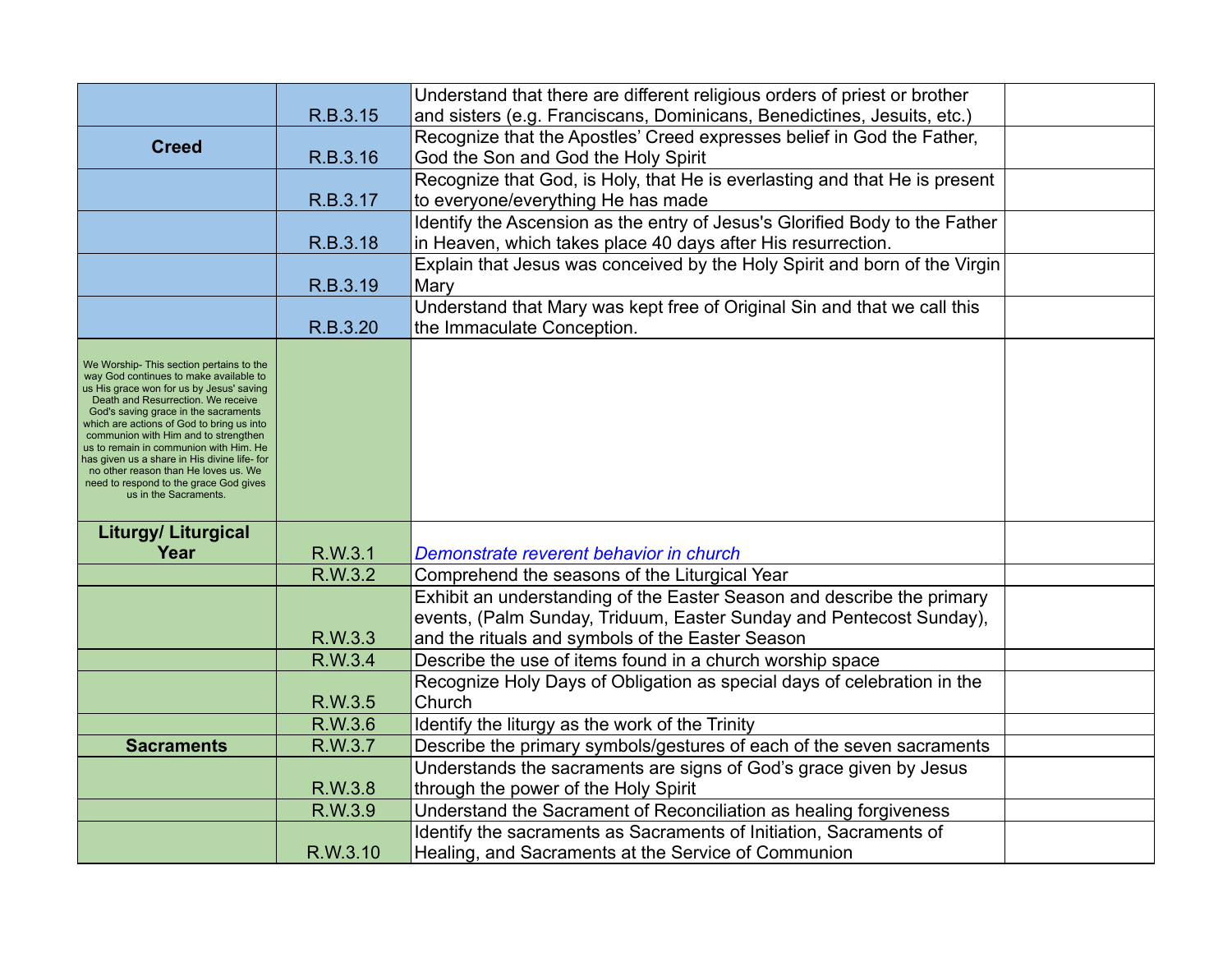|                                                                                      |          | Understand that there are different religious orders of priest or brother   |  |
|--------------------------------------------------------------------------------------|----------|-----------------------------------------------------------------------------|--|
|                                                                                      | R.B.3.15 | and sisters (e.g. Franciscans, Dominicans, Benedictines, Jesuits, etc.)     |  |
| <b>Creed</b>                                                                         |          | Recognize that the Apostles' Creed expresses belief in God the Father,      |  |
|                                                                                      | R.B.3.16 | God the Son and God the Holy Spirit                                         |  |
|                                                                                      |          | Recognize that God, is Holy, that He is everlasting and that He is present  |  |
|                                                                                      | R.B.3.17 | to everyone/everything He has made                                          |  |
|                                                                                      |          | Identify the Ascension as the entry of Jesus's Glorified Body to the Father |  |
|                                                                                      | R.B.3.18 | in Heaven, which takes place 40 days after His resurrection.                |  |
|                                                                                      |          | Explain that Jesus was conceived by the Holy Spirit and born of the Virgin  |  |
|                                                                                      | R.B.3.19 | Mary                                                                        |  |
|                                                                                      |          | Understand that Mary was kept free of Original Sin and that we call this    |  |
|                                                                                      | R.B.3.20 | the Immaculate Conception.                                                  |  |
| We Worship- This section pertains to the                                             |          |                                                                             |  |
| way God continues to make available to                                               |          |                                                                             |  |
| us His grace won for us by Jesus' saving<br>Death and Resurrection. We receive       |          |                                                                             |  |
| God's saving grace in the sacraments<br>which are actions of God to bring us into    |          |                                                                             |  |
| communion with Him and to strengthen<br>us to remain in communion with Him. He       |          |                                                                             |  |
| has given us a share in His divine life- for<br>no other reason than He loves us. We |          |                                                                             |  |
| need to respond to the grace God gives                                               |          |                                                                             |  |
| us in the Sacraments.                                                                |          |                                                                             |  |
| <b>Liturgy/ Liturgical</b>                                                           |          |                                                                             |  |
| Year                                                                                 | R.W.3.1  | Demonstrate reverent behavior in church                                     |  |
|                                                                                      | R.W.3.2  | Comprehend the seasons of the Liturgical Year                               |  |
|                                                                                      |          | Exhibit an understanding of the Easter Season and describe the primary      |  |
|                                                                                      |          | events, (Palm Sunday, Triduum, Easter Sunday and Pentecost Sunday),         |  |
|                                                                                      | R.W.3.3  | and the rituals and symbols of the Easter Season                            |  |
|                                                                                      | R.W.3.4  | Describe the use of items found in a church worship space                   |  |
|                                                                                      |          | Recognize Holy Days of Obligation as special days of celebration in the     |  |
|                                                                                      | R.W.3.5  | Church                                                                      |  |
|                                                                                      | R.W.3.6  | Identify the liturgy as the work of the Trinity                             |  |
| <b>Sacraments</b>                                                                    | R.W.3.7  | Describe the primary symbols/gestures of each of the seven sacraments       |  |
|                                                                                      |          | Understands the sacraments are signs of God's grace given by Jesus          |  |
|                                                                                      | R.W.3.8  | through the power of the Holy Spirit                                        |  |
|                                                                                      | R.W.3.9  | Understand the Sacrament of Reconciliation as healing forgiveness           |  |
|                                                                                      |          | Identify the sacraments as Sacraments of Initiation, Sacraments of          |  |
|                                                                                      | R.W.3.10 | Healing, and Sacraments at the Service of Communion                         |  |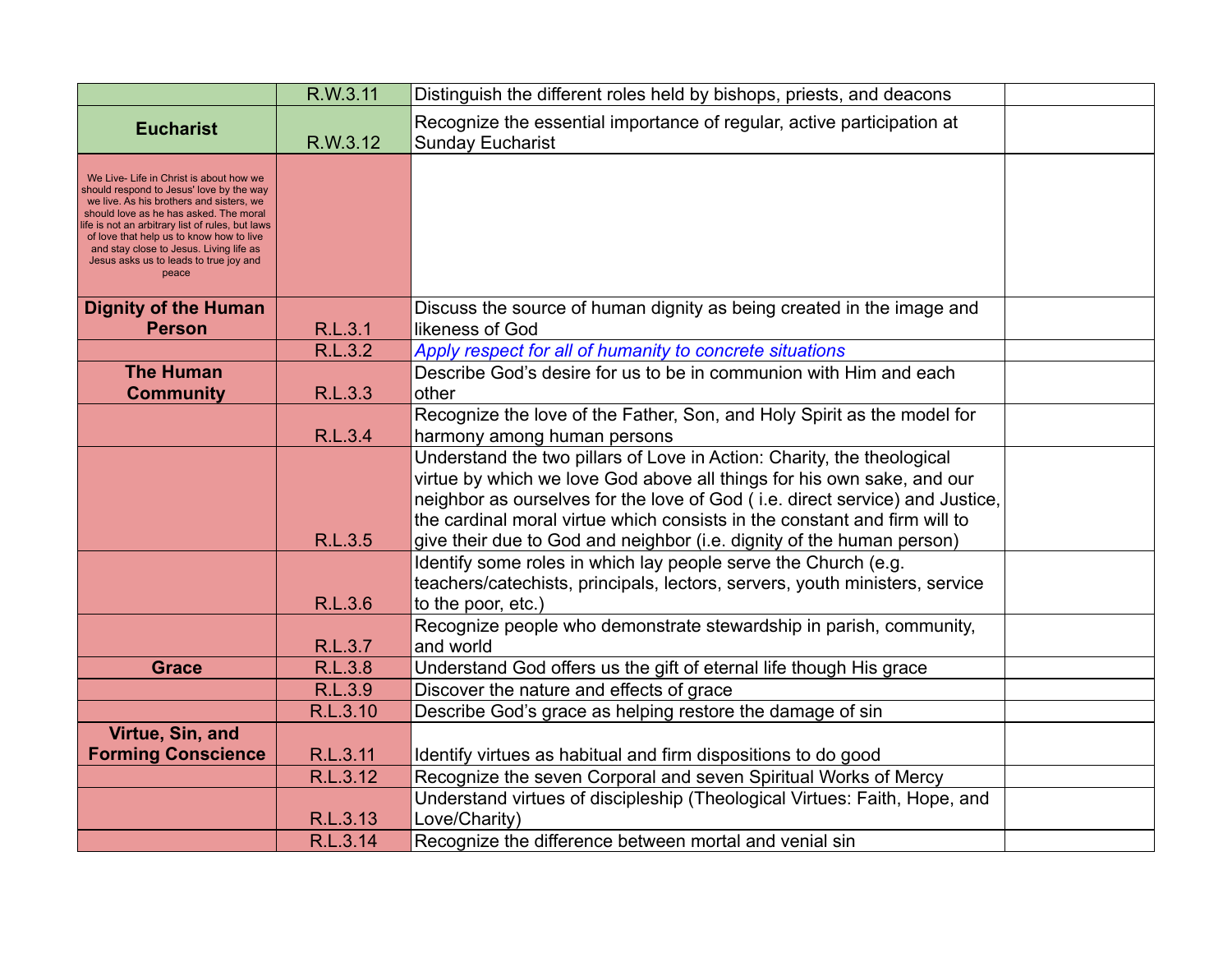|                                                                                                                                                                                                                                                                                                                                                                         | R.W.3.11 | Distinguish the different roles held by bishops, priests, and deacons                                                                                                                                                                                                                                                                                                                  |  |
|-------------------------------------------------------------------------------------------------------------------------------------------------------------------------------------------------------------------------------------------------------------------------------------------------------------------------------------------------------------------------|----------|----------------------------------------------------------------------------------------------------------------------------------------------------------------------------------------------------------------------------------------------------------------------------------------------------------------------------------------------------------------------------------------|--|
| <b>Eucharist</b>                                                                                                                                                                                                                                                                                                                                                        | R.W.3.12 | Recognize the essential importance of regular, active participation at<br><b>Sunday Eucharist</b>                                                                                                                                                                                                                                                                                      |  |
| We Live- Life in Christ is about how we<br>should respond to Jesus' love by the way<br>we live. As his brothers and sisters, we<br>should love as he has asked. The moral<br>life is not an arbitrary list of rules, but laws<br>of love that help us to know how to live<br>and stay close to Jesus. Living life as<br>Jesus asks us to leads to true joy and<br>peace |          |                                                                                                                                                                                                                                                                                                                                                                                        |  |
| <b>Dignity of the Human</b><br><b>Person</b>                                                                                                                                                                                                                                                                                                                            | R.L.3.1  | Discuss the source of human dignity as being created in the image and<br>likeness of God                                                                                                                                                                                                                                                                                               |  |
|                                                                                                                                                                                                                                                                                                                                                                         | R.L.3.2  | Apply respect for all of humanity to concrete situations                                                                                                                                                                                                                                                                                                                               |  |
| <b>The Human</b><br><b>Community</b>                                                                                                                                                                                                                                                                                                                                    | R.L.3.3  | Describe God's desire for us to be in communion with Him and each<br>other                                                                                                                                                                                                                                                                                                             |  |
|                                                                                                                                                                                                                                                                                                                                                                         | R.L.3.4  | Recognize the love of the Father, Son, and Holy Spirit as the model for<br>harmony among human persons                                                                                                                                                                                                                                                                                 |  |
|                                                                                                                                                                                                                                                                                                                                                                         | R.L.3.5  | Understand the two pillars of Love in Action: Charity, the theological<br>virtue by which we love God above all things for his own sake, and our<br>neighbor as ourselves for the love of God (i.e. direct service) and Justice,<br>the cardinal moral virtue which consists in the constant and firm will to<br>give their due to God and neighbor (i.e. dignity of the human person) |  |
|                                                                                                                                                                                                                                                                                                                                                                         | R.L.3.6  | Identify some roles in which lay people serve the Church (e.g.<br>teachers/catechists, principals, lectors, servers, youth ministers, service<br>to the poor, etc.)                                                                                                                                                                                                                    |  |
|                                                                                                                                                                                                                                                                                                                                                                         | R.L.3.7  | Recognize people who demonstrate stewardship in parish, community,<br>and world                                                                                                                                                                                                                                                                                                        |  |
| <b>Grace</b>                                                                                                                                                                                                                                                                                                                                                            | R.L.3.8  | Understand God offers us the gift of eternal life though His grace                                                                                                                                                                                                                                                                                                                     |  |
|                                                                                                                                                                                                                                                                                                                                                                         | R.L.3.9  | Discover the nature and effects of grace                                                                                                                                                                                                                                                                                                                                               |  |
|                                                                                                                                                                                                                                                                                                                                                                         | R.L.3.10 | Describe God's grace as helping restore the damage of sin                                                                                                                                                                                                                                                                                                                              |  |
| Virtue, Sin, and<br><b>Forming Conscience</b>                                                                                                                                                                                                                                                                                                                           | R.L.3.11 | Identify virtues as habitual and firm dispositions to do good                                                                                                                                                                                                                                                                                                                          |  |
|                                                                                                                                                                                                                                                                                                                                                                         | R.L.3.12 | Recognize the seven Corporal and seven Spiritual Works of Mercy                                                                                                                                                                                                                                                                                                                        |  |
|                                                                                                                                                                                                                                                                                                                                                                         | R.L.3.13 | Understand virtues of discipleship (Theological Virtues: Faith, Hope, and<br>Love/Charity)                                                                                                                                                                                                                                                                                             |  |
|                                                                                                                                                                                                                                                                                                                                                                         | R.L.3.14 | Recognize the difference between mortal and venial sin                                                                                                                                                                                                                                                                                                                                 |  |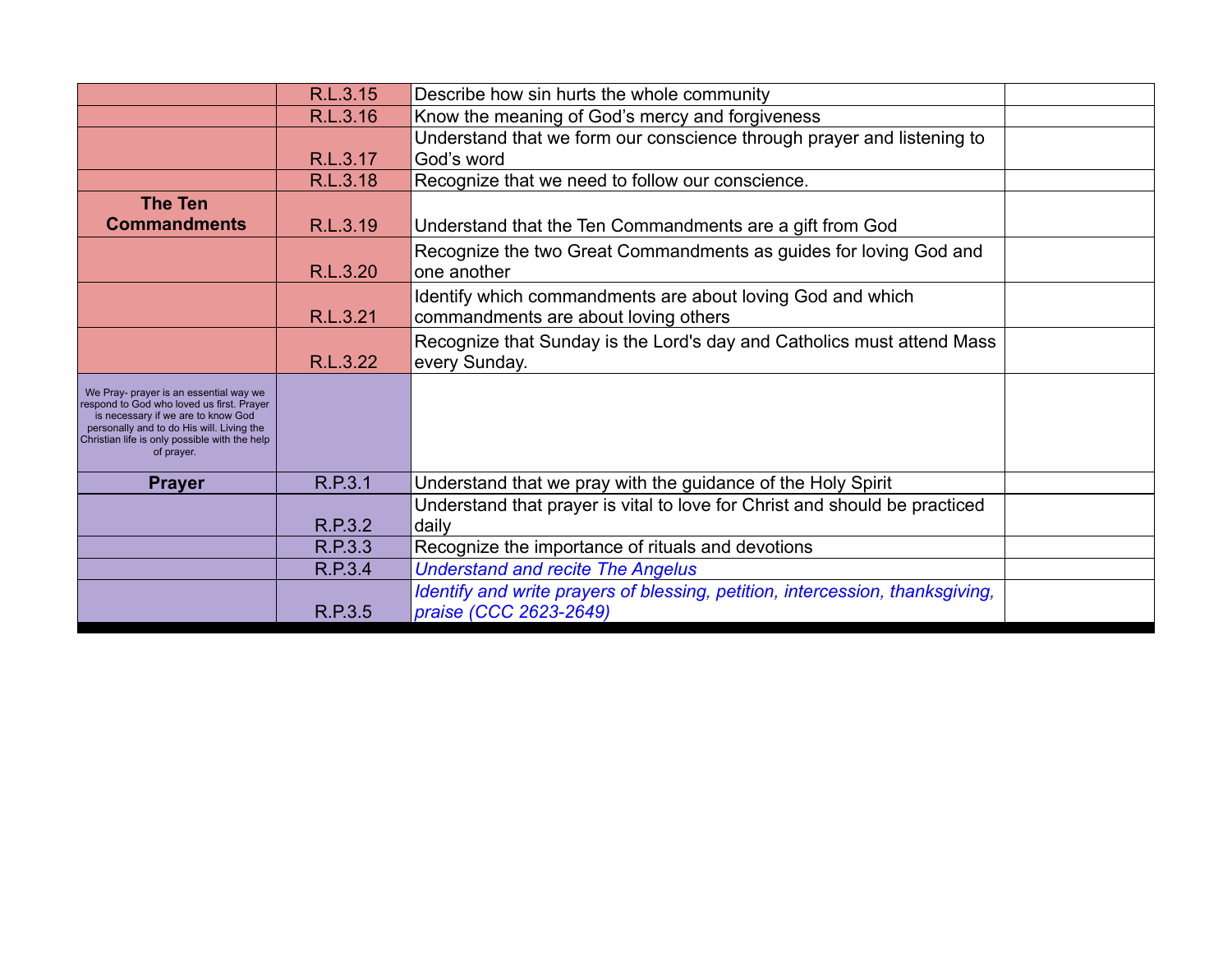|                                                                                                                                                                                                                                       | R.L.3.15 | Describe how sin hurts the whole community                                                              |  |
|---------------------------------------------------------------------------------------------------------------------------------------------------------------------------------------------------------------------------------------|----------|---------------------------------------------------------------------------------------------------------|--|
|                                                                                                                                                                                                                                       | R.L.3.16 | Know the meaning of God's mercy and forgiveness                                                         |  |
|                                                                                                                                                                                                                                       | R.L.3.17 | Understand that we form our conscience through prayer and listening to<br>God's word                    |  |
|                                                                                                                                                                                                                                       | R.L.3.18 | Recognize that we need to follow our conscience.                                                        |  |
| <b>The Ten</b><br><b>Commandments</b>                                                                                                                                                                                                 | R.L.3.19 | Understand that the Ten Commandments are a gift from God                                                |  |
|                                                                                                                                                                                                                                       | R.L.3.20 | Recognize the two Great Commandments as guides for loving God and<br>one another                        |  |
|                                                                                                                                                                                                                                       | R.L.3.21 | Identify which commandments are about loving God and which<br>commandments are about loving others      |  |
|                                                                                                                                                                                                                                       | R.L.3.22 | Recognize that Sunday is the Lord's day and Catholics must attend Mass<br>every Sunday.                 |  |
| We Pray- prayer is an essential way we<br>respond to God who loved us first. Prayer<br>is necessary if we are to know God<br>personally and to do His will. Living the<br>Christian life is only possible with the help<br>of prayer. |          |                                                                                                         |  |
| <b>Prayer</b>                                                                                                                                                                                                                         | R.P.3.1  | Understand that we pray with the guidance of the Holy Spirit                                            |  |
|                                                                                                                                                                                                                                       | R.P.3.2  | Understand that prayer is vital to love for Christ and should be practiced<br>daily                     |  |
|                                                                                                                                                                                                                                       | R.P.3.3  | Recognize the importance of rituals and devotions                                                       |  |
|                                                                                                                                                                                                                                       | R.P.3.4  | <b>Understand and recite The Angelus</b>                                                                |  |
|                                                                                                                                                                                                                                       | R.P.3.5  | Identify and write prayers of blessing, petition, intercession, thanksgiving,<br>praise (CCC 2623-2649) |  |
|                                                                                                                                                                                                                                       |          |                                                                                                         |  |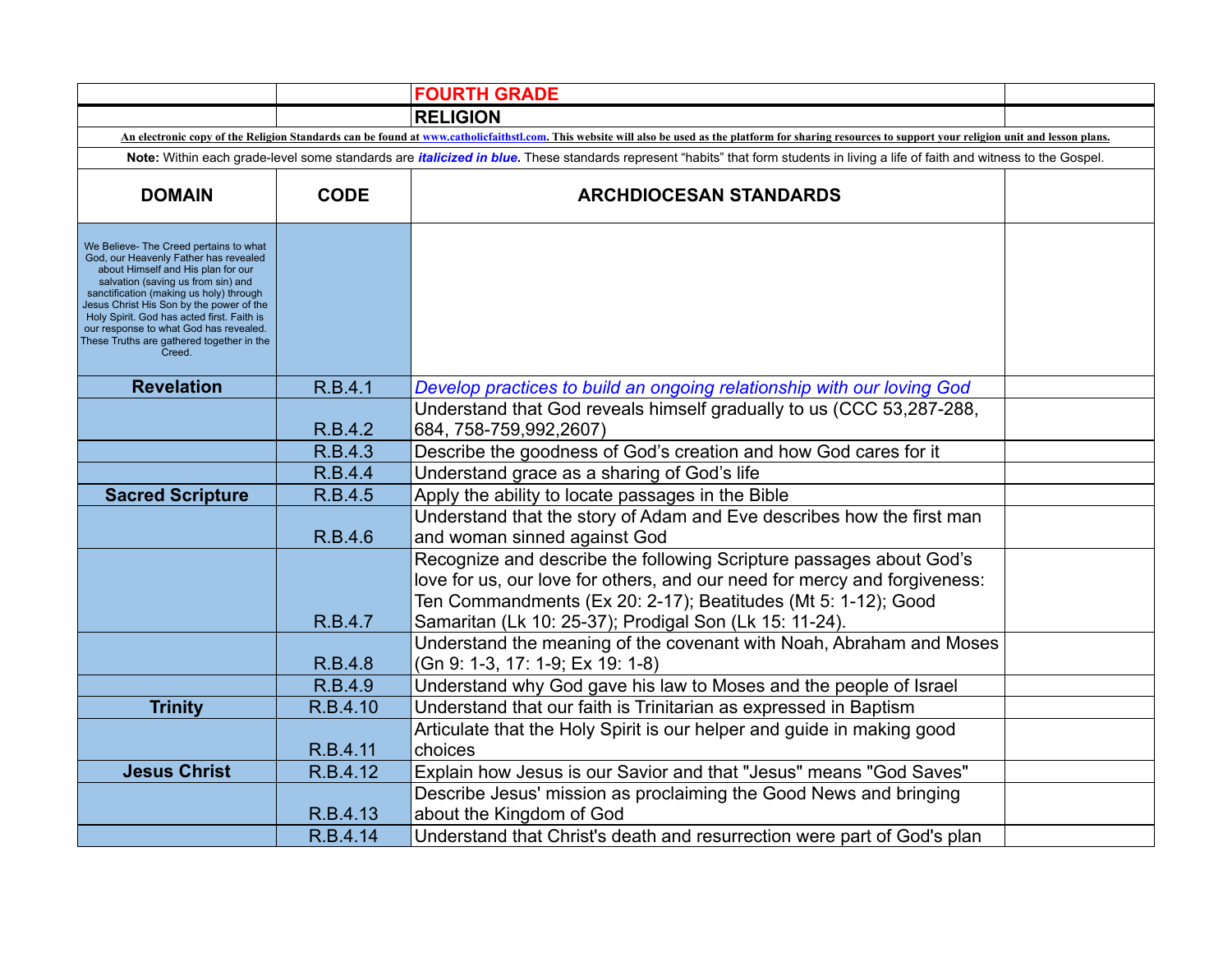|                                                                                                                                                                                                                                                                                                                                                                                                   |             | <b>FOURTH GRADE</b>                                                                                                                                                                                                                                                         |  |
|---------------------------------------------------------------------------------------------------------------------------------------------------------------------------------------------------------------------------------------------------------------------------------------------------------------------------------------------------------------------------------------------------|-------------|-----------------------------------------------------------------------------------------------------------------------------------------------------------------------------------------------------------------------------------------------------------------------------|--|
|                                                                                                                                                                                                                                                                                                                                                                                                   |             | <b>RELIGION</b>                                                                                                                                                                                                                                                             |  |
|                                                                                                                                                                                                                                                                                                                                                                                                   |             | An electronic copy of the Religion Standards can be found at www.catholicfaithstl.com. This website will also be used as the platform for sharing resources to support your religion unit and lesson plans.                                                                 |  |
|                                                                                                                                                                                                                                                                                                                                                                                                   |             | Note: Within each grade-level some standards are <i>italicized in blue</i> . These standards represent "habits" that form students in living a life of faith and witness to the Gospel.                                                                                     |  |
| <b>DOMAIN</b>                                                                                                                                                                                                                                                                                                                                                                                     | <b>CODE</b> | <b>ARCHDIOCESAN STANDARDS</b>                                                                                                                                                                                                                                               |  |
| We Believe- The Creed pertains to what<br>God, our Heavenly Father has revealed<br>about Himself and His plan for our<br>salvation (saving us from sin) and<br>sanctification (making us holy) through<br>Jesus Christ His Son by the power of the<br>Holy Spirit. God has acted first. Faith is<br>our response to what God has revealed.<br>These Truths are gathered together in the<br>Creed. |             |                                                                                                                                                                                                                                                                             |  |
| <b>Revelation</b>                                                                                                                                                                                                                                                                                                                                                                                 | R.B.4.1     | Develop practices to build an ongoing relationship with our loving God                                                                                                                                                                                                      |  |
|                                                                                                                                                                                                                                                                                                                                                                                                   | R.B.4.2     | Understand that God reveals himself gradually to us (CCC 53,287-288,<br>684, 758-759, 992, 2607)                                                                                                                                                                            |  |
|                                                                                                                                                                                                                                                                                                                                                                                                   | R.B.4.3     | Describe the goodness of God's creation and how God cares for it                                                                                                                                                                                                            |  |
|                                                                                                                                                                                                                                                                                                                                                                                                   | R.B.4.4     | Understand grace as a sharing of God's life                                                                                                                                                                                                                                 |  |
| <b>Sacred Scripture</b>                                                                                                                                                                                                                                                                                                                                                                           | R.B.4.5     | Apply the ability to locate passages in the Bible                                                                                                                                                                                                                           |  |
|                                                                                                                                                                                                                                                                                                                                                                                                   | R.B.4.6     | Understand that the story of Adam and Eve describes how the first man<br>and woman sinned against God                                                                                                                                                                       |  |
|                                                                                                                                                                                                                                                                                                                                                                                                   | R.B.4.7     | Recognize and describe the following Scripture passages about God's<br>love for us, our love for others, and our need for mercy and forgiveness:<br>Ten Commandments (Ex 20: 2-17); Beatitudes (Mt 5: 1-12); Good<br>Samaritan (Lk 10: 25-37); Prodigal Son (Lk 15: 11-24). |  |
|                                                                                                                                                                                                                                                                                                                                                                                                   | R.B.4.8     | Understand the meaning of the covenant with Noah, Abraham and Moses<br>(Gn 9: 1-3, 17: 1-9; Ex 19: 1-8)                                                                                                                                                                     |  |
|                                                                                                                                                                                                                                                                                                                                                                                                   | R.B.4.9     | Understand why God gave his law to Moses and the people of Israel                                                                                                                                                                                                           |  |
| <b>Trinity</b>                                                                                                                                                                                                                                                                                                                                                                                    | R.B.4.10    | Understand that our faith is Trinitarian as expressed in Baptism                                                                                                                                                                                                            |  |
|                                                                                                                                                                                                                                                                                                                                                                                                   | R.B.4.11    | Articulate that the Holy Spirit is our helper and guide in making good<br>choices                                                                                                                                                                                           |  |
| <b>Jesus Christ</b>                                                                                                                                                                                                                                                                                                                                                                               | R.B.4.12    | Explain how Jesus is our Savior and that "Jesus" means "God Saves"                                                                                                                                                                                                          |  |
|                                                                                                                                                                                                                                                                                                                                                                                                   | R.B.4.13    | Describe Jesus' mission as proclaiming the Good News and bringing<br>about the Kingdom of God                                                                                                                                                                               |  |
|                                                                                                                                                                                                                                                                                                                                                                                                   | R.B.4.14    | Understand that Christ's death and resurrection were part of God's plan                                                                                                                                                                                                     |  |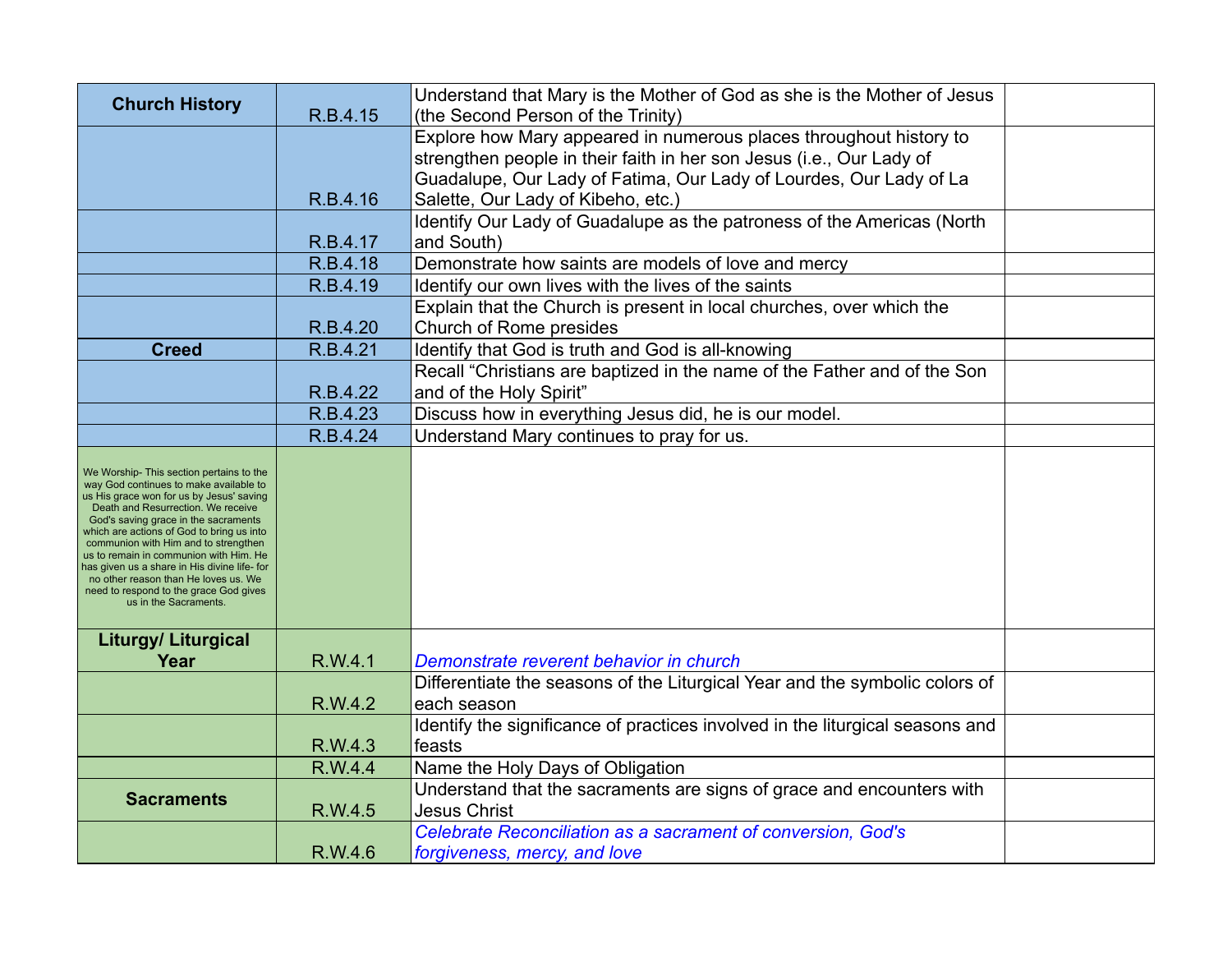| <b>Church History</b>                                                                                                                                                                                                                                                                                                                                                                                                                                                                                 |          | Understand that Mary is the Mother of God as she is the Mother of Jesus       |  |
|-------------------------------------------------------------------------------------------------------------------------------------------------------------------------------------------------------------------------------------------------------------------------------------------------------------------------------------------------------------------------------------------------------------------------------------------------------------------------------------------------------|----------|-------------------------------------------------------------------------------|--|
|                                                                                                                                                                                                                                                                                                                                                                                                                                                                                                       | R.B.4.15 | (the Second Person of the Trinity)                                            |  |
|                                                                                                                                                                                                                                                                                                                                                                                                                                                                                                       |          | Explore how Mary appeared in numerous places throughout history to            |  |
|                                                                                                                                                                                                                                                                                                                                                                                                                                                                                                       |          | strengthen people in their faith in her son Jesus (i.e., Our Lady of          |  |
|                                                                                                                                                                                                                                                                                                                                                                                                                                                                                                       |          | Guadalupe, Our Lady of Fatima, Our Lady of Lourdes, Our Lady of La            |  |
|                                                                                                                                                                                                                                                                                                                                                                                                                                                                                                       | R.B.4.16 | Salette, Our Lady of Kibeho, etc.)                                            |  |
|                                                                                                                                                                                                                                                                                                                                                                                                                                                                                                       |          | Identify Our Lady of Guadalupe as the patroness of the Americas (North        |  |
|                                                                                                                                                                                                                                                                                                                                                                                                                                                                                                       | R.B.4.17 | and South)                                                                    |  |
|                                                                                                                                                                                                                                                                                                                                                                                                                                                                                                       | R.B.4.18 | Demonstrate how saints are models of love and mercy                           |  |
|                                                                                                                                                                                                                                                                                                                                                                                                                                                                                                       | R.B.4.19 | Identify our own lives with the lives of the saints                           |  |
|                                                                                                                                                                                                                                                                                                                                                                                                                                                                                                       |          | Explain that the Church is present in local churches, over which the          |  |
|                                                                                                                                                                                                                                                                                                                                                                                                                                                                                                       | R.B.4.20 | Church of Rome presides                                                       |  |
| <b>Creed</b>                                                                                                                                                                                                                                                                                                                                                                                                                                                                                          | R.B.4.21 | Identify that God is truth and God is all-knowing                             |  |
|                                                                                                                                                                                                                                                                                                                                                                                                                                                                                                       |          | Recall "Christians are baptized in the name of the Father and of the Son      |  |
|                                                                                                                                                                                                                                                                                                                                                                                                                                                                                                       | R.B.4.22 | and of the Holy Spirit"                                                       |  |
|                                                                                                                                                                                                                                                                                                                                                                                                                                                                                                       | R.B.4.23 | Discuss how in everything Jesus did, he is our model.                         |  |
|                                                                                                                                                                                                                                                                                                                                                                                                                                                                                                       | R.B.4.24 | Understand Mary continues to pray for us.                                     |  |
| We Worship-This section pertains to the<br>way God continues to make available to<br>us His grace won for us by Jesus' saving<br>Death and Resurrection. We receive<br>God's saving grace in the sacraments<br>which are actions of God to bring us into<br>communion with Him and to strengthen<br>us to remain in communion with Him. He<br>has given us a share in His divine life- for<br>no other reason than He loves us. We<br>need to respond to the grace God gives<br>us in the Sacraments. |          |                                                                               |  |
| <b>Liturgy/ Liturgical</b>                                                                                                                                                                                                                                                                                                                                                                                                                                                                            |          |                                                                               |  |
| Year                                                                                                                                                                                                                                                                                                                                                                                                                                                                                                  | R.W.4.1  | Demonstrate reverent behavior in church                                       |  |
|                                                                                                                                                                                                                                                                                                                                                                                                                                                                                                       |          | Differentiate the seasons of the Liturgical Year and the symbolic colors of   |  |
|                                                                                                                                                                                                                                                                                                                                                                                                                                                                                                       | R.W.4.2  | each season                                                                   |  |
|                                                                                                                                                                                                                                                                                                                                                                                                                                                                                                       |          | Identify the significance of practices involved in the liturgical seasons and |  |
|                                                                                                                                                                                                                                                                                                                                                                                                                                                                                                       | R.W.4.3  | feasts                                                                        |  |
|                                                                                                                                                                                                                                                                                                                                                                                                                                                                                                       | R.W.4.4  | Name the Holy Days of Obligation                                              |  |
| <b>Sacraments</b>                                                                                                                                                                                                                                                                                                                                                                                                                                                                                     |          | Understand that the sacraments are signs of grace and encounters with         |  |
|                                                                                                                                                                                                                                                                                                                                                                                                                                                                                                       | R.W.4.5  | <b>Jesus Christ</b>                                                           |  |
|                                                                                                                                                                                                                                                                                                                                                                                                                                                                                                       |          | Celebrate Reconciliation as a sacrament of conversion, God's                  |  |
|                                                                                                                                                                                                                                                                                                                                                                                                                                                                                                       | R.W.4.6  | forgiveness, mercy, and love                                                  |  |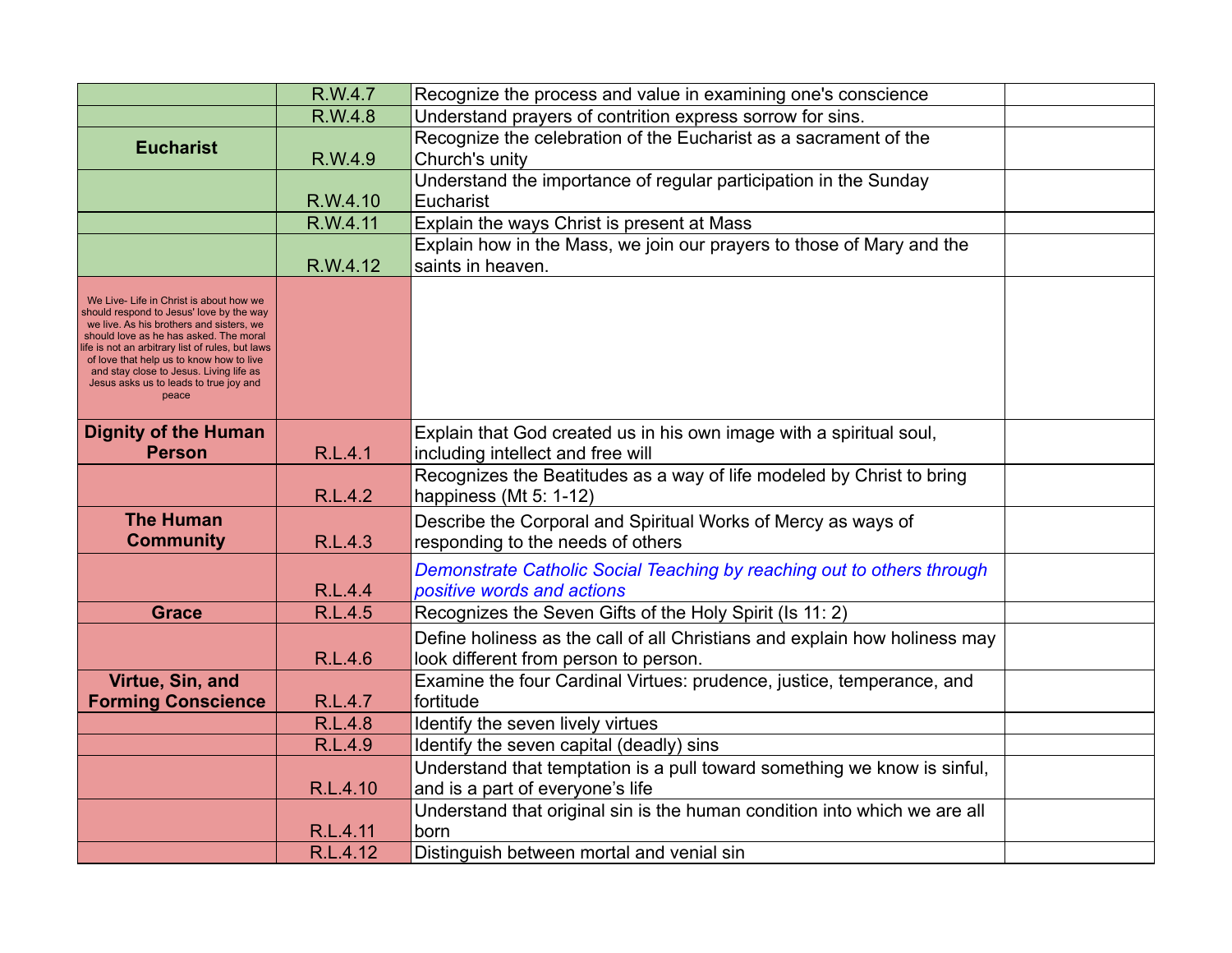|                                                                                                                                                                                                                                                                                                                                                                         | R.W.4.7  | Recognize the process and value in examining one's conscience                                                       |  |
|-------------------------------------------------------------------------------------------------------------------------------------------------------------------------------------------------------------------------------------------------------------------------------------------------------------------------------------------------------------------------|----------|---------------------------------------------------------------------------------------------------------------------|--|
|                                                                                                                                                                                                                                                                                                                                                                         | R.W.4.8  | Understand prayers of contrition express sorrow for sins.                                                           |  |
| <b>Eucharist</b>                                                                                                                                                                                                                                                                                                                                                        | R.W.4.9  | Recognize the celebration of the Eucharist as a sacrament of the<br>Church's unity                                  |  |
|                                                                                                                                                                                                                                                                                                                                                                         | R.W.4.10 | Understand the importance of regular participation in the Sunday<br>Eucharist                                       |  |
|                                                                                                                                                                                                                                                                                                                                                                         | R.W.4.11 | Explain the ways Christ is present at Mass                                                                          |  |
|                                                                                                                                                                                                                                                                                                                                                                         | R.W.4.12 | Explain how in the Mass, we join our prayers to those of Mary and the<br>saints in heaven.                          |  |
| We Live- Life in Christ is about how we<br>should respond to Jesus' love by the way<br>we live. As his brothers and sisters, we<br>should love as he has asked. The moral<br>life is not an arbitrary list of rules, but laws<br>of love that help us to know how to live<br>and stay close to Jesus. Living life as<br>Jesus asks us to leads to true joy and<br>peace |          |                                                                                                                     |  |
| <b>Dignity of the Human</b><br><b>Person</b>                                                                                                                                                                                                                                                                                                                            | R.L.4.1  | Explain that God created us in his own image with a spiritual soul,<br>including intellect and free will            |  |
|                                                                                                                                                                                                                                                                                                                                                                         | R.L.4.2  | Recognizes the Beatitudes as a way of life modeled by Christ to bring<br>happiness (Mt 5: 1-12)                     |  |
| <b>The Human</b><br><b>Community</b>                                                                                                                                                                                                                                                                                                                                    | R.L.4.3  | Describe the Corporal and Spiritual Works of Mercy as ways of<br>responding to the needs of others                  |  |
|                                                                                                                                                                                                                                                                                                                                                                         | R.L.4.4  | Demonstrate Catholic Social Teaching by reaching out to others through<br>positive words and actions                |  |
| <b>Grace</b>                                                                                                                                                                                                                                                                                                                                                            | R.L.4.5  | Recognizes the Seven Gifts of the Holy Spirit (Is 11: 2)                                                            |  |
|                                                                                                                                                                                                                                                                                                                                                                         | R.L.4.6  | Define holiness as the call of all Christians and explain how holiness may<br>look different from person to person. |  |
| Virtue, Sin, and<br><b>Forming Conscience</b>                                                                                                                                                                                                                                                                                                                           | R.L.4.7  | Examine the four Cardinal Virtues: prudence, justice, temperance, and<br>fortitude                                  |  |
|                                                                                                                                                                                                                                                                                                                                                                         | R.L.4.8  | Identify the seven lively virtues                                                                                   |  |
|                                                                                                                                                                                                                                                                                                                                                                         | R.L.4.9  | Identify the seven capital (deadly) sins                                                                            |  |
|                                                                                                                                                                                                                                                                                                                                                                         | R.L.4.10 | Understand that temptation is a pull toward something we know is sinful,<br>and is a part of everyone's life        |  |
|                                                                                                                                                                                                                                                                                                                                                                         | R.L.4.11 | Understand that original sin is the human condition into which we are all<br>born                                   |  |
|                                                                                                                                                                                                                                                                                                                                                                         | R.L.4.12 | Distinguish between mortal and venial sin                                                                           |  |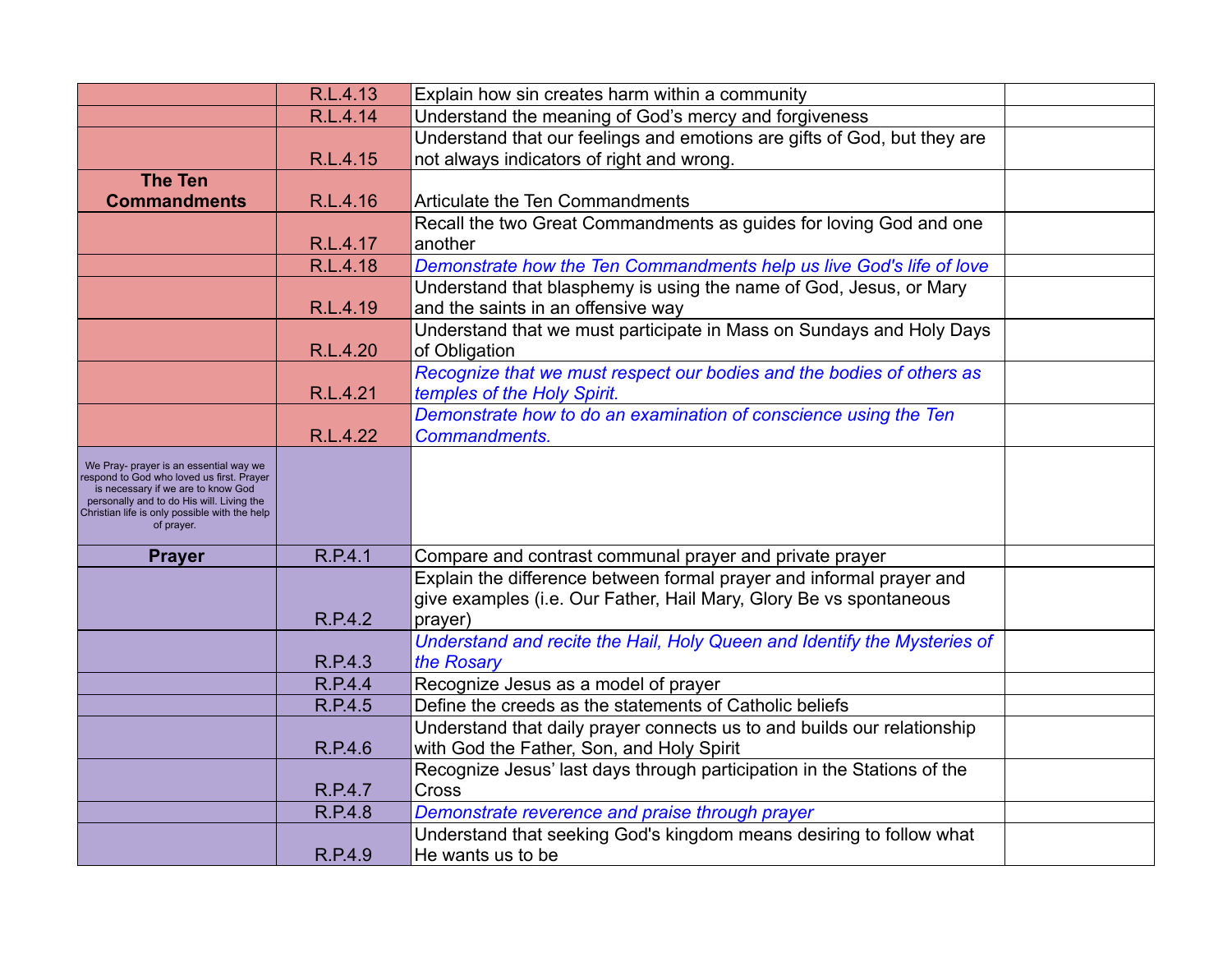|                                                                                                                                                                                                                                       | R.L.4.13 | Explain how sin creates harm within a community                                                                                                       |  |
|---------------------------------------------------------------------------------------------------------------------------------------------------------------------------------------------------------------------------------------|----------|-------------------------------------------------------------------------------------------------------------------------------------------------------|--|
|                                                                                                                                                                                                                                       | R.L.4.14 | Understand the meaning of God's mercy and forgiveness                                                                                                 |  |
|                                                                                                                                                                                                                                       |          | Understand that our feelings and emotions are gifts of God, but they are                                                                              |  |
|                                                                                                                                                                                                                                       | R.L.4.15 | not always indicators of right and wrong.                                                                                                             |  |
| <b>The Ten</b>                                                                                                                                                                                                                        |          |                                                                                                                                                       |  |
| <b>Commandments</b>                                                                                                                                                                                                                   | R.L.4.16 | Articulate the Ten Commandments                                                                                                                       |  |
|                                                                                                                                                                                                                                       |          | Recall the two Great Commandments as guides for loving God and one                                                                                    |  |
|                                                                                                                                                                                                                                       | R.L.4.17 | another                                                                                                                                               |  |
|                                                                                                                                                                                                                                       | R.L.4.18 | Demonstrate how the Ten Commandments help us live God's life of love                                                                                  |  |
|                                                                                                                                                                                                                                       |          | Understand that blasphemy is using the name of God, Jesus, or Mary                                                                                    |  |
|                                                                                                                                                                                                                                       | R.L.4.19 | and the saints in an offensive way                                                                                                                    |  |
|                                                                                                                                                                                                                                       |          | Understand that we must participate in Mass on Sundays and Holy Days                                                                                  |  |
|                                                                                                                                                                                                                                       | R.L.4.20 | of Obligation                                                                                                                                         |  |
|                                                                                                                                                                                                                                       |          | Recognize that we must respect our bodies and the bodies of others as                                                                                 |  |
|                                                                                                                                                                                                                                       | R.L.4.21 | temples of the Holy Spirit.                                                                                                                           |  |
|                                                                                                                                                                                                                                       |          | Demonstrate how to do an examination of conscience using the Ten                                                                                      |  |
|                                                                                                                                                                                                                                       | R.L.4.22 | <b>Commandments.</b>                                                                                                                                  |  |
| We Pray- prayer is an essential way we<br>respond to God who loved us first. Prayer<br>is necessary if we are to know God<br>personally and to do His will. Living the<br>Christian life is only possible with the help<br>of prayer. |          |                                                                                                                                                       |  |
| <b>Prayer</b>                                                                                                                                                                                                                         | R.P.4.1  | Compare and contrast communal prayer and private prayer                                                                                               |  |
|                                                                                                                                                                                                                                       | R.P.4.2  | Explain the difference between formal prayer and informal prayer and<br>give examples (i.e. Our Father, Hail Mary, Glory Be vs spontaneous<br>prayer) |  |
|                                                                                                                                                                                                                                       |          | Understand and recite the Hail, Holy Queen and Identify the Mysteries of                                                                              |  |
|                                                                                                                                                                                                                                       | R.P.4.3  | the Rosary                                                                                                                                            |  |
|                                                                                                                                                                                                                                       | R.P.4.4  | Recognize Jesus as a model of prayer                                                                                                                  |  |
|                                                                                                                                                                                                                                       | R.P.4.5  | Define the creeds as the statements of Catholic beliefs                                                                                               |  |
|                                                                                                                                                                                                                                       |          | Understand that daily prayer connects us to and builds our relationship                                                                               |  |
|                                                                                                                                                                                                                                       | R.P.4.6  | with God the Father, Son, and Holy Spirit                                                                                                             |  |
|                                                                                                                                                                                                                                       |          | Recognize Jesus' last days through participation in the Stations of the                                                                               |  |
|                                                                                                                                                                                                                                       | R.P.4.7  | <b>Cross</b>                                                                                                                                          |  |
|                                                                                                                                                                                                                                       | R.P.4.8  | Demonstrate reverence and praise through prayer                                                                                                       |  |
|                                                                                                                                                                                                                                       |          | Understand that seeking God's kingdom means desiring to follow what                                                                                   |  |
|                                                                                                                                                                                                                                       | R.P.4.9  | He wants us to be                                                                                                                                     |  |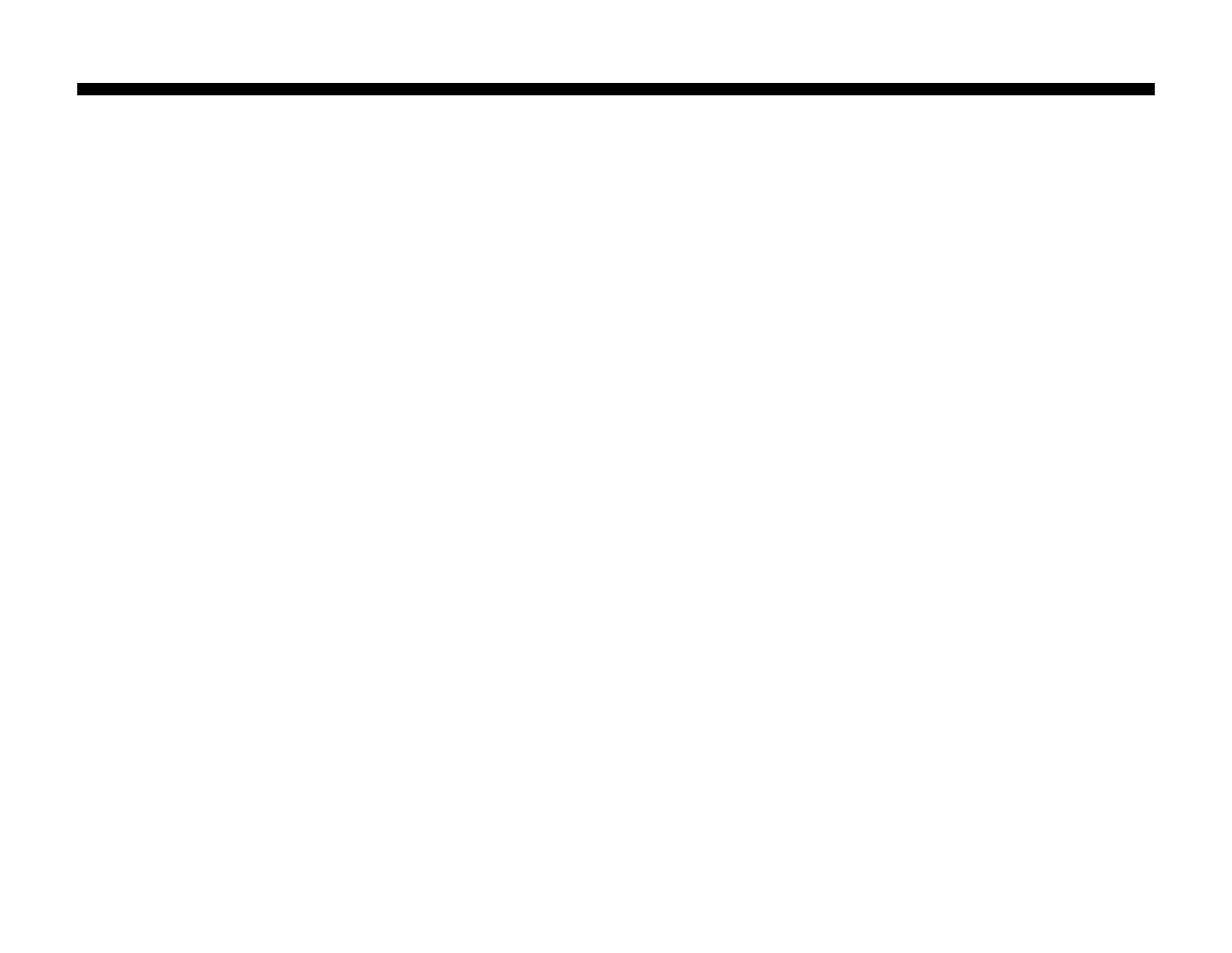I can name vocations: priesthood, marriage, religious and single life, and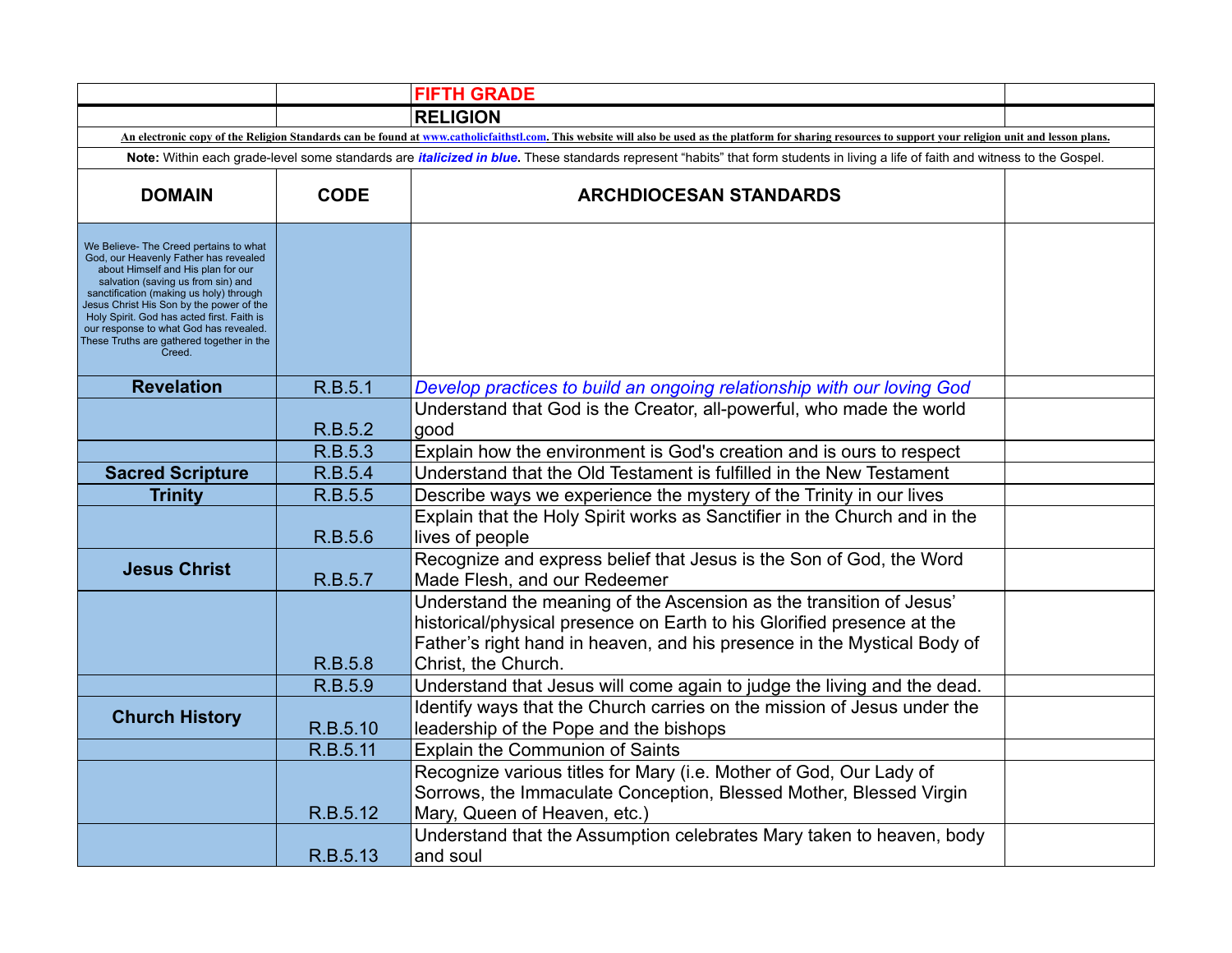|                                                                                                                                                                                                                                                                                                                                                                                                   |             | <b>FIFTH GRADE</b>                                                                                                                                                                                                                              |  |
|---------------------------------------------------------------------------------------------------------------------------------------------------------------------------------------------------------------------------------------------------------------------------------------------------------------------------------------------------------------------------------------------------|-------------|-------------------------------------------------------------------------------------------------------------------------------------------------------------------------------------------------------------------------------------------------|--|
|                                                                                                                                                                                                                                                                                                                                                                                                   |             | <b>RELIGION</b>                                                                                                                                                                                                                                 |  |
|                                                                                                                                                                                                                                                                                                                                                                                                   |             | An electronic copy of the Religion Standards can be found at www.catholicfaithstl.com. This website will also be used as the platform for sharing resources to support your religion unit and lesson plans.                                     |  |
|                                                                                                                                                                                                                                                                                                                                                                                                   |             | Note: Within each grade-level some standards are <i>italicized in blue</i> . These standards represent "habits" that form students in living a life of faith and witness to the Gospel.                                                         |  |
| <b>DOMAIN</b>                                                                                                                                                                                                                                                                                                                                                                                     | <b>CODE</b> | <b>ARCHDIOCESAN STANDARDS</b>                                                                                                                                                                                                                   |  |
| We Believe- The Creed pertains to what<br>God, our Heavenly Father has revealed<br>about Himself and His plan for our<br>salvation (saving us from sin) and<br>sanctification (making us holy) through<br>Jesus Christ His Son by the power of the<br>Holy Spirit. God has acted first. Faith is<br>our response to what God has revealed.<br>These Truths are gathered together in the<br>Creed. |             |                                                                                                                                                                                                                                                 |  |
| <b>Revelation</b>                                                                                                                                                                                                                                                                                                                                                                                 | R.B.5.1     | Develop practices to build an ongoing relationship with our loving God                                                                                                                                                                          |  |
|                                                                                                                                                                                                                                                                                                                                                                                                   | R.B.5.2     | Understand that God is the Creator, all-powerful, who made the world<br>good                                                                                                                                                                    |  |
|                                                                                                                                                                                                                                                                                                                                                                                                   | R.B.5.3     | Explain how the environment is God's creation and is ours to respect                                                                                                                                                                            |  |
| <b>Sacred Scripture</b>                                                                                                                                                                                                                                                                                                                                                                           | R.B.5.4     | Understand that the Old Testament is fulfilled in the New Testament                                                                                                                                                                             |  |
| <b>Trinity</b>                                                                                                                                                                                                                                                                                                                                                                                    | R.B.5.5     | Describe ways we experience the mystery of the Trinity in our lives                                                                                                                                                                             |  |
|                                                                                                                                                                                                                                                                                                                                                                                                   | R.B.5.6     | Explain that the Holy Spirit works as Sanctifier in the Church and in the<br>lives of people                                                                                                                                                    |  |
| <b>Jesus Christ</b>                                                                                                                                                                                                                                                                                                                                                                               | R.B.5.7     | Recognize and express belief that Jesus is the Son of God, the Word<br>Made Flesh, and our Redeemer                                                                                                                                             |  |
|                                                                                                                                                                                                                                                                                                                                                                                                   | R.B.5.8     | Understand the meaning of the Ascension as the transition of Jesus'<br>historical/physical presence on Earth to his Glorified presence at the<br>Father's right hand in heaven, and his presence in the Mystical Body of<br>Christ, the Church. |  |
|                                                                                                                                                                                                                                                                                                                                                                                                   | R.B.5.9     | Understand that Jesus will come again to judge the living and the dead.                                                                                                                                                                         |  |
| <b>Church History</b>                                                                                                                                                                                                                                                                                                                                                                             | R.B.5.10    | Identify ways that the Church carries on the mission of Jesus under the<br>leadership of the Pope and the bishops                                                                                                                               |  |
|                                                                                                                                                                                                                                                                                                                                                                                                   | R.B.5.11    | Explain the Communion of Saints                                                                                                                                                                                                                 |  |
|                                                                                                                                                                                                                                                                                                                                                                                                   | R.B.5.12    | Recognize various titles for Mary (i.e. Mother of God, Our Lady of<br>Sorrows, the Immaculate Conception, Blessed Mother, Blessed Virgin<br>Mary, Queen of Heaven, etc.)                                                                        |  |
|                                                                                                                                                                                                                                                                                                                                                                                                   | R.B.5.13    | Understand that the Assumption celebrates Mary taken to heaven, body<br>and soul                                                                                                                                                                |  |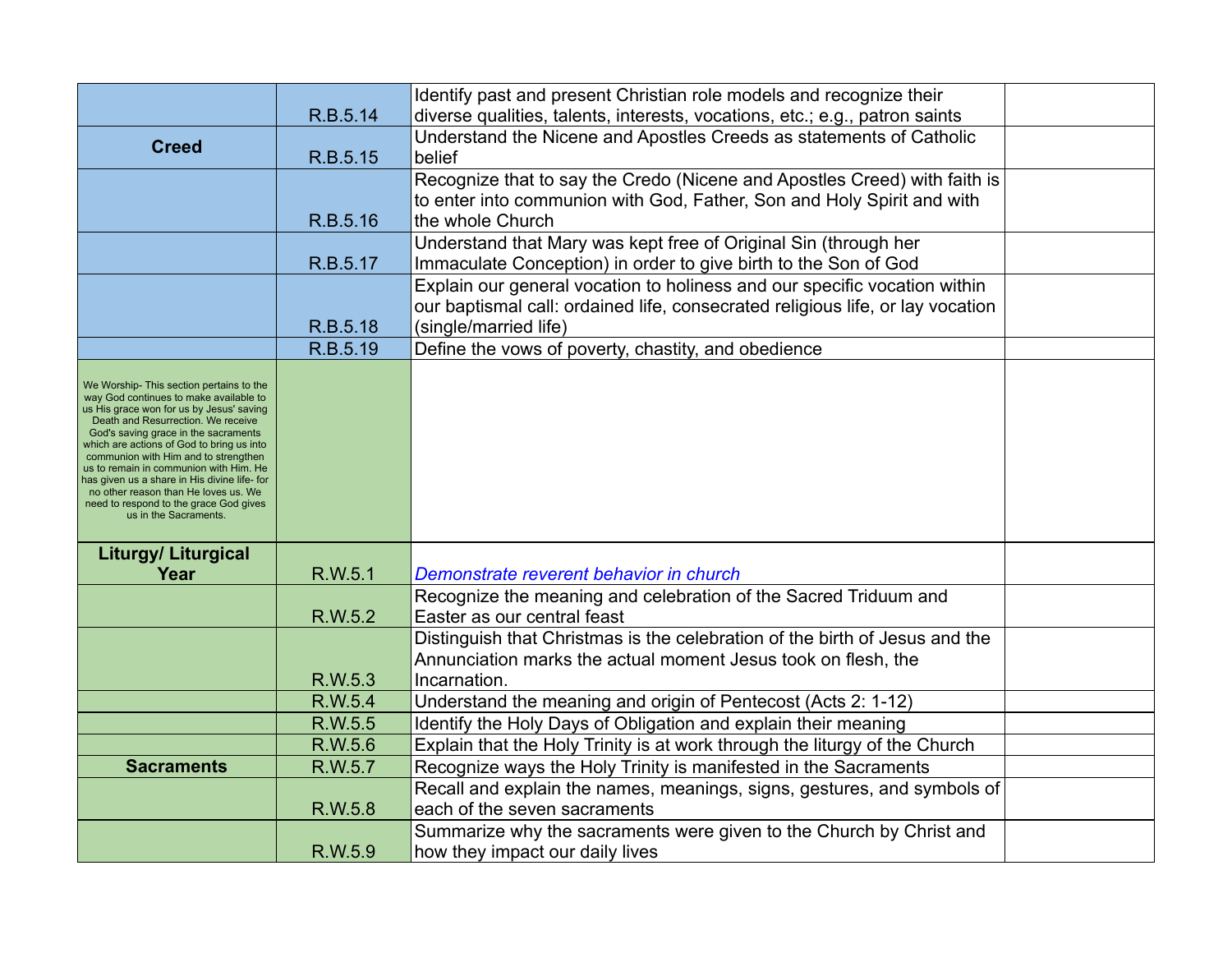|                                                                                                                                                                                                                                                                                                                                            |          | Identify past and present Christian role models and recognize their            |  |
|--------------------------------------------------------------------------------------------------------------------------------------------------------------------------------------------------------------------------------------------------------------------------------------------------------------------------------------------|----------|--------------------------------------------------------------------------------|--|
|                                                                                                                                                                                                                                                                                                                                            | R.B.5.14 | diverse qualities, talents, interests, vocations, etc.; e.g., patron saints    |  |
| <b>Creed</b>                                                                                                                                                                                                                                                                                                                               |          | Understand the Nicene and Apostles Creeds as statements of Catholic            |  |
|                                                                                                                                                                                                                                                                                                                                            | R.B.5.15 | belief                                                                         |  |
|                                                                                                                                                                                                                                                                                                                                            |          | Recognize that to say the Credo (Nicene and Apostles Creed) with faith is      |  |
|                                                                                                                                                                                                                                                                                                                                            |          | to enter into communion with God, Father, Son and Holy Spirit and with         |  |
|                                                                                                                                                                                                                                                                                                                                            | R.B.5.16 | the whole Church                                                               |  |
|                                                                                                                                                                                                                                                                                                                                            |          | Understand that Mary was kept free of Original Sin (through her                |  |
|                                                                                                                                                                                                                                                                                                                                            | R.B.5.17 | Immaculate Conception) in order to give birth to the Son of God                |  |
|                                                                                                                                                                                                                                                                                                                                            |          | Explain our general vocation to holiness and our specific vocation within      |  |
|                                                                                                                                                                                                                                                                                                                                            |          | our baptismal call: ordained life, consecrated religious life, or lay vocation |  |
|                                                                                                                                                                                                                                                                                                                                            | R.B.5.18 | (single/married life)                                                          |  |
|                                                                                                                                                                                                                                                                                                                                            | R.B.5.19 | Define the vows of poverty, chastity, and obedience                            |  |
| We Worship-This section pertains to the<br>way God continues to make available to<br>us His grace won for us by Jesus' saving<br>Death and Resurrection. We receive<br>God's saving grace in the sacraments<br>which are actions of God to bring us into<br>communion with Him and to strengthen<br>us to remain in communion with Him. He |          |                                                                                |  |
| has given us a share in His divine life- for<br>no other reason than He loves us. We<br>need to respond to the grace God gives<br>us in the Sacraments.                                                                                                                                                                                    |          |                                                                                |  |
| <b>Liturgy/ Liturgical</b>                                                                                                                                                                                                                                                                                                                 |          |                                                                                |  |
| Year                                                                                                                                                                                                                                                                                                                                       | R.W.5.1  | Demonstrate reverent behavior in church                                        |  |
|                                                                                                                                                                                                                                                                                                                                            |          | Recognize the meaning and celebration of the Sacred Triduum and                |  |
|                                                                                                                                                                                                                                                                                                                                            | R.W.5.2  | Easter as our central feast                                                    |  |
|                                                                                                                                                                                                                                                                                                                                            |          | Distinguish that Christmas is the celebration of the birth of Jesus and the    |  |
|                                                                                                                                                                                                                                                                                                                                            |          | Annunciation marks the actual moment Jesus took on flesh, the                  |  |
|                                                                                                                                                                                                                                                                                                                                            | R.W.5.3  | Incarnation.                                                                   |  |
|                                                                                                                                                                                                                                                                                                                                            | R.W.5.4  | Understand the meaning and origin of Pentecost (Acts 2: 1-12)                  |  |
|                                                                                                                                                                                                                                                                                                                                            | R.W.5.5  | Identify the Holy Days of Obligation and explain their meaning                 |  |
|                                                                                                                                                                                                                                                                                                                                            | R.W.5.6  | Explain that the Holy Trinity is at work through the liturgy of the Church     |  |
| <b>Sacraments</b>                                                                                                                                                                                                                                                                                                                          | R.W.5.7  | Recognize ways the Holy Trinity is manifested in the Sacraments                |  |
|                                                                                                                                                                                                                                                                                                                                            |          | Recall and explain the names, meanings, signs, gestures, and symbols of        |  |
|                                                                                                                                                                                                                                                                                                                                            | R.W.5.8  | each of the seven sacraments                                                   |  |
|                                                                                                                                                                                                                                                                                                                                            |          | Summarize why the sacraments were given to the Church by Christ and            |  |
|                                                                                                                                                                                                                                                                                                                                            | R.W.5.9  | how they impact our daily lives                                                |  |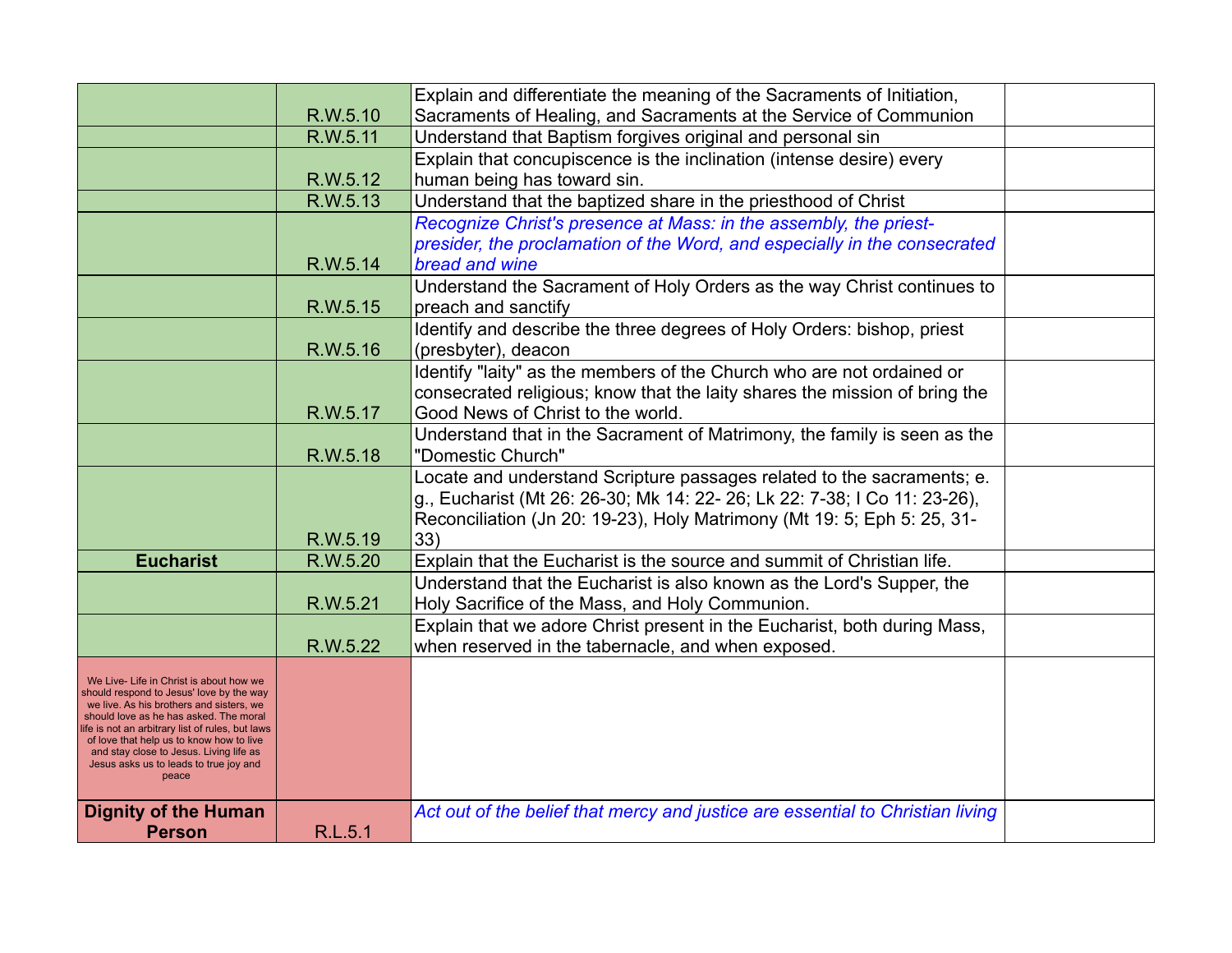|                                                                                              |          | Explain and differentiate the meaning of the Sacraments of Initiation,         |  |
|----------------------------------------------------------------------------------------------|----------|--------------------------------------------------------------------------------|--|
|                                                                                              | R.W.5.10 | Sacraments of Healing, and Sacraments at the Service of Communion              |  |
|                                                                                              | R.W.5.11 | Understand that Baptism forgives original and personal sin                     |  |
|                                                                                              |          | Explain that concupiscence is the inclination (intense desire) every           |  |
|                                                                                              | R.W.5.12 | human being has toward sin.                                                    |  |
|                                                                                              | R.W.5.13 | Understand that the baptized share in the priesthood of Christ                 |  |
|                                                                                              |          | Recognize Christ's presence at Mass: in the assembly, the priest-              |  |
|                                                                                              |          | presider, the proclamation of the Word, and especially in the consecrated      |  |
|                                                                                              | R.W.5.14 | bread and wine                                                                 |  |
|                                                                                              |          | Understand the Sacrament of Holy Orders as the way Christ continues to         |  |
|                                                                                              | R.W.5.15 | preach and sanctify                                                            |  |
|                                                                                              |          | Identify and describe the three degrees of Holy Orders: bishop, priest         |  |
|                                                                                              | R.W.5.16 | (presbyter), deacon                                                            |  |
|                                                                                              |          | Identify "laity" as the members of the Church who are not ordained or          |  |
|                                                                                              |          | consecrated religious; know that the laity shares the mission of bring the     |  |
|                                                                                              | R.W.5.17 | Good News of Christ to the world.                                              |  |
|                                                                                              |          | Understand that in the Sacrament of Matrimony, the family is seen as the       |  |
|                                                                                              | R.W.5.18 | "Domestic Church"                                                              |  |
|                                                                                              |          | Locate and understand Scripture passages related to the sacraments; e.         |  |
|                                                                                              |          | g., Eucharist (Mt 26: 26-30; Mk 14: 22- 26; Lk 22: 7-38; I Co 11: 23-26),      |  |
|                                                                                              |          | Reconciliation (Jn 20: 19-23), Holy Matrimony (Mt 19: 5; Eph 5: 25, 31-        |  |
|                                                                                              | R.W.5.19 | 33)                                                                            |  |
| <b>Eucharist</b>                                                                             | R.W.5.20 | Explain that the Eucharist is the source and summit of Christian life.         |  |
|                                                                                              |          | Understand that the Eucharist is also known as the Lord's Supper, the          |  |
|                                                                                              | R.W.5.21 | Holy Sacrifice of the Mass, and Holy Communion.                                |  |
|                                                                                              |          | Explain that we adore Christ present in the Eucharist, both during Mass,       |  |
|                                                                                              | R.W.5.22 | when reserved in the tabernacle, and when exposed.                             |  |
| We Live- Life in Christ is about how we                                                      |          |                                                                                |  |
| should respond to Jesus' love by the way<br>we live. As his brothers and sisters, we         |          |                                                                                |  |
| should love as he has asked. The moral                                                       |          |                                                                                |  |
| life is not an arbitrary list of rules, but laws<br>of love that help us to know how to live |          |                                                                                |  |
| and stay close to Jesus. Living life as<br>Jesus asks us to leads to true joy and            |          |                                                                                |  |
| peace                                                                                        |          |                                                                                |  |
| <b>Dignity of the Human</b>                                                                  |          | Act out of the belief that mercy and justice are essential to Christian living |  |
| <b>Person</b>                                                                                | R.L.5.1  |                                                                                |  |
|                                                                                              |          |                                                                                |  |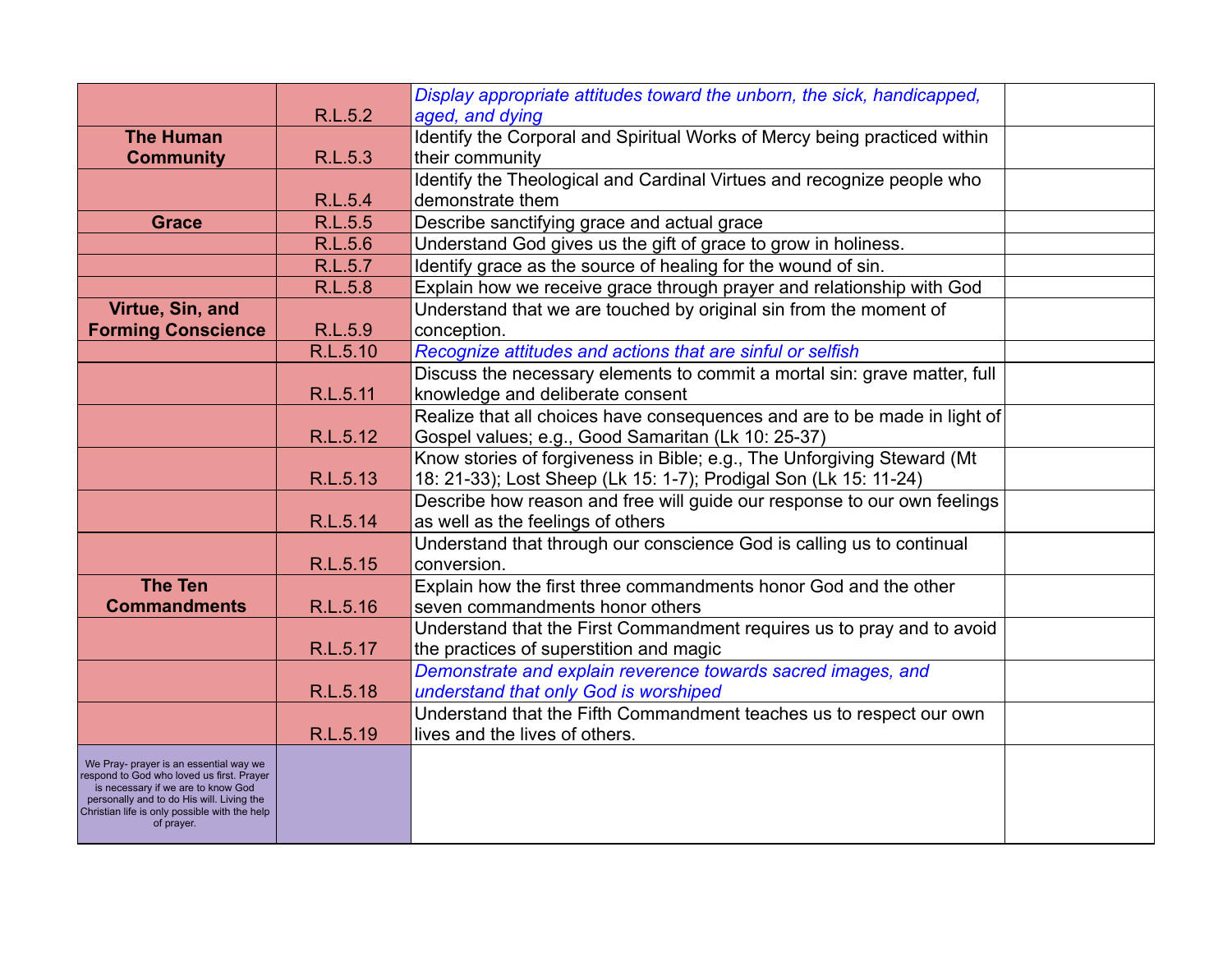| Display appropriate attitudes toward the unborn, the sick, handicapped,                       |  |
|-----------------------------------------------------------------------------------------------|--|
| R.L.5.2<br>aged, and dying                                                                    |  |
| Identify the Corporal and Spiritual Works of Mercy being practiced within<br><b>The Human</b> |  |
| R.L.5.3<br>their community<br><b>Community</b>                                                |  |
| Identify the Theological and Cardinal Virtues and recognize people who                        |  |
| R.L.5.4<br>demonstrate them                                                                   |  |
| R.L.5.5<br>Describe sanctifying grace and actual grace<br><b>Grace</b>                        |  |
| R.L.5.6<br>Understand God gives us the gift of grace to grow in holiness.                     |  |
| R.L.5.7<br>Identify grace as the source of healing for the wound of sin.                      |  |
| Explain how we receive grace through prayer and relationship with God<br>R.L.5.8              |  |
| Understand that we are touched by original sin from the moment of<br>Virtue, Sin, and         |  |
| <b>Forming Conscience</b><br>R.L.5.9<br>conception.                                           |  |
| R.L.5.10<br>Recognize attitudes and actions that are sinful or selfish                        |  |
| Discuss the necessary elements to commit a mortal sin: grave matter, full                     |  |
| R.L.5.11<br>knowledge and deliberate consent                                                  |  |
| Realize that all choices have consequences and are to be made in light of                     |  |
| R.L.5.12<br>Gospel values; e.g., Good Samaritan (Lk 10: 25-37)                                |  |
| Know stories of forgiveness in Bible; e.g., The Unforgiving Steward (Mt                       |  |
| R.L.5.13<br>18: 21-33); Lost Sheep (Lk 15: 1-7); Prodigal Son (Lk 15: 11-24)                  |  |
| Describe how reason and free will guide our response to our own feelings                      |  |
| R.L.5.14<br>as well as the feelings of others                                                 |  |
| Understand that through our conscience God is calling us to continual                         |  |
| R.L.5.15<br>conversion.                                                                       |  |
| <b>The Ten</b><br>Explain how the first three commandments honor God and the other            |  |
| <b>Commandments</b><br>R.L.5.16<br>seven commandments honor others                            |  |
| Understand that the First Commandment requires us to pray and to avoid                        |  |
| R.L.5.17<br>the practices of superstition and magic                                           |  |
| Demonstrate and explain reverence towards sacred images, and                                  |  |
| R.L.5.18<br>understand that only God is worshiped                                             |  |
| Understand that the Fifth Commandment teaches us to respect our own                           |  |
| R.L.5.19<br>lives and the lives of others.                                                    |  |
| We Pray- prayer is an essential way we                                                        |  |
| respond to God who loved us first. Prayer<br>is necessary if we are to know God               |  |
| personally and to do His will. Living the<br>Christian life is only possible with the help    |  |
| of prayer.                                                                                    |  |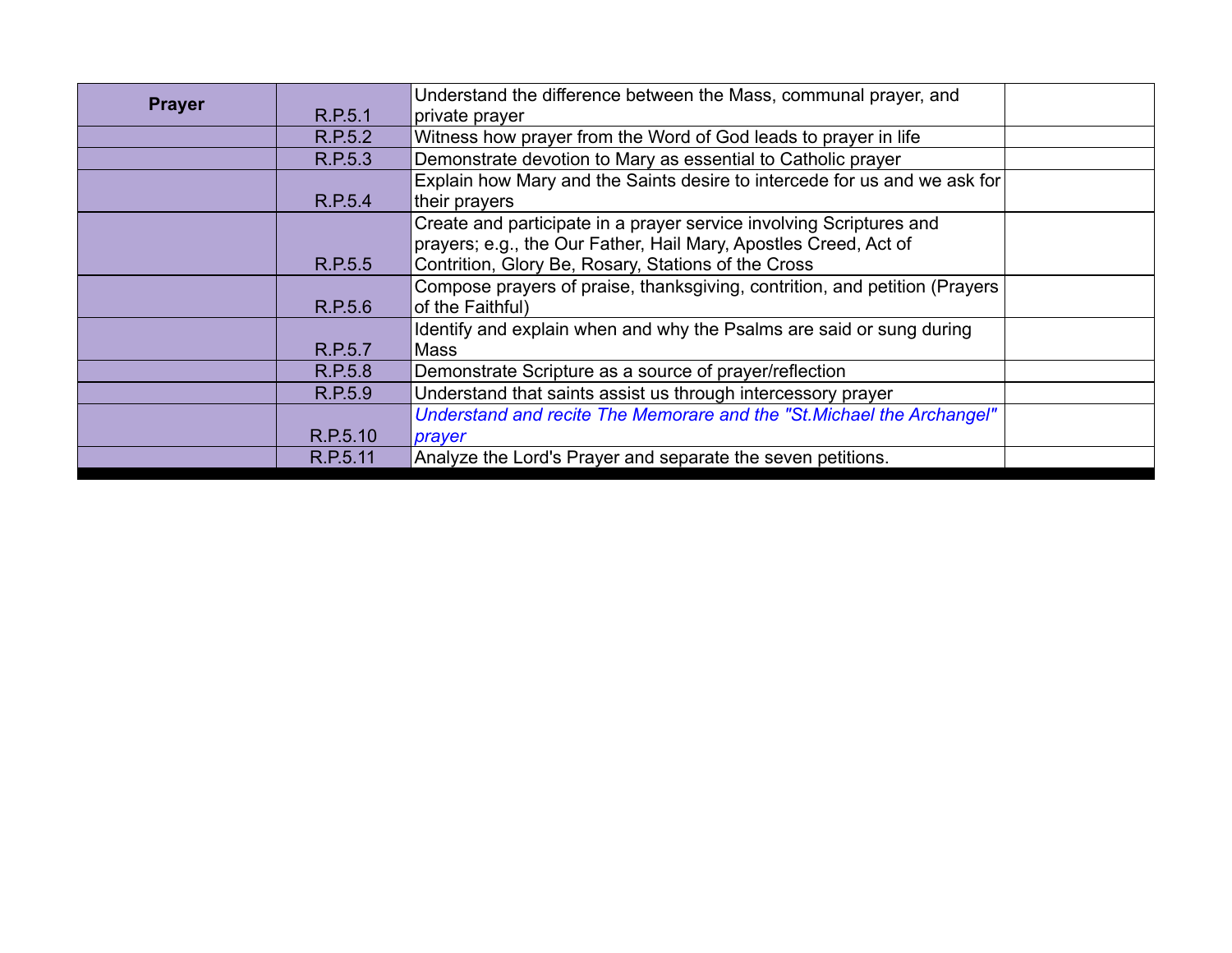| <b>Prayer</b> |          | Understand the difference between the Mass, communal prayer, and                                                                        |  |
|---------------|----------|-----------------------------------------------------------------------------------------------------------------------------------------|--|
|               | R.P.5.1  | private prayer                                                                                                                          |  |
|               | R.P.5.2  | Witness how prayer from the Word of God leads to prayer in life                                                                         |  |
|               | R.P.5.3  | Demonstrate devotion to Mary as essential to Catholic prayer                                                                            |  |
|               |          | Explain how Mary and the Saints desire to intercede for us and we ask for                                                               |  |
|               | R.P.5.4  | their prayers                                                                                                                           |  |
|               |          | Create and participate in a prayer service involving Scriptures and<br>prayers; e.g., the Our Father, Hail Mary, Apostles Creed, Act of |  |
|               | R.P.5.5  | Contrition, Glory Be, Rosary, Stations of the Cross                                                                                     |  |
|               |          | Compose prayers of praise, thanksgiving, contrition, and petition (Prayers)                                                             |  |
|               | R.P.5.6  | of the Faithful)                                                                                                                        |  |
|               |          | Identify and explain when and why the Psalms are said or sung during                                                                    |  |
|               | R.P.5.7  | <b>Mass</b>                                                                                                                             |  |
|               | R.P.5.8  | Demonstrate Scripture as a source of prayer/reflection                                                                                  |  |
|               | R.P.5.9  | Understand that saints assist us through intercessory prayer                                                                            |  |
|               |          | Understand and recite The Memorare and the "St. Michael the Archangel"                                                                  |  |
|               | R.P.5.10 | prayer                                                                                                                                  |  |
|               | R.P.5.11 | Analyze the Lord's Prayer and separate the seven petitions.                                                                             |  |

I can name vocations: priesthood, marriage, religious and single life, and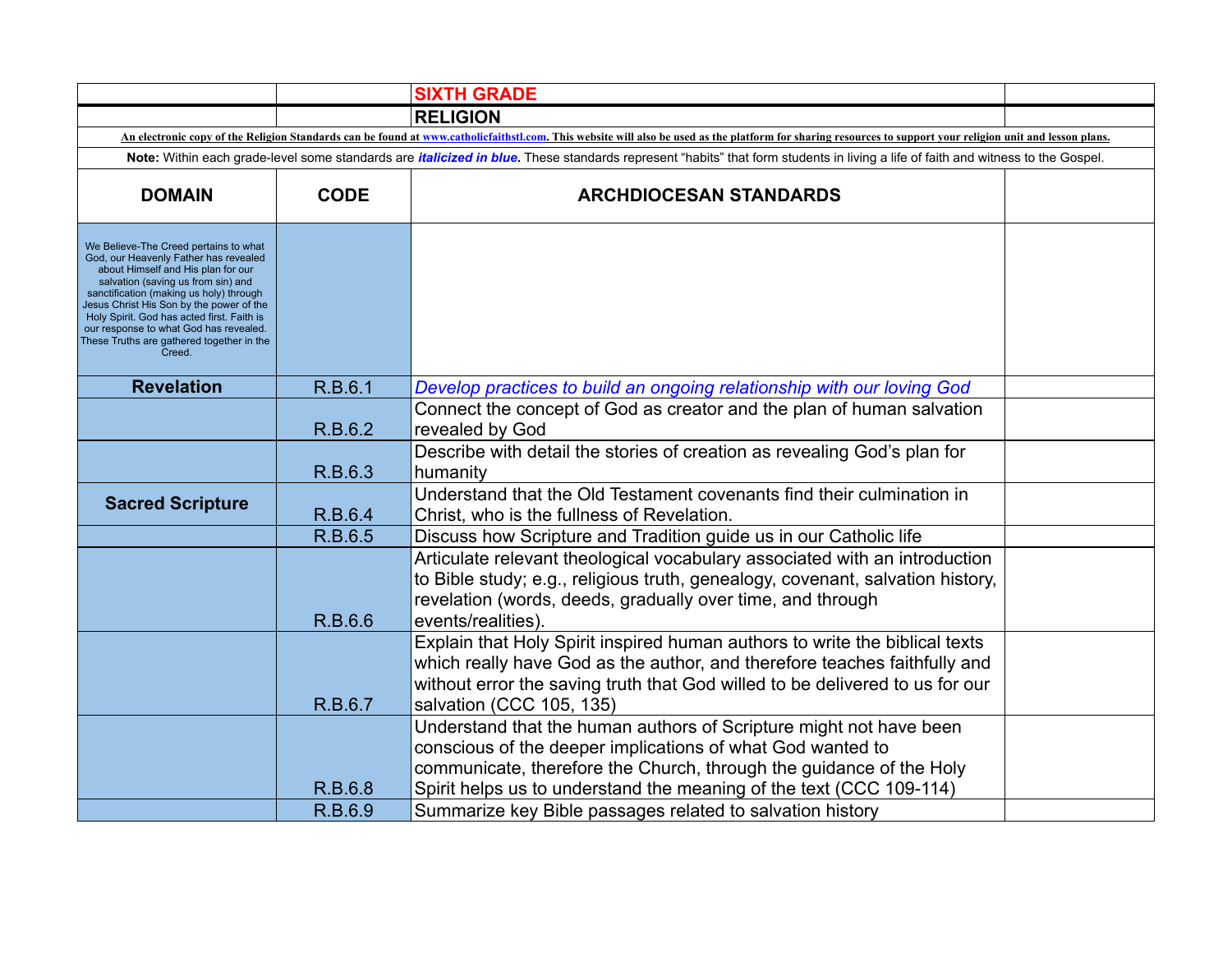|                                                                                                                                                                                                                                                                                                                                                                                                  |                    | <b>SIXTH GRADE</b>                                                                                                                                                                                                                                                                                                                          |  |
|--------------------------------------------------------------------------------------------------------------------------------------------------------------------------------------------------------------------------------------------------------------------------------------------------------------------------------------------------------------------------------------------------|--------------------|---------------------------------------------------------------------------------------------------------------------------------------------------------------------------------------------------------------------------------------------------------------------------------------------------------------------------------------------|--|
|                                                                                                                                                                                                                                                                                                                                                                                                  |                    | <b>RELIGION</b>                                                                                                                                                                                                                                                                                                                             |  |
|                                                                                                                                                                                                                                                                                                                                                                                                  |                    | An electronic copy of the Religion Standards can be found at www.catholicfaithstl.com. This website will also be used as the platform for sharing resources to support your religion unit and lesson plans.                                                                                                                                 |  |
|                                                                                                                                                                                                                                                                                                                                                                                                  |                    | Note: Within each grade-level some standards are <i>italicized in blue</i> . These standards represent "habits" that form students in living a life of faith and witness to the Gospel.                                                                                                                                                     |  |
| <b>DOMAIN</b>                                                                                                                                                                                                                                                                                                                                                                                    | <b>CODE</b>        | <b>ARCHDIOCESAN STANDARDS</b>                                                                                                                                                                                                                                                                                                               |  |
| We Believe-The Creed pertains to what<br>God, our Heavenly Father has revealed<br>about Himself and His plan for our<br>salvation (saving us from sin) and<br>sanctification (making us holy) through<br>Jesus Christ His Son by the power of the<br>Holy Spirit. God has acted first. Faith is<br>our response to what God has revealed.<br>These Truths are gathered together in the<br>Creed. |                    |                                                                                                                                                                                                                                                                                                                                             |  |
| <b>Revelation</b>                                                                                                                                                                                                                                                                                                                                                                                | R.B.6.1            | Develop practices to build an ongoing relationship with our loving God                                                                                                                                                                                                                                                                      |  |
|                                                                                                                                                                                                                                                                                                                                                                                                  | R.B.6.2            | Connect the concept of God as creator and the plan of human salvation<br>revealed by God                                                                                                                                                                                                                                                    |  |
|                                                                                                                                                                                                                                                                                                                                                                                                  | R.B.6.3            | Describe with detail the stories of creation as revealing God's plan for<br>humanity                                                                                                                                                                                                                                                        |  |
| <b>Sacred Scripture</b>                                                                                                                                                                                                                                                                                                                                                                          | R.B.6.4            | Understand that the Old Testament covenants find their culmination in<br>Christ, who is the fullness of Revelation.                                                                                                                                                                                                                         |  |
|                                                                                                                                                                                                                                                                                                                                                                                                  | R.B.6.5            | Discuss how Scripture and Tradition guide us in our Catholic life                                                                                                                                                                                                                                                                           |  |
|                                                                                                                                                                                                                                                                                                                                                                                                  | R.B.6.6            | Articulate relevant theological vocabulary associated with an introduction<br>to Bible study; e.g., religious truth, genealogy, covenant, salvation history,<br>revelation (words, deeds, gradually over time, and through<br>events/realities).                                                                                            |  |
|                                                                                                                                                                                                                                                                                                                                                                                                  | R.B.6.7            | Explain that Holy Spirit inspired human authors to write the biblical texts<br>which really have God as the author, and therefore teaches faithfully and<br>without error the saving truth that God willed to be delivered to us for our<br>salvation (CCC 105, 135)                                                                        |  |
|                                                                                                                                                                                                                                                                                                                                                                                                  | R.B.6.8<br>R.B.6.9 | Understand that the human authors of Scripture might not have been<br>conscious of the deeper implications of what God wanted to<br>communicate, therefore the Church, through the guidance of the Holy<br>Spirit helps us to understand the meaning of the text (CCC 109-114)<br>Summarize key Bible passages related to salvation history |  |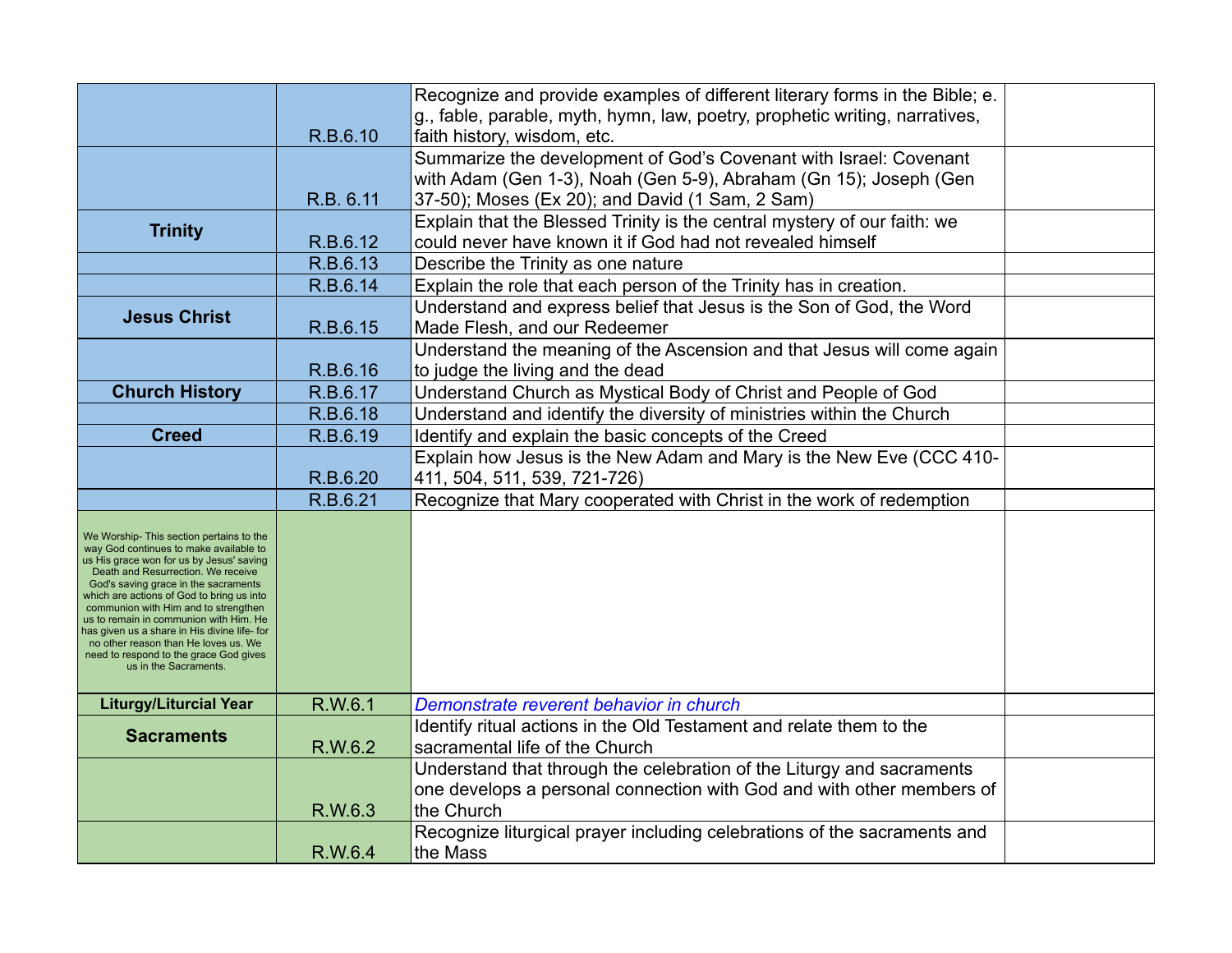|                                                                                      |           | Recognize and provide examples of different literary forms in the Bible; e. |  |
|--------------------------------------------------------------------------------------|-----------|-----------------------------------------------------------------------------|--|
|                                                                                      |           | g., fable, parable, myth, hymn, law, poetry, prophetic writing, narratives, |  |
|                                                                                      | R.B.6.10  | faith history, wisdom, etc.                                                 |  |
|                                                                                      |           | Summarize the development of God's Covenant with Israel: Covenant           |  |
|                                                                                      |           | with Adam (Gen 1-3), Noah (Gen 5-9), Abraham (Gn 15); Joseph (Gen           |  |
|                                                                                      | R.B. 6.11 | 37-50); Moses (Ex 20); and David (1 Sam, 2 Sam)                             |  |
| <b>Trinity</b>                                                                       |           | Explain that the Blessed Trinity is the central mystery of our faith: we    |  |
|                                                                                      | R.B.6.12  | could never have known it if God had not revealed himself                   |  |
|                                                                                      | R.B.6.13  | Describe the Trinity as one nature                                          |  |
|                                                                                      | R.B.6.14  | Explain the role that each person of the Trinity has in creation.           |  |
| <b>Jesus Christ</b>                                                                  |           | Understand and express belief that Jesus is the Son of God, the Word        |  |
|                                                                                      | R.B.6.15  | Made Flesh, and our Redeemer                                                |  |
|                                                                                      |           | Understand the meaning of the Ascension and that Jesus will come again      |  |
|                                                                                      | R.B.6.16  | to judge the living and the dead                                            |  |
| <b>Church History</b>                                                                | R.B.6.17  | Understand Church as Mystical Body of Christ and People of God              |  |
|                                                                                      | R.B.6.18  | Understand and identify the diversity of ministries within the Church       |  |
| <b>Creed</b>                                                                         | R.B.6.19  | Identify and explain the basic concepts of the Creed                        |  |
|                                                                                      |           | Explain how Jesus is the New Adam and Mary is the New Eve (CCC 410-         |  |
|                                                                                      | R.B.6.20  | 411, 504, 511, 539, 721-726)                                                |  |
|                                                                                      | R.B.6.21  | Recognize that Mary cooperated with Christ in the work of redemption        |  |
| We Worship- This section pertains to the                                             |           |                                                                             |  |
| way God continues to make available to<br>us His grace won for us by Jesus' saving   |           |                                                                             |  |
| Death and Resurrection. We receive<br>God's saving grace in the sacraments           |           |                                                                             |  |
| which are actions of God to bring us into                                            |           |                                                                             |  |
| communion with Him and to strengthen<br>us to remain in communion with Him. He       |           |                                                                             |  |
| has given us a share in His divine life- for<br>no other reason than He loves us. We |           |                                                                             |  |
| need to respond to the grace God gives<br>us in the Sacraments.                      |           |                                                                             |  |
|                                                                                      |           |                                                                             |  |
| <b>Liturgy/Liturcial Year</b>                                                        | R.W.6.1   | Demonstrate reverent behavior in church                                     |  |
| <b>Sacraments</b>                                                                    |           | Identify ritual actions in the Old Testament and relate them to the         |  |
|                                                                                      | R.W.6.2   | sacramental life of the Church                                              |  |
|                                                                                      |           | Understand that through the celebration of the Liturgy and sacraments       |  |
|                                                                                      |           | one develops a personal connection with God and with other members of       |  |
|                                                                                      | R.W.6.3   | the Church                                                                  |  |
|                                                                                      |           | Recognize liturgical prayer including celebrations of the sacraments and    |  |
|                                                                                      | R.W.6.4   | the Mass                                                                    |  |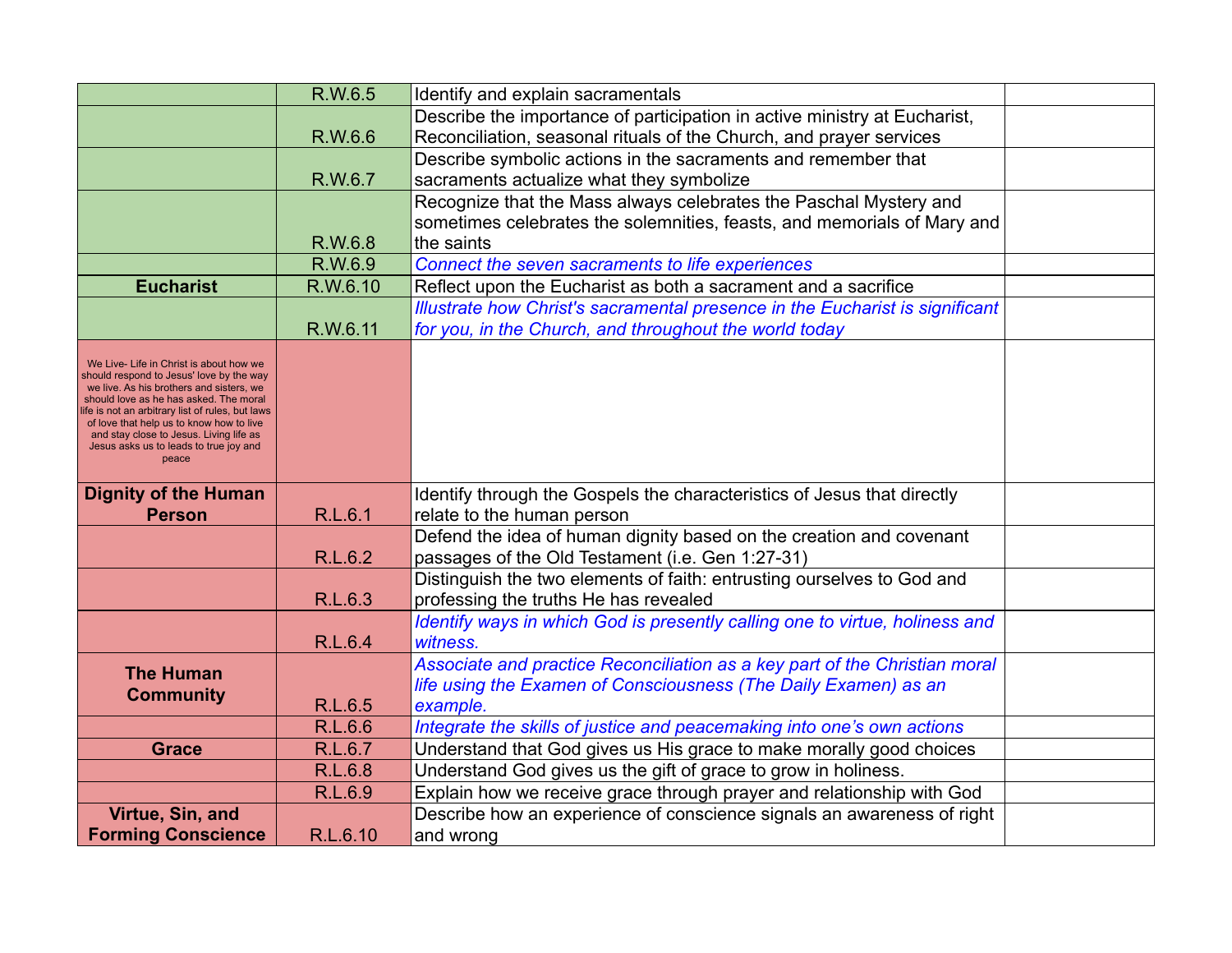|                                                                                             | R.W.6.5  | Identify and explain sacramentals                                            |  |
|---------------------------------------------------------------------------------------------|----------|------------------------------------------------------------------------------|--|
|                                                                                             |          | Describe the importance of participation in active ministry at Eucharist,    |  |
|                                                                                             | R.W.6.6  | Reconciliation, seasonal rituals of the Church, and prayer services          |  |
|                                                                                             |          | Describe symbolic actions in the sacraments and remember that                |  |
|                                                                                             | R.W.6.7  | sacraments actualize what they symbolize                                     |  |
|                                                                                             |          | Recognize that the Mass always celebrates the Paschal Mystery and            |  |
|                                                                                             |          | sometimes celebrates the solemnities, feasts, and memorials of Mary and      |  |
|                                                                                             | R.W.6.8  | the saints                                                                   |  |
|                                                                                             | R.W.6.9  | Connect the seven sacraments to life experiences                             |  |
| <b>Eucharist</b>                                                                            | R.W.6.10 | Reflect upon the Eucharist as both a sacrament and a sacrifice               |  |
|                                                                                             |          | Illustrate how Christ's sacramental presence in the Eucharist is significant |  |
|                                                                                             | R.W.6.11 | for you, in the Church, and throughout the world today                       |  |
|                                                                                             |          |                                                                              |  |
| We Live- Life in Christ is about how we<br>should respond to Jesus' love by the way         |          |                                                                              |  |
| we live. As his brothers and sisters, we<br>should love as he has asked. The moral          |          |                                                                              |  |
| ife is not an arbitrary list of rules, but laws<br>of love that help us to know how to live |          |                                                                              |  |
| and stay close to Jesus. Living life as<br>Jesus asks us to leads to true joy and           |          |                                                                              |  |
| peace                                                                                       |          |                                                                              |  |
| <b>Dignity of the Human</b>                                                                 |          | Identify through the Gospels the characteristics of Jesus that directly      |  |
| <b>Person</b>                                                                               | R.L.6.1  | relate to the human person                                                   |  |
|                                                                                             |          | Defend the idea of human dignity based on the creation and covenant          |  |
|                                                                                             | R.L.6.2  | passages of the Old Testament (i.e. Gen 1:27-31)                             |  |
|                                                                                             |          | Distinguish the two elements of faith: entrusting ourselves to God and       |  |
|                                                                                             | R.L.6.3  | professing the truths He has revealed                                        |  |
|                                                                                             |          | Identify ways in which God is presently calling one to virtue, holiness and  |  |
|                                                                                             | R.L.6.4  | witness.                                                                     |  |
|                                                                                             |          | Associate and practice Reconciliation as a key part of the Christian moral   |  |
| <b>The Human</b>                                                                            |          | life using the Examen of Consciousness (The Daily Examen) as an              |  |
| <b>Community</b>                                                                            | R.L.6.5  | example.                                                                     |  |
|                                                                                             | R.L.6.6  | Integrate the skills of justice and peacemaking into one's own actions       |  |
| <b>Grace</b>                                                                                | R.L.6.7  | Understand that God gives us His grace to make morally good choices          |  |
|                                                                                             | R.L.6.8  | Understand God gives us the gift of grace to grow in holiness.               |  |
|                                                                                             | R.L.6.9  | Explain how we receive grace through prayer and relationship with God        |  |
| Virtue, Sin, and                                                                            |          | Describe how an experience of conscience signals an awareness of right       |  |
| <b>Forming Conscience</b>                                                                   | R.L.6.10 | and wrong                                                                    |  |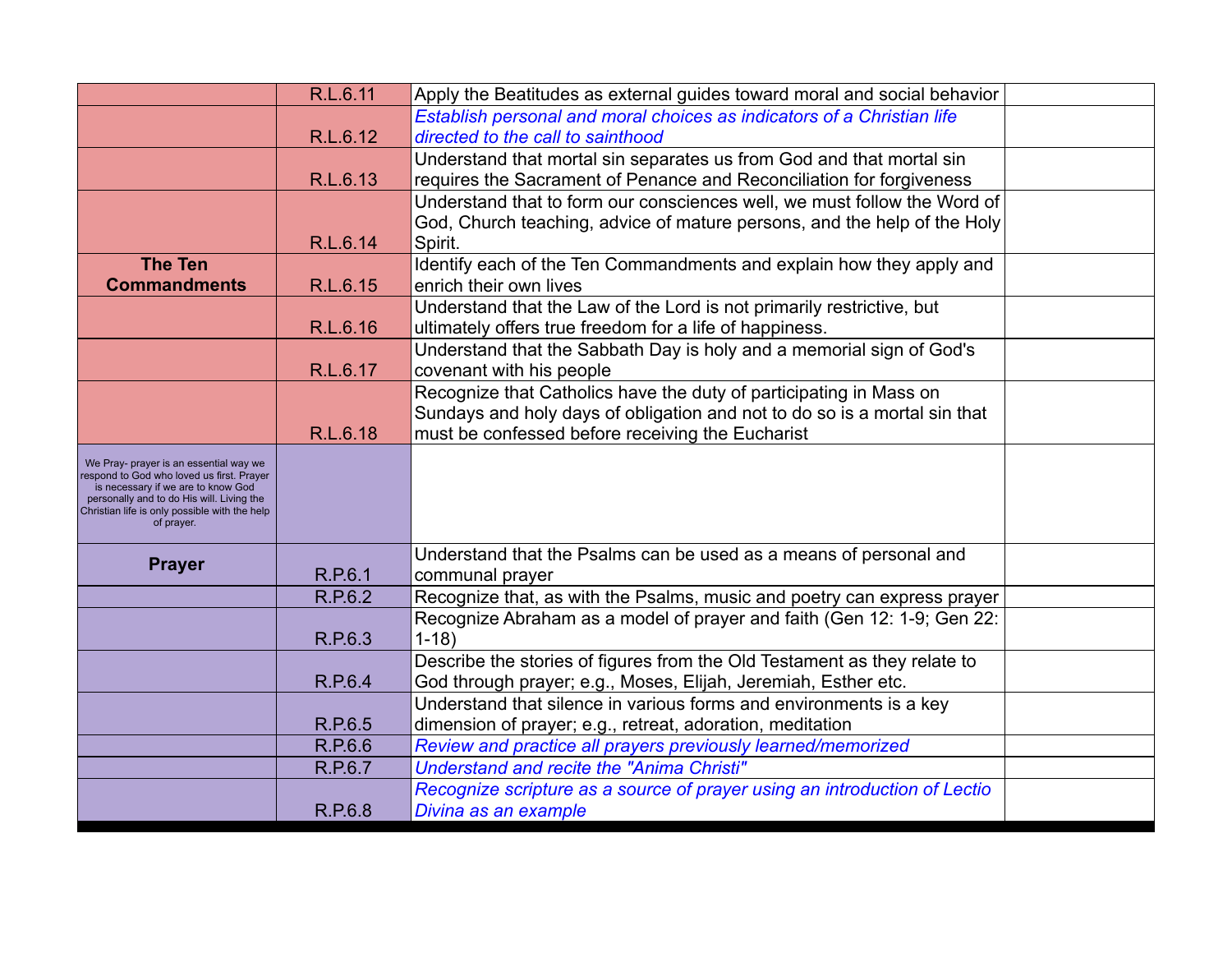|                                                                                                                                                                                                                                       | R.L.6.11 | Apply the Beatitudes as external guides toward moral and social behavior  |  |
|---------------------------------------------------------------------------------------------------------------------------------------------------------------------------------------------------------------------------------------|----------|---------------------------------------------------------------------------|--|
|                                                                                                                                                                                                                                       |          | Establish personal and moral choices as indicators of a Christian life    |  |
|                                                                                                                                                                                                                                       | R.L.6.12 | directed to the call to sainthood                                         |  |
|                                                                                                                                                                                                                                       |          | Understand that mortal sin separates us from God and that mortal sin      |  |
|                                                                                                                                                                                                                                       | R.L.6.13 | requires the Sacrament of Penance and Reconciliation for forgiveness      |  |
|                                                                                                                                                                                                                                       |          | Understand that to form our consciences well, we must follow the Word of  |  |
|                                                                                                                                                                                                                                       |          | God, Church teaching, advice of mature persons, and the help of the Holy  |  |
|                                                                                                                                                                                                                                       | R.L.6.14 | Spirit.                                                                   |  |
| <b>The Ten</b>                                                                                                                                                                                                                        |          | Identify each of the Ten Commandments and explain how they apply and      |  |
| <b>Commandments</b>                                                                                                                                                                                                                   | R.L.6.15 | enrich their own lives                                                    |  |
|                                                                                                                                                                                                                                       |          | Understand that the Law of the Lord is not primarily restrictive, but     |  |
|                                                                                                                                                                                                                                       | R.L.6.16 | ultimately offers true freedom for a life of happiness.                   |  |
|                                                                                                                                                                                                                                       |          | Understand that the Sabbath Day is holy and a memorial sign of God's      |  |
|                                                                                                                                                                                                                                       | R.L.6.17 | covenant with his people                                                  |  |
|                                                                                                                                                                                                                                       |          | Recognize that Catholics have the duty of participating in Mass on        |  |
|                                                                                                                                                                                                                                       |          | Sundays and holy days of obligation and not to do so is a mortal sin that |  |
|                                                                                                                                                                                                                                       | R.L.6.18 | must be confessed before receiving the Eucharist                          |  |
| We Pray- prayer is an essential way we<br>respond to God who loved us first. Prayer<br>is necessary if we are to know God<br>personally and to do His will. Living the<br>Christian life is only possible with the help<br>of prayer. |          |                                                                           |  |
|                                                                                                                                                                                                                                       |          | Understand that the Psalms can be used as a means of personal and         |  |
| <b>Prayer</b>                                                                                                                                                                                                                         | R.P.6.1  | communal prayer                                                           |  |
|                                                                                                                                                                                                                                       | R.P.6.2  | Recognize that, as with the Psalms, music and poetry can express prayer   |  |
|                                                                                                                                                                                                                                       |          | Recognize Abraham as a model of prayer and faith (Gen 12: 1-9; Gen 22:    |  |
|                                                                                                                                                                                                                                       | R.P.6.3  | $1-18$                                                                    |  |
|                                                                                                                                                                                                                                       |          | Describe the stories of figures from the Old Testament as they relate to  |  |
|                                                                                                                                                                                                                                       | R.P.6.4  | God through prayer; e.g., Moses, Elijah, Jeremiah, Esther etc.            |  |
|                                                                                                                                                                                                                                       |          | Understand that silence in various forms and environments is a key        |  |
|                                                                                                                                                                                                                                       | R.P.6.5  | dimension of prayer; e.g., retreat, adoration, meditation                 |  |
|                                                                                                                                                                                                                                       | R.P.6.6  | Review and practice all prayers previously learned/memorized              |  |
|                                                                                                                                                                                                                                       | R.P.6.7  | Understand and recite the "Anima Christi"                                 |  |
|                                                                                                                                                                                                                                       |          | Recognize scripture as a source of prayer using an introduction of Lectio |  |
|                                                                                                                                                                                                                                       | R.P.6.8  | Divina as an example                                                      |  |
|                                                                                                                                                                                                                                       |          |                                                                           |  |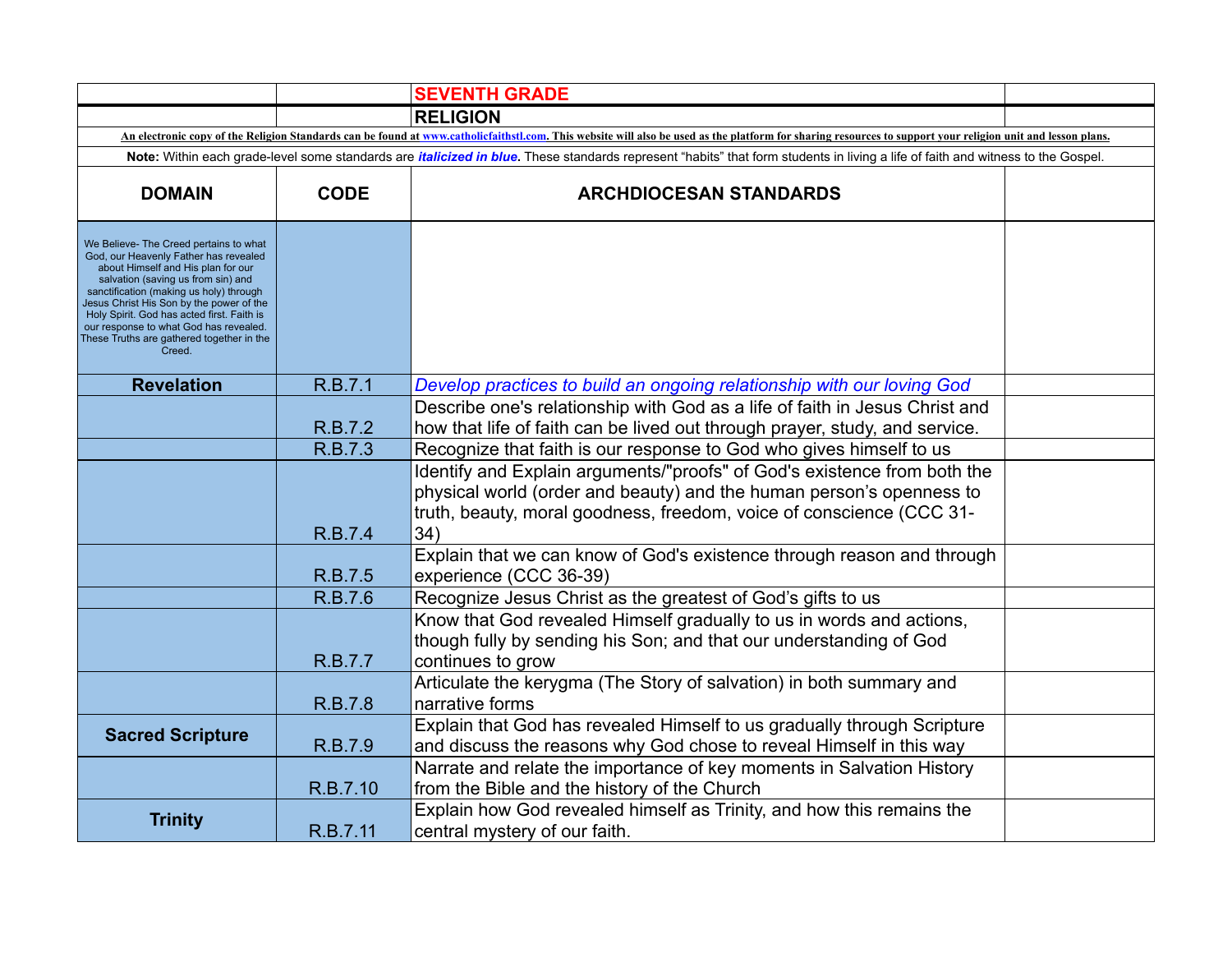|                                                                                                                                                                                                                                                                                                                                                                                                   |                    | <b>SEVENTH GRADE</b>                                                                                                                                                                                                              |  |
|---------------------------------------------------------------------------------------------------------------------------------------------------------------------------------------------------------------------------------------------------------------------------------------------------------------------------------------------------------------------------------------------------|--------------------|-----------------------------------------------------------------------------------------------------------------------------------------------------------------------------------------------------------------------------------|--|
|                                                                                                                                                                                                                                                                                                                                                                                                   |                    | <b>RELIGION</b>                                                                                                                                                                                                                   |  |
|                                                                                                                                                                                                                                                                                                                                                                                                   |                    | An electronic copy of the Religion Standards can be found at www.catholicfaithstl.com. This website will also be used as the platform for sharing resources to support your religion unit and lesson plans.                       |  |
|                                                                                                                                                                                                                                                                                                                                                                                                   |                    | Note: Within each grade-level some standards are <i>italicized in blue</i> . These standards represent "habits" that form students in living a life of faith and witness to the Gospel.                                           |  |
| <b>DOMAIN</b>                                                                                                                                                                                                                                                                                                                                                                                     | <b>CODE</b>        | <b>ARCHDIOCESAN STANDARDS</b>                                                                                                                                                                                                     |  |
| We Believe- The Creed pertains to what<br>God, our Heavenly Father has revealed<br>about Himself and His plan for our<br>salvation (saving us from sin) and<br>sanctification (making us holy) through<br>Jesus Christ His Son by the power of the<br>Holy Spirit. God has acted first. Faith is<br>our response to what God has revealed.<br>These Truths are gathered together in the<br>Creed. |                    |                                                                                                                                                                                                                                   |  |
| <b>Revelation</b>                                                                                                                                                                                                                                                                                                                                                                                 | R.B.7.1            | Develop practices to build an ongoing relationship with our loving God                                                                                                                                                            |  |
|                                                                                                                                                                                                                                                                                                                                                                                                   | R.B.7.2<br>R.B.7.3 | Describe one's relationship with God as a life of faith in Jesus Christ and<br>how that life of faith can be lived out through prayer, study, and service.<br>Recognize that faith is our response to God who gives himself to us |  |
|                                                                                                                                                                                                                                                                                                                                                                                                   | R.B.7.4            | Identify and Explain arguments/"proofs" of God's existence from both the<br>physical world (order and beauty) and the human person's openness to<br>truth, beauty, moral goodness, freedom, voice of conscience (CCC 31-<br>34)   |  |
|                                                                                                                                                                                                                                                                                                                                                                                                   | R.B.7.5            | Explain that we can know of God's existence through reason and through<br>experience (CCC 36-39)                                                                                                                                  |  |
|                                                                                                                                                                                                                                                                                                                                                                                                   | R.B.7.6            | Recognize Jesus Christ as the greatest of God's gifts to us                                                                                                                                                                       |  |
|                                                                                                                                                                                                                                                                                                                                                                                                   | R.B.7.7            | Know that God revealed Himself gradually to us in words and actions,<br>though fully by sending his Son; and that our understanding of God<br>continues to grow                                                                   |  |
|                                                                                                                                                                                                                                                                                                                                                                                                   | R.B.7.8            | Articulate the kerygma (The Story of salvation) in both summary and<br>narrative forms                                                                                                                                            |  |
| <b>Sacred Scripture</b>                                                                                                                                                                                                                                                                                                                                                                           | R.B.7.9            | Explain that God has revealed Himself to us gradually through Scripture<br>and discuss the reasons why God chose to reveal Himself in this way                                                                                    |  |
|                                                                                                                                                                                                                                                                                                                                                                                                   | R.B.7.10           | Narrate and relate the importance of key moments in Salvation History<br>from the Bible and the history of the Church                                                                                                             |  |
| <b>Trinity</b>                                                                                                                                                                                                                                                                                                                                                                                    | R.B.7.11           | Explain how God revealed himself as Trinity, and how this remains the<br>central mystery of our faith.                                                                                                                            |  |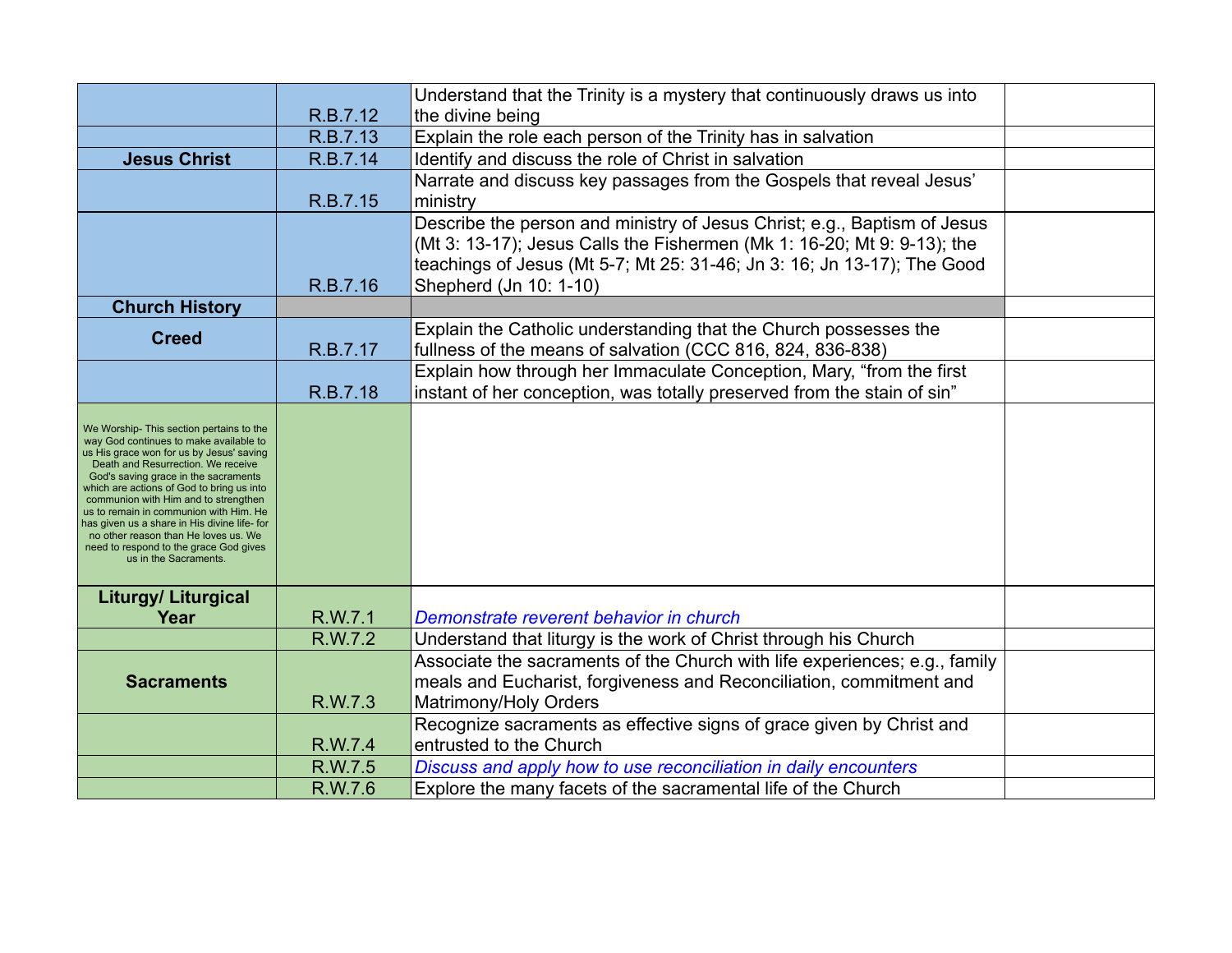|                                                                                                                                                                                                                                                                                                                                                                                                                                                                                                       |          | Understand that the Trinity is a mystery that continuously draws us into                                                                                                                                                                                 |  |
|-------------------------------------------------------------------------------------------------------------------------------------------------------------------------------------------------------------------------------------------------------------------------------------------------------------------------------------------------------------------------------------------------------------------------------------------------------------------------------------------------------|----------|----------------------------------------------------------------------------------------------------------------------------------------------------------------------------------------------------------------------------------------------------------|--|
|                                                                                                                                                                                                                                                                                                                                                                                                                                                                                                       | R.B.7.12 | the divine being                                                                                                                                                                                                                                         |  |
|                                                                                                                                                                                                                                                                                                                                                                                                                                                                                                       | R.B.7.13 | Explain the role each person of the Trinity has in salvation                                                                                                                                                                                             |  |
| <b>Jesus Christ</b>                                                                                                                                                                                                                                                                                                                                                                                                                                                                                   | R.B.7.14 | Identify and discuss the role of Christ in salvation                                                                                                                                                                                                     |  |
|                                                                                                                                                                                                                                                                                                                                                                                                                                                                                                       | R.B.7.15 | Narrate and discuss key passages from the Gospels that reveal Jesus'<br>ministry                                                                                                                                                                         |  |
|                                                                                                                                                                                                                                                                                                                                                                                                                                                                                                       | R.B.7.16 | Describe the person and ministry of Jesus Christ; e.g., Baptism of Jesus<br>(Mt 3: 13-17); Jesus Calls the Fishermen (Mk 1: 16-20; Mt 9: 9-13); the<br>teachings of Jesus (Mt 5-7; Mt 25: 31-46; Jn 3: 16; Jn 13-17); The Good<br>Shepherd (Jn 10: 1-10) |  |
| <b>Church History</b>                                                                                                                                                                                                                                                                                                                                                                                                                                                                                 |          |                                                                                                                                                                                                                                                          |  |
| <b>Creed</b>                                                                                                                                                                                                                                                                                                                                                                                                                                                                                          | R.B.7.17 | Explain the Catholic understanding that the Church possesses the<br>fullness of the means of salvation (CCC 816, 824, 836-838)                                                                                                                           |  |
|                                                                                                                                                                                                                                                                                                                                                                                                                                                                                                       | R.B.7.18 | Explain how through her Immaculate Conception, Mary, "from the first<br>instant of her conception, was totally preserved from the stain of sin"                                                                                                          |  |
| We Worship-This section pertains to the<br>way God continues to make available to<br>us His grace won for us by Jesus' saving<br>Death and Resurrection. We receive<br>God's saving grace in the sacraments<br>which are actions of God to bring us into<br>communion with Him and to strengthen<br>us to remain in communion with Him. He<br>has given us a share in His divine life- for<br>no other reason than He loves us. We<br>need to respond to the grace God gives<br>us in the Sacraments. |          |                                                                                                                                                                                                                                                          |  |
| Liturgy/ Liturgical                                                                                                                                                                                                                                                                                                                                                                                                                                                                                   |          |                                                                                                                                                                                                                                                          |  |
| Year                                                                                                                                                                                                                                                                                                                                                                                                                                                                                                  | R.W.7.1  | Demonstrate reverent behavior in church                                                                                                                                                                                                                  |  |
|                                                                                                                                                                                                                                                                                                                                                                                                                                                                                                       | R.W.7.2  | Understand that liturgy is the work of Christ through his Church                                                                                                                                                                                         |  |
| <b>Sacraments</b>                                                                                                                                                                                                                                                                                                                                                                                                                                                                                     | R.W.7.3  | Associate the sacraments of the Church with life experiences; e.g., family<br>meals and Eucharist, forgiveness and Reconciliation, commitment and<br>Matrimony/Holy Orders                                                                               |  |
|                                                                                                                                                                                                                                                                                                                                                                                                                                                                                                       | R.W.7.4  | Recognize sacraments as effective signs of grace given by Christ and<br>entrusted to the Church                                                                                                                                                          |  |
|                                                                                                                                                                                                                                                                                                                                                                                                                                                                                                       | R.W.7.5  | Discuss and apply how to use reconciliation in daily encounters                                                                                                                                                                                          |  |
|                                                                                                                                                                                                                                                                                                                                                                                                                                                                                                       | R.W.7.6  | Explore the many facets of the sacramental life of the Church                                                                                                                                                                                            |  |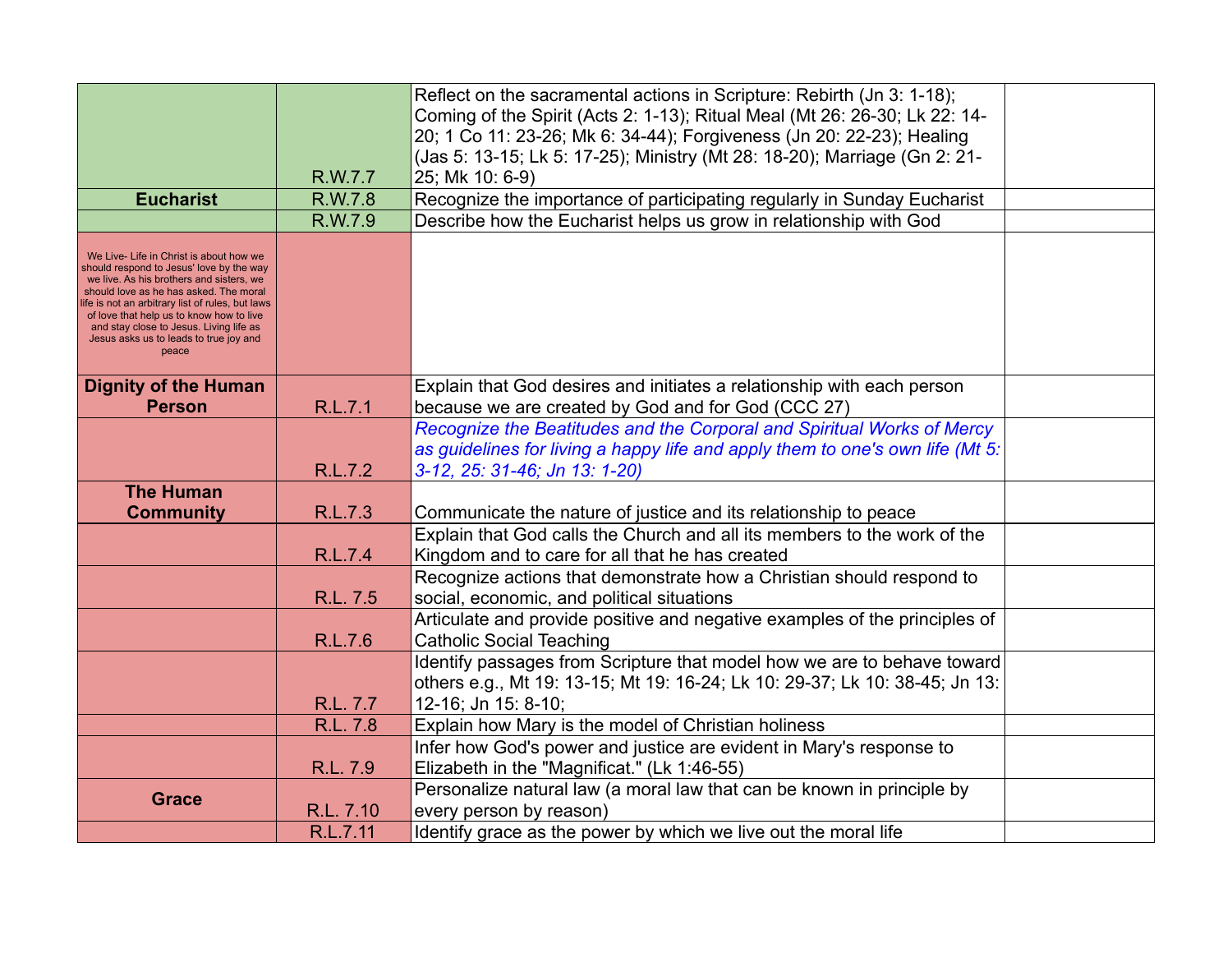|                                                                                                                                                                                                                                                                                                                                                                        |           | Reflect on the sacramental actions in Scripture: Rebirth (Jn 3: 1-18);        |  |
|------------------------------------------------------------------------------------------------------------------------------------------------------------------------------------------------------------------------------------------------------------------------------------------------------------------------------------------------------------------------|-----------|-------------------------------------------------------------------------------|--|
|                                                                                                                                                                                                                                                                                                                                                                        |           | Coming of the Spirit (Acts 2: 1-13); Ritual Meal (Mt 26: 26-30; Lk 22: 14-    |  |
|                                                                                                                                                                                                                                                                                                                                                                        |           | 20; 1 Co 11: 23-26; Mk 6: 34-44); Forgiveness (Jn 20: 22-23); Healing         |  |
|                                                                                                                                                                                                                                                                                                                                                                        |           | (Jas 5: 13-15; Lk 5: 17-25); Ministry (Mt 28: 18-20); Marriage (Gn 2: 21-     |  |
|                                                                                                                                                                                                                                                                                                                                                                        | R.W.7.7   | 25; Mk 10: 6-9)                                                               |  |
| <b>Eucharist</b>                                                                                                                                                                                                                                                                                                                                                       | R.W.7.8   | Recognize the importance of participating regularly in Sunday Eucharist       |  |
|                                                                                                                                                                                                                                                                                                                                                                        | R.W.7.9   | Describe how the Eucharist helps us grow in relationship with God             |  |
| We Live- Life in Christ is about how we<br>should respond to Jesus' love by the way<br>we live. As his brothers and sisters, we<br>should love as he has asked. The moral<br>ife is not an arbitrary list of rules, but laws<br>of love that help us to know how to live<br>and stay close to Jesus. Living life as<br>Jesus asks us to leads to true joy and<br>peace |           |                                                                               |  |
| <b>Dignity of the Human</b>                                                                                                                                                                                                                                                                                                                                            |           | Explain that God desires and initiates a relationship with each person        |  |
| <b>Person</b>                                                                                                                                                                                                                                                                                                                                                          | R.L.7.1   | because we are created by God and for God (CCC 27)                            |  |
|                                                                                                                                                                                                                                                                                                                                                                        |           | Recognize the Beatitudes and the Corporal and Spiritual Works of Mercy        |  |
|                                                                                                                                                                                                                                                                                                                                                                        |           | as guidelines for living a happy life and apply them to one's own life (Mt 5: |  |
|                                                                                                                                                                                                                                                                                                                                                                        | R.L.7.2   | 3-12, 25: 31-46; Jn 13: 1-20)                                                 |  |
| <b>The Human</b>                                                                                                                                                                                                                                                                                                                                                       |           |                                                                               |  |
| <b>Community</b>                                                                                                                                                                                                                                                                                                                                                       | R.L.7.3   | Communicate the nature of justice and its relationship to peace               |  |
|                                                                                                                                                                                                                                                                                                                                                                        |           | Explain that God calls the Church and all its members to the work of the      |  |
|                                                                                                                                                                                                                                                                                                                                                                        | R.L.7.4   | Kingdom and to care for all that he has created                               |  |
|                                                                                                                                                                                                                                                                                                                                                                        |           | Recognize actions that demonstrate how a Christian should respond to          |  |
|                                                                                                                                                                                                                                                                                                                                                                        | R.L. 7.5  | social, economic, and political situations                                    |  |
|                                                                                                                                                                                                                                                                                                                                                                        |           | Articulate and provide positive and negative examples of the principles of    |  |
|                                                                                                                                                                                                                                                                                                                                                                        | R.L.7.6   | <b>Catholic Social Teaching</b>                                               |  |
|                                                                                                                                                                                                                                                                                                                                                                        |           | Identify passages from Scripture that model how we are to behave toward       |  |
|                                                                                                                                                                                                                                                                                                                                                                        |           | others e.g., Mt 19: 13-15; Mt 19: 16-24; Lk 10: 29-37; Lk 10: 38-45; Jn 13:   |  |
|                                                                                                                                                                                                                                                                                                                                                                        | R.L. 7.7  | 12-16; Jn 15: 8-10;                                                           |  |
|                                                                                                                                                                                                                                                                                                                                                                        | R.L. 7.8  | Explain how Mary is the model of Christian holiness                           |  |
|                                                                                                                                                                                                                                                                                                                                                                        |           | Infer how God's power and justice are evident in Mary's response to           |  |
|                                                                                                                                                                                                                                                                                                                                                                        | R.L. 7.9  | Elizabeth in the "Magnificat." (Lk 1:46-55)                                   |  |
| <b>Grace</b>                                                                                                                                                                                                                                                                                                                                                           |           | Personalize natural law (a moral law that can be known in principle by        |  |
|                                                                                                                                                                                                                                                                                                                                                                        | R.L. 7.10 | every person by reason)                                                       |  |
|                                                                                                                                                                                                                                                                                                                                                                        | R.L.7.11  | Identify grace as the power by which we live out the moral life               |  |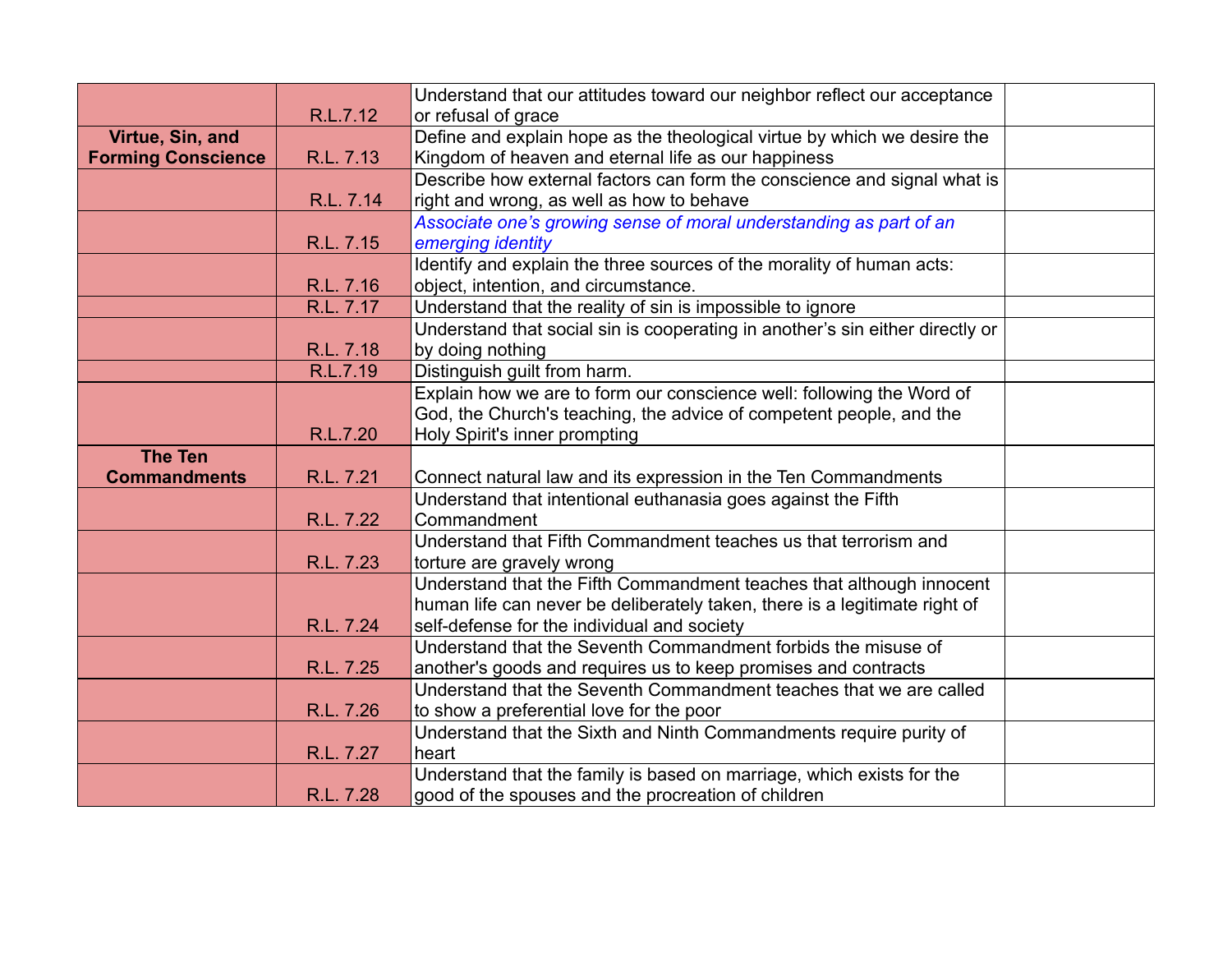|                           |           | Understand that our attitudes toward our neighbor reflect our acceptance      |  |
|---------------------------|-----------|-------------------------------------------------------------------------------|--|
|                           | R.L.7.12  | or refusal of grace                                                           |  |
| Virtue, Sin, and          |           | Define and explain hope as the theological virtue by which we desire the      |  |
| <b>Forming Conscience</b> | R.L. 7.13 | Kingdom of heaven and eternal life as our happiness                           |  |
|                           |           | Describe how external factors can form the conscience and signal what is      |  |
|                           | R.L. 7.14 | right and wrong, as well as how to behave                                     |  |
|                           |           | Associate one's growing sense of moral understanding as part of an            |  |
|                           | R.L. 7.15 | emerging identity                                                             |  |
|                           |           | Identify and explain the three sources of the morality of human acts:         |  |
|                           | R.L. 7.16 | object, intention, and circumstance.                                          |  |
|                           | R.L. 7.17 | Understand that the reality of sin is impossible to ignore                    |  |
|                           |           | Understand that social sin is cooperating in another's sin either directly or |  |
|                           | R.L. 7.18 | by doing nothing                                                              |  |
|                           | R.L.7.19  | Distinguish guilt from harm.                                                  |  |
|                           |           | Explain how we are to form our conscience well: following the Word of         |  |
|                           |           | God, the Church's teaching, the advice of competent people, and the           |  |
|                           | R.L.7.20  | Holy Spirit's inner prompting                                                 |  |
| <b>The Ten</b>            |           |                                                                               |  |
| <b>Commandments</b>       | R.L. 7.21 | Connect natural law and its expression in the Ten Commandments                |  |
|                           |           | Understand that intentional euthanasia goes against the Fifth                 |  |
|                           | R.L. 7.22 | Commandment                                                                   |  |
|                           |           | Understand that Fifth Commandment teaches us that terrorism and               |  |
|                           | R.L. 7.23 | torture are gravely wrong                                                     |  |
|                           |           | Understand that the Fifth Commandment teaches that although innocent          |  |
|                           |           | human life can never be deliberately taken, there is a legitimate right of    |  |
|                           | R.L. 7.24 | self-defense for the individual and society                                   |  |
|                           |           | Understand that the Seventh Commandment forbids the misuse of                 |  |
|                           | R.L. 7.25 | another's goods and requires us to keep promises and contracts                |  |
|                           |           | Understand that the Seventh Commandment teaches that we are called            |  |
|                           | R.L. 7.26 | to show a preferential love for the poor                                      |  |
|                           |           | Understand that the Sixth and Ninth Commandments require purity of            |  |
|                           | R.L. 7.27 | heart                                                                         |  |
|                           |           | Understand that the family is based on marriage, which exists for the         |  |
|                           | R.L. 7.28 | good of the spouses and the procreation of children                           |  |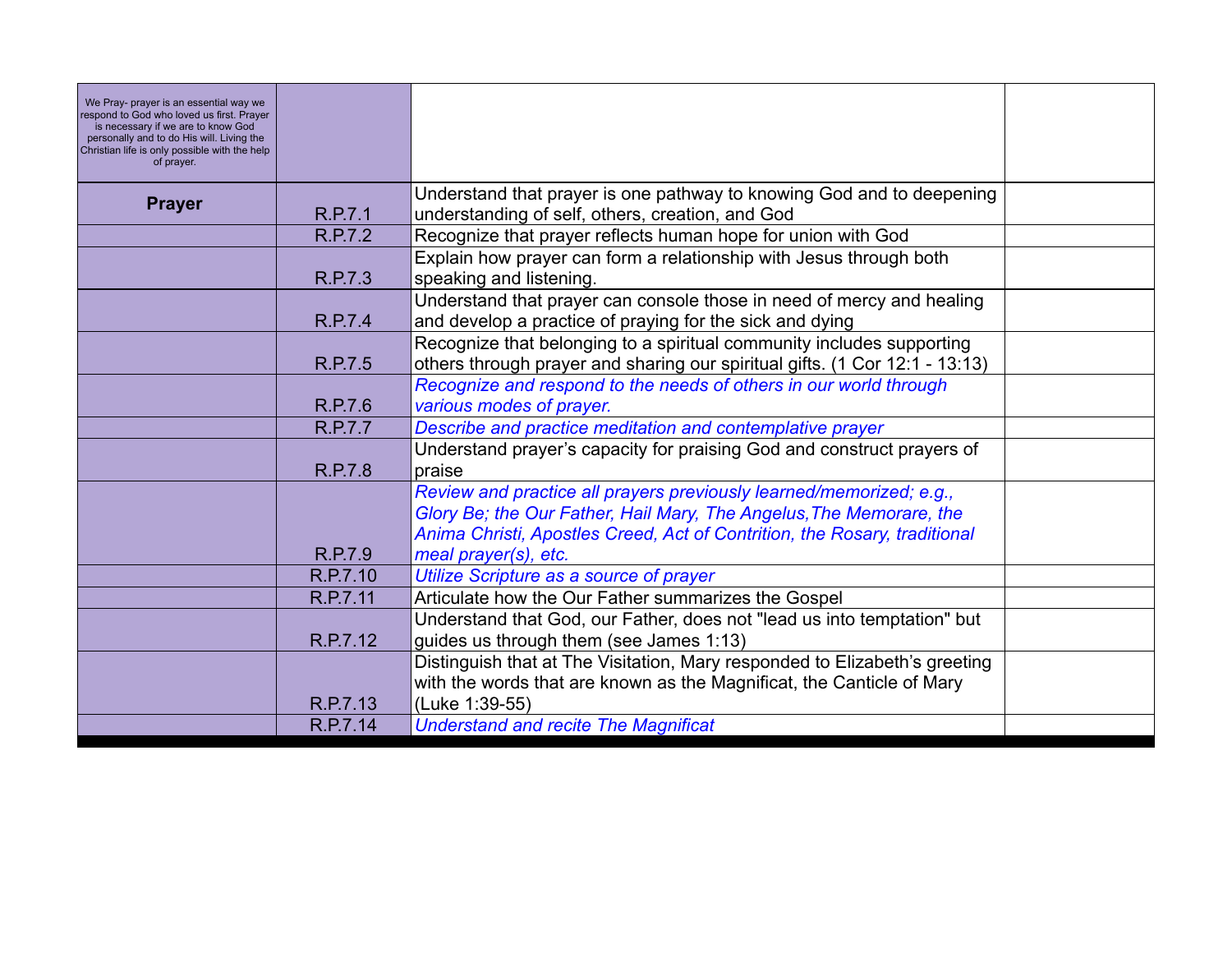| We Pray- prayer is an essential way we<br>respond to God who loved us first. Prayer<br>is necessary if we are to know God<br>personally and to do His will. Living the |          |                                                                                                                                                      |  |
|------------------------------------------------------------------------------------------------------------------------------------------------------------------------|----------|------------------------------------------------------------------------------------------------------------------------------------------------------|--|
| Christian life is only possible with the help<br>of prayer.                                                                                                            |          |                                                                                                                                                      |  |
| <b>Prayer</b>                                                                                                                                                          | R.P.7.1  | Understand that prayer is one pathway to knowing God and to deepening<br>understanding of self, others, creation, and God                            |  |
|                                                                                                                                                                        | R.P.7.2  | Recognize that prayer reflects human hope for union with God                                                                                         |  |
|                                                                                                                                                                        | R.P.7.3  | Explain how prayer can form a relationship with Jesus through both<br>speaking and listening.                                                        |  |
|                                                                                                                                                                        | R.P.7.4  | Understand that prayer can console those in need of mercy and healing<br>and develop a practice of praying for the sick and dying                    |  |
|                                                                                                                                                                        | R.P.7.5  | Recognize that belonging to a spiritual community includes supporting<br>others through prayer and sharing our spiritual gifts. (1 Cor 12:1 - 13:13) |  |
|                                                                                                                                                                        | R.P.7.6  | Recognize and respond to the needs of others in our world through<br>various modes of prayer.                                                        |  |
|                                                                                                                                                                        | R.P.7.7  | Describe and practice meditation and contemplative prayer                                                                                            |  |
|                                                                                                                                                                        | R.P.7.8  | Understand prayer's capacity for praising God and construct prayers of<br>praise                                                                     |  |
|                                                                                                                                                                        |          | Review and practice all prayers previously learned/memorized; e.g.,<br>Glory Be; the Our Father, Hail Mary, The Angelus, The Memorare, the           |  |
|                                                                                                                                                                        |          | Anima Christi, Apostles Creed, Act of Contrition, the Rosary, traditional                                                                            |  |
|                                                                                                                                                                        | R.P.7.9  | meal prayer(s), etc.                                                                                                                                 |  |
|                                                                                                                                                                        | R.P.7.10 | Utilize Scripture as a source of prayer                                                                                                              |  |
|                                                                                                                                                                        | R.P.7.11 | Articulate how the Our Father summarizes the Gospel                                                                                                  |  |
|                                                                                                                                                                        | R.P.7.12 | Understand that God, our Father, does not "lead us into temptation" but<br>guides us through them (see James 1:13)                                   |  |
|                                                                                                                                                                        |          | Distinguish that at The Visitation, Mary responded to Elizabeth's greeting<br>with the words that are known as the Magnificat, the Canticle of Mary  |  |
|                                                                                                                                                                        | R.P.7.13 | (Luke 1:39-55)                                                                                                                                       |  |
|                                                                                                                                                                        | R.P.7.14 | <b>Understand and recite The Magnificat</b>                                                                                                          |  |
|                                                                                                                                                                        |          |                                                                                                                                                      |  |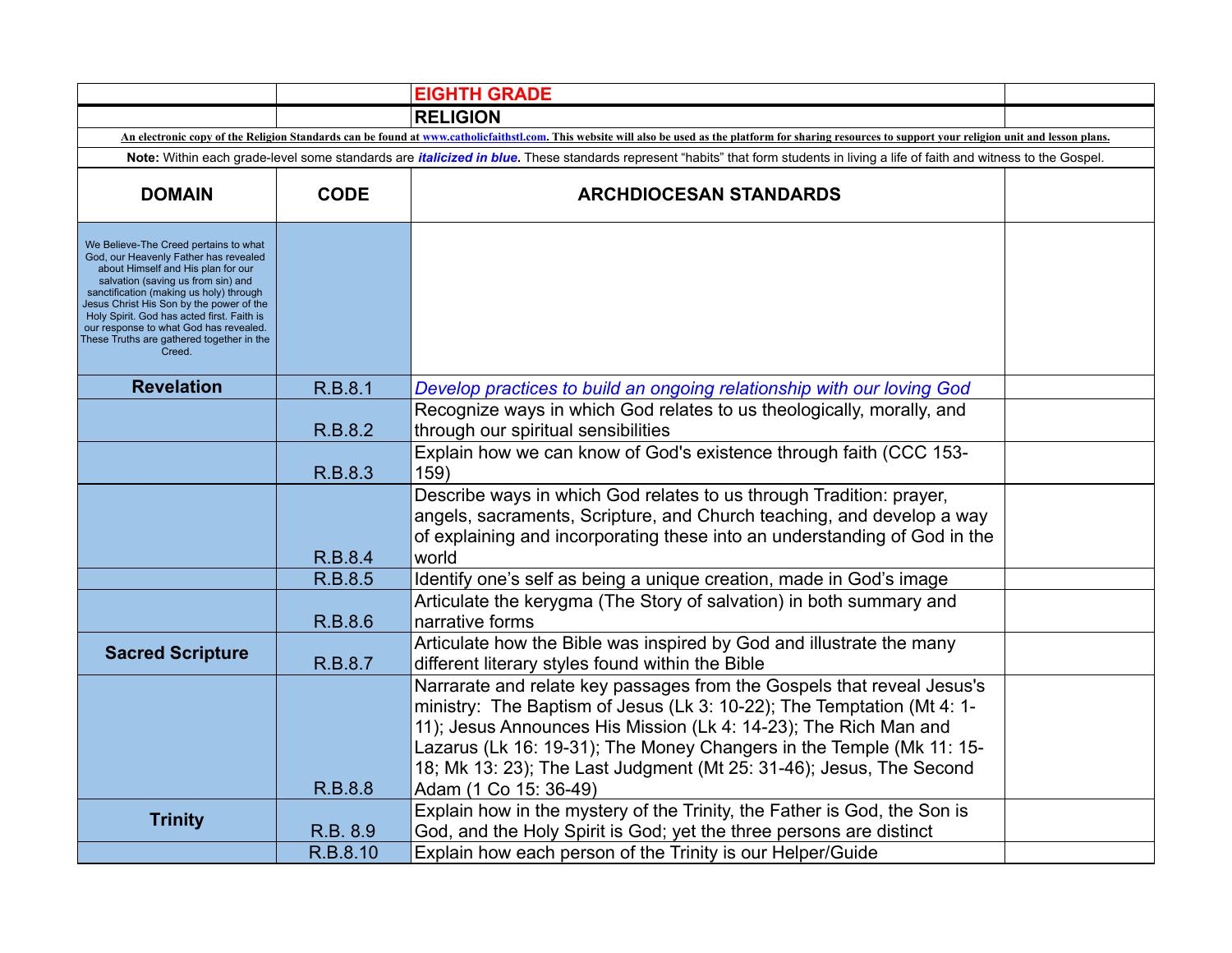|                                                                                                                                                                                                                                                                                                                                                                                                  |             | <b>EIGHTH GRADE</b>                                                                                                                                                                                                                                                                                                                                                                          |  |  |
|--------------------------------------------------------------------------------------------------------------------------------------------------------------------------------------------------------------------------------------------------------------------------------------------------------------------------------------------------------------------------------------------------|-------------|----------------------------------------------------------------------------------------------------------------------------------------------------------------------------------------------------------------------------------------------------------------------------------------------------------------------------------------------------------------------------------------------|--|--|
|                                                                                                                                                                                                                                                                                                                                                                                                  |             | <b>RELIGION</b>                                                                                                                                                                                                                                                                                                                                                                              |  |  |
|                                                                                                                                                                                                                                                                                                                                                                                                  |             | An electronic copy of the Religion Standards can be found at www.catholicfaithstl.com. This website will also be used as the platform for sharing resources to support your religion unit and lesson plans.                                                                                                                                                                                  |  |  |
|                                                                                                                                                                                                                                                                                                                                                                                                  |             | Note: Within each grade-level some standards are <i>italicized in blue</i> . These standards represent "habits" that form students in living a life of faith and witness to the Gospel.                                                                                                                                                                                                      |  |  |
| <b>DOMAIN</b>                                                                                                                                                                                                                                                                                                                                                                                    | <b>CODE</b> | <b>ARCHDIOCESAN STANDARDS</b>                                                                                                                                                                                                                                                                                                                                                                |  |  |
| We Believe-The Creed pertains to what<br>God, our Heavenly Father has revealed<br>about Himself and His plan for our<br>salvation (saving us from sin) and<br>sanctification (making us holy) through<br>Jesus Christ His Son by the power of the<br>Holy Spirit. God has acted first. Faith is<br>our response to what God has revealed.<br>These Truths are gathered together in the<br>Creed. |             |                                                                                                                                                                                                                                                                                                                                                                                              |  |  |
| <b>Revelation</b>                                                                                                                                                                                                                                                                                                                                                                                | R.B.8.1     | Develop practices to build an ongoing relationship with our loving God                                                                                                                                                                                                                                                                                                                       |  |  |
|                                                                                                                                                                                                                                                                                                                                                                                                  | R.B.8.2     | Recognize ways in which God relates to us theologically, morally, and<br>through our spiritual sensibilities                                                                                                                                                                                                                                                                                 |  |  |
|                                                                                                                                                                                                                                                                                                                                                                                                  | R.B.8.3     | Explain how we can know of God's existence through faith (CCC 153-<br>159)                                                                                                                                                                                                                                                                                                                   |  |  |
|                                                                                                                                                                                                                                                                                                                                                                                                  | R.B.8.4     | Describe ways in which God relates to us through Tradition: prayer,<br>angels, sacraments, Scripture, and Church teaching, and develop a way<br>of explaining and incorporating these into an understanding of God in the<br>world                                                                                                                                                           |  |  |
|                                                                                                                                                                                                                                                                                                                                                                                                  | R.B.8.5     | Identify one's self as being a unique creation, made in God's image                                                                                                                                                                                                                                                                                                                          |  |  |
|                                                                                                                                                                                                                                                                                                                                                                                                  | R.B.8.6     | Articulate the kerygma (The Story of salvation) in both summary and<br>narrative forms                                                                                                                                                                                                                                                                                                       |  |  |
| <b>Sacred Scripture</b>                                                                                                                                                                                                                                                                                                                                                                          | R.B.8.7     | Articulate how the Bible was inspired by God and illustrate the many<br>different literary styles found within the Bible                                                                                                                                                                                                                                                                     |  |  |
|                                                                                                                                                                                                                                                                                                                                                                                                  | R.B.8.8     | Narrarate and relate key passages from the Gospels that reveal Jesus's<br>ministry: The Baptism of Jesus (Lk 3: 10-22); The Temptation (Mt 4: 1-<br>11); Jesus Announces His Mission (Lk 4: 14-23); The Rich Man and<br>Lazarus (Lk 16: 19-31); The Money Changers in the Temple (Mk 11: 15-<br>18; Mk 13: 23); The Last Judgment (Mt 25: 31-46); Jesus, The Second<br>Adam (1 Co 15: 36-49) |  |  |
| <b>Trinity</b>                                                                                                                                                                                                                                                                                                                                                                                   | R.B. 8.9    | Explain how in the mystery of the Trinity, the Father is God, the Son is<br>God, and the Holy Spirit is God; yet the three persons are distinct                                                                                                                                                                                                                                              |  |  |
|                                                                                                                                                                                                                                                                                                                                                                                                  | R.B.8.10    | Explain how each person of the Trinity is our Helper/Guide                                                                                                                                                                                                                                                                                                                                   |  |  |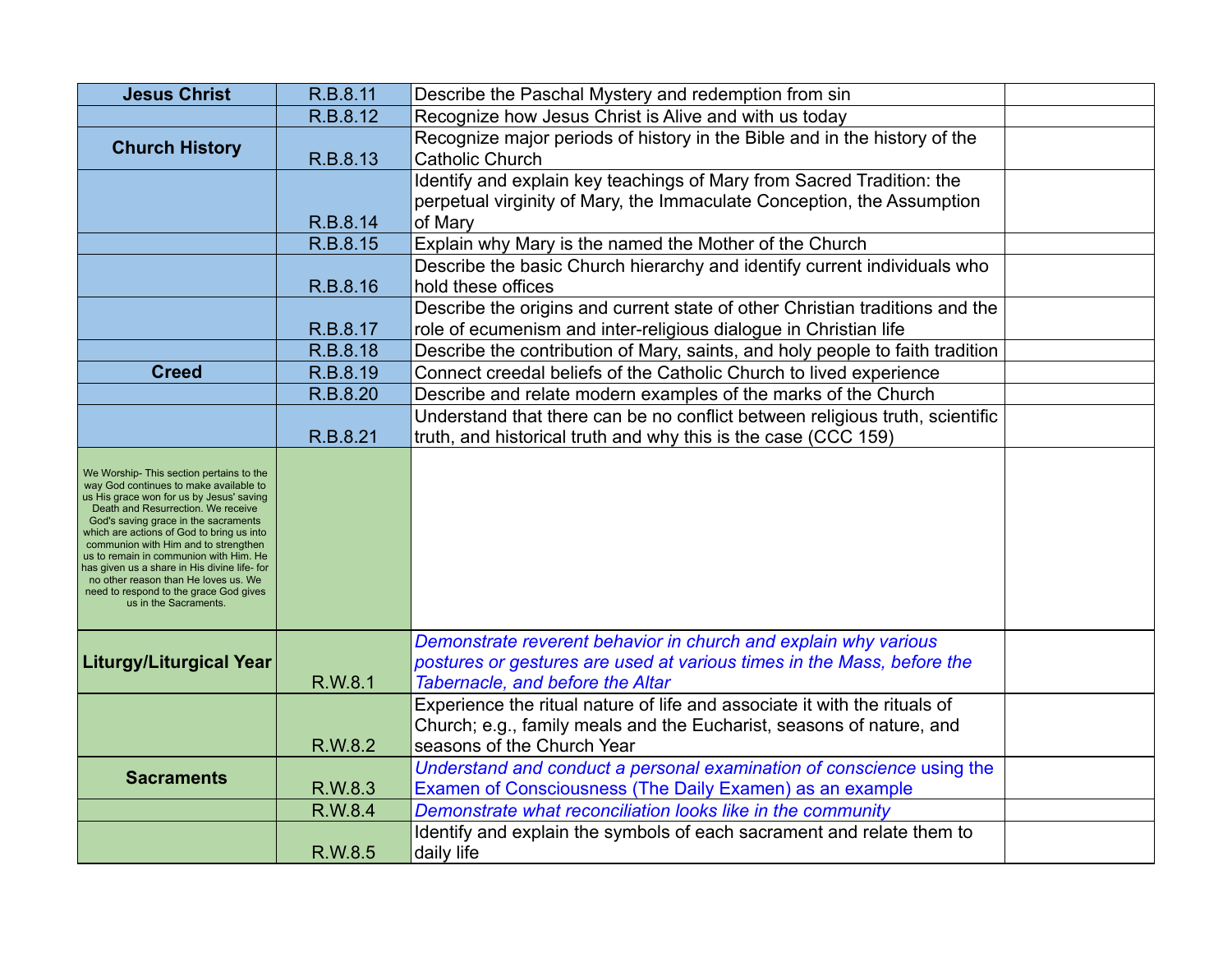| <b>Jesus Christ</b>                                                                                                                                                                                                                                                                                                                                                                                                                                                                                   | R.B.8.11 | Describe the Paschal Mystery and redemption from sin                                                                                                                            |  |
|-------------------------------------------------------------------------------------------------------------------------------------------------------------------------------------------------------------------------------------------------------------------------------------------------------------------------------------------------------------------------------------------------------------------------------------------------------------------------------------------------------|----------|---------------------------------------------------------------------------------------------------------------------------------------------------------------------------------|--|
|                                                                                                                                                                                                                                                                                                                                                                                                                                                                                                       | R.B.8.12 | Recognize how Jesus Christ is Alive and with us today                                                                                                                           |  |
| <b>Church History</b>                                                                                                                                                                                                                                                                                                                                                                                                                                                                                 | R.B.8.13 | Recognize major periods of history in the Bible and in the history of the<br><b>Catholic Church</b>                                                                             |  |
|                                                                                                                                                                                                                                                                                                                                                                                                                                                                                                       | R.B.8.14 | Identify and explain key teachings of Mary from Sacred Tradition: the<br>perpetual virginity of Mary, the Immaculate Conception, the Assumption<br>of Mary                      |  |
|                                                                                                                                                                                                                                                                                                                                                                                                                                                                                                       | R.B.8.15 | Explain why Mary is the named the Mother of the Church                                                                                                                          |  |
|                                                                                                                                                                                                                                                                                                                                                                                                                                                                                                       | R.B.8.16 | Describe the basic Church hierarchy and identify current individuals who<br>hold these offices                                                                                  |  |
|                                                                                                                                                                                                                                                                                                                                                                                                                                                                                                       | R.B.8.17 | Describe the origins and current state of other Christian traditions and the<br>role of ecumenism and inter-religious dialogue in Christian life                                |  |
|                                                                                                                                                                                                                                                                                                                                                                                                                                                                                                       | R.B.8.18 | Describe the contribution of Mary, saints, and holy people to faith tradition                                                                                                   |  |
| <b>Creed</b>                                                                                                                                                                                                                                                                                                                                                                                                                                                                                          | R.B.8.19 | Connect creedal beliefs of the Catholic Church to lived experience                                                                                                              |  |
|                                                                                                                                                                                                                                                                                                                                                                                                                                                                                                       | R.B.8.20 | Describe and relate modern examples of the marks of the Church                                                                                                                  |  |
|                                                                                                                                                                                                                                                                                                                                                                                                                                                                                                       | R.B.8.21 | Understand that there can be no conflict between religious truth, scientific<br>truth, and historical truth and why this is the case (CCC 159)                                  |  |
| We Worship-This section pertains to the<br>way God continues to make available to<br>us His grace won for us by Jesus' saving<br>Death and Resurrection. We receive<br>God's saving grace in the sacraments<br>which are actions of God to bring us into<br>communion with Him and to strengthen<br>us to remain in communion with Him. He<br>has given us a share in His divine life- for<br>no other reason than He loves us. We<br>need to respond to the grace God gives<br>us in the Sacraments. |          |                                                                                                                                                                                 |  |
| <b>Liturgy/Liturgical Year</b>                                                                                                                                                                                                                                                                                                                                                                                                                                                                        | R.W.8.1  | Demonstrate reverent behavior in church and explain why various<br>postures or gestures are used at various times in the Mass, before the<br>Tabernacle, and before the Altar   |  |
|                                                                                                                                                                                                                                                                                                                                                                                                                                                                                                       | R.W.8.2  | Experience the ritual nature of life and associate it with the rituals of<br>Church; e.g., family meals and the Eucharist, seasons of nature, and<br>seasons of the Church Year |  |
| <b>Sacraments</b>                                                                                                                                                                                                                                                                                                                                                                                                                                                                                     | R.W.8.3  | Understand and conduct a personal examination of conscience using the<br>Examen of Consciousness (The Daily Examen) as an example                                               |  |
|                                                                                                                                                                                                                                                                                                                                                                                                                                                                                                       | R.W.8.4  | Demonstrate what reconciliation looks like in the community                                                                                                                     |  |
|                                                                                                                                                                                                                                                                                                                                                                                                                                                                                                       | R.W.8.5  | Identify and explain the symbols of each sacrament and relate them to<br>daily life                                                                                             |  |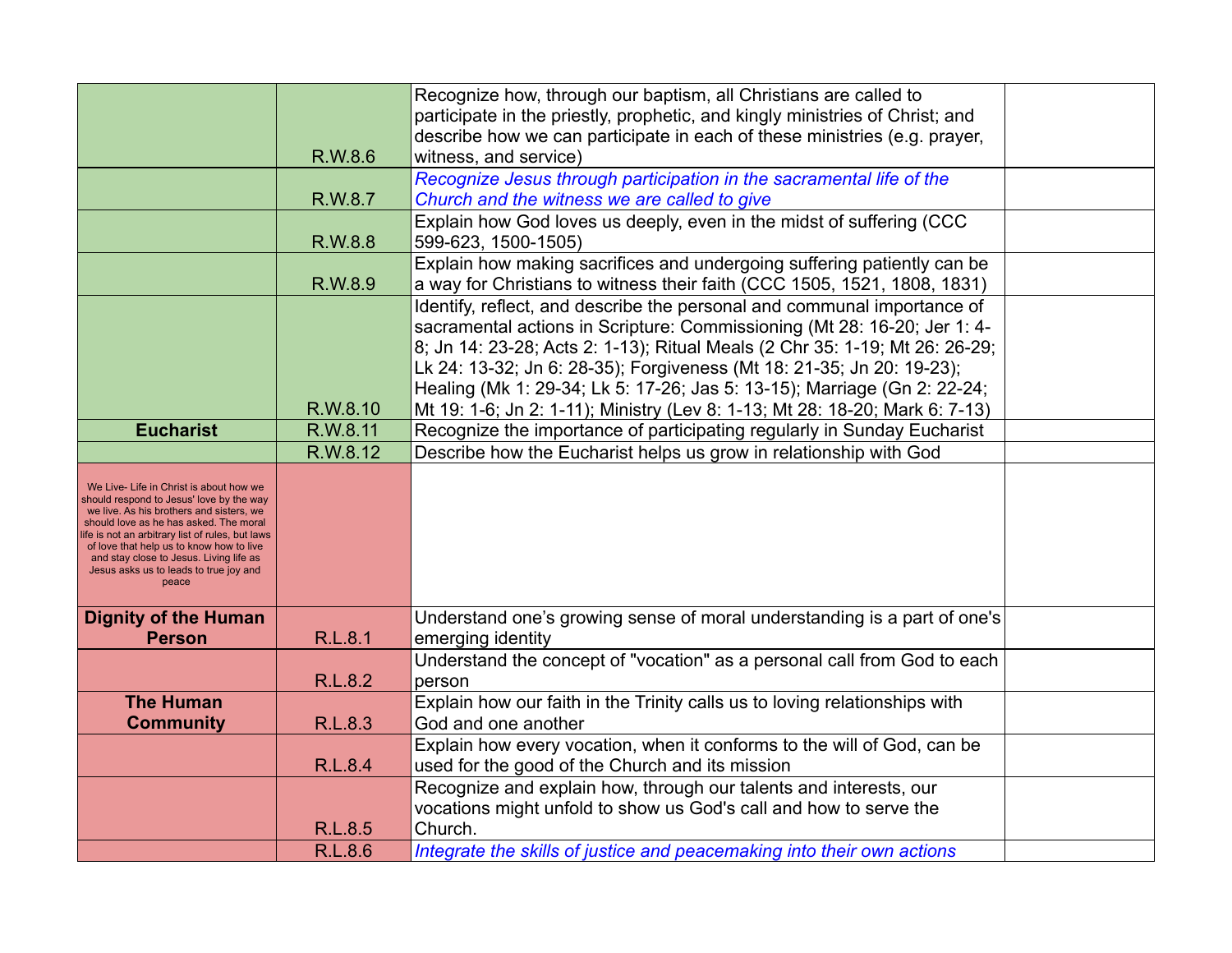|                                                                                                                                                                                                                                                                                                                                                                         |          | Recognize how, through our baptism, all Christians are called to             |  |
|-------------------------------------------------------------------------------------------------------------------------------------------------------------------------------------------------------------------------------------------------------------------------------------------------------------------------------------------------------------------------|----------|------------------------------------------------------------------------------|--|
|                                                                                                                                                                                                                                                                                                                                                                         |          | participate in the priestly, prophetic, and kingly ministries of Christ; and |  |
|                                                                                                                                                                                                                                                                                                                                                                         |          | describe how we can participate in each of these ministries (e.g. prayer,    |  |
|                                                                                                                                                                                                                                                                                                                                                                         | R.W.8.6  | witness, and service)                                                        |  |
|                                                                                                                                                                                                                                                                                                                                                                         |          | Recognize Jesus through participation in the sacramental life of the         |  |
|                                                                                                                                                                                                                                                                                                                                                                         | R.W.8.7  | Church and the witness we are called to give                                 |  |
|                                                                                                                                                                                                                                                                                                                                                                         |          | Explain how God loves us deeply, even in the midst of suffering (CCC         |  |
|                                                                                                                                                                                                                                                                                                                                                                         | R.W.8.8  | 599-623, 1500-1505)                                                          |  |
|                                                                                                                                                                                                                                                                                                                                                                         |          | Explain how making sacrifices and undergoing suffering patiently can be      |  |
|                                                                                                                                                                                                                                                                                                                                                                         | R.W.8.9  | a way for Christians to witness their faith (CCC 1505, 1521, 1808, 1831)     |  |
|                                                                                                                                                                                                                                                                                                                                                                         |          | Identify, reflect, and describe the personal and communal importance of      |  |
|                                                                                                                                                                                                                                                                                                                                                                         |          | sacramental actions in Scripture: Commissioning (Mt 28: 16-20; Jer 1: 4-     |  |
|                                                                                                                                                                                                                                                                                                                                                                         |          | 8; Jn 14: 23-28; Acts 2: 1-13); Ritual Meals (2 Chr 35: 1-19; Mt 26: 26-29;  |  |
|                                                                                                                                                                                                                                                                                                                                                                         |          | Lk 24: 13-32; Jn 6: 28-35); Forgiveness (Mt 18: 21-35; Jn 20: 19-23);        |  |
|                                                                                                                                                                                                                                                                                                                                                                         |          | Healing (Mk 1: 29-34; Lk 5: 17-26; Jas 5: 13-15); Marriage (Gn 2: 22-24;     |  |
|                                                                                                                                                                                                                                                                                                                                                                         | R.W.8.10 | Mt 19: 1-6; Jn 2: 1-11); Ministry (Lev 8: 1-13; Mt 28: 18-20; Mark 6: 7-13)  |  |
| <b>Eucharist</b>                                                                                                                                                                                                                                                                                                                                                        | R.W.8.11 | Recognize the importance of participating regularly in Sunday Eucharist      |  |
|                                                                                                                                                                                                                                                                                                                                                                         | R.W.8.12 | Describe how the Eucharist helps us grow in relationship with God            |  |
| We Live- Life in Christ is about how we<br>should respond to Jesus' love by the way<br>we live. As his brothers and sisters, we<br>should love as he has asked. The moral<br>life is not an arbitrary list of rules, but laws<br>of love that help us to know how to live<br>and stay close to Jesus. Living life as<br>Jesus asks us to leads to true joy and<br>peace |          |                                                                              |  |
| <b>Dignity of the Human</b>                                                                                                                                                                                                                                                                                                                                             |          | Understand one's growing sense of moral understanding is a part of one's     |  |
| <b>Person</b>                                                                                                                                                                                                                                                                                                                                                           | R.L.8.1  | emerging identity                                                            |  |
|                                                                                                                                                                                                                                                                                                                                                                         |          | Understand the concept of "vocation" as a personal call from God to each     |  |
|                                                                                                                                                                                                                                                                                                                                                                         | R.L.8.2  | person                                                                       |  |
| <b>The Human</b>                                                                                                                                                                                                                                                                                                                                                        |          | Explain how our faith in the Trinity calls us to loving relationships with   |  |
| <b>Community</b>                                                                                                                                                                                                                                                                                                                                                        | R.L.8.3  | God and one another                                                          |  |
|                                                                                                                                                                                                                                                                                                                                                                         |          | Explain how every vocation, when it conforms to the will of God, can be      |  |
|                                                                                                                                                                                                                                                                                                                                                                         | R.L.8.4  | used for the good of the Church and its mission                              |  |
|                                                                                                                                                                                                                                                                                                                                                                         |          | Recognize and explain how, through our talents and interests, our            |  |
|                                                                                                                                                                                                                                                                                                                                                                         |          | vocations might unfold to show us God's call and how to serve the            |  |
|                                                                                                                                                                                                                                                                                                                                                                         | R.L.8.5  | Church.                                                                      |  |
|                                                                                                                                                                                                                                                                                                                                                                         | R.L.8.6  | Integrate the skills of justice and peacemaking into their own actions       |  |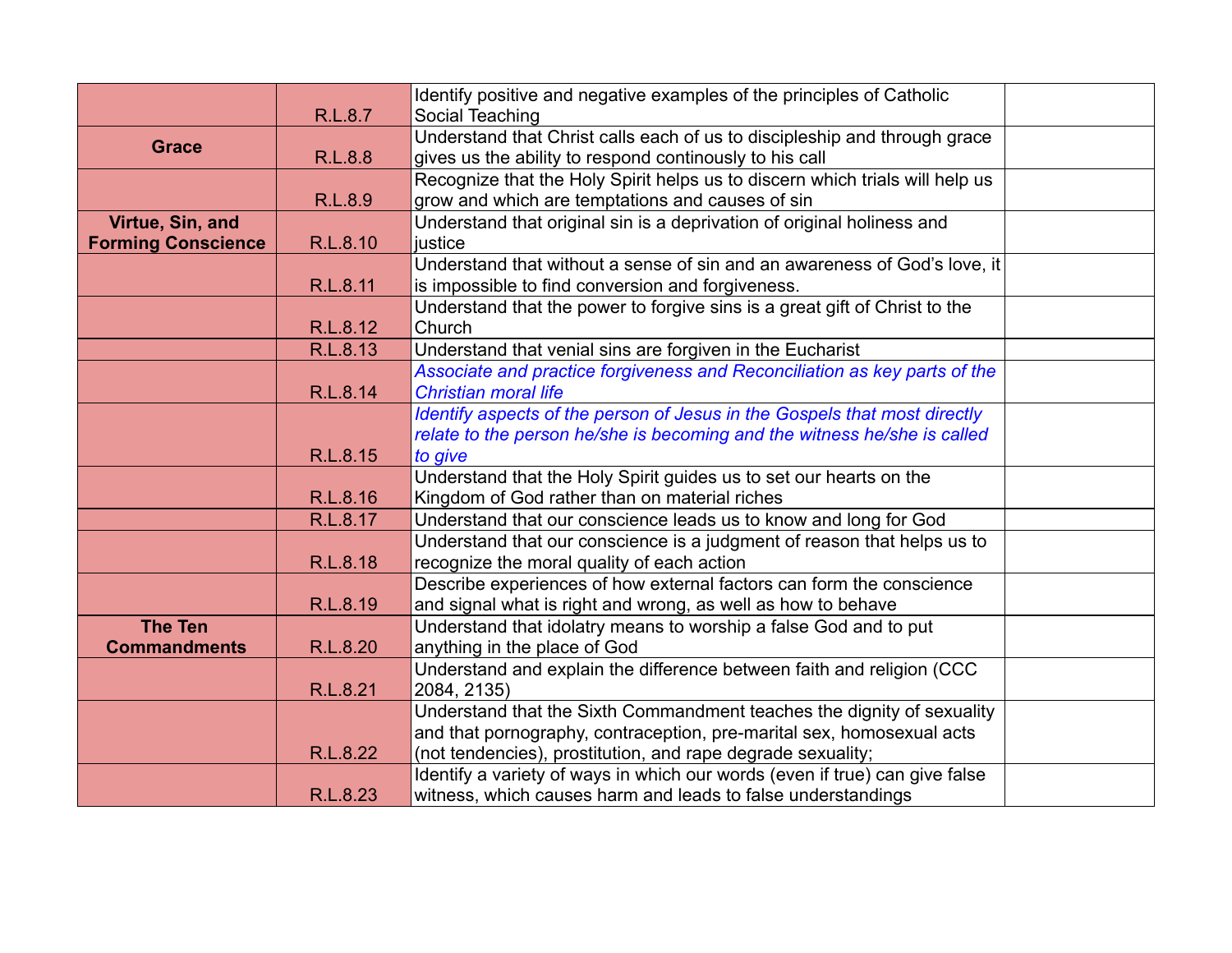|                           |          | Identify positive and negative examples of the principles of Catholic        |  |
|---------------------------|----------|------------------------------------------------------------------------------|--|
|                           | R.L.8.7  | Social Teaching                                                              |  |
| <b>Grace</b>              |          | Understand that Christ calls each of us to discipleship and through grace    |  |
|                           | R.L.8.8  | gives us the ability to respond continously to his call                      |  |
|                           |          | Recognize that the Holy Spirit helps us to discern which trials will help us |  |
|                           | R.L.8.9  | grow and which are temptations and causes of sin                             |  |
| Virtue, Sin, and          |          | Understand that original sin is a deprivation of original holiness and       |  |
| <b>Forming Conscience</b> | R.L.8.10 | justice                                                                      |  |
|                           |          | Understand that without a sense of sin and an awareness of God's love, it    |  |
|                           | R.L.8.11 | is impossible to find conversion and forgiveness.                            |  |
|                           |          | Understand that the power to forgive sins is a great gift of Christ to the   |  |
|                           | R.L.8.12 | Church                                                                       |  |
|                           | R.L.8.13 | Understand that venial sins are forgiven in the Eucharist                    |  |
|                           |          | Associate and practice forgiveness and Reconciliation as key parts of the    |  |
|                           | R.L.8.14 | <b>Christian moral life</b>                                                  |  |
|                           |          | Identify aspects of the person of Jesus in the Gospels that most directly    |  |
|                           |          | relate to the person he/she is becoming and the witness he/she is called     |  |
|                           | R.L.8.15 | to give                                                                      |  |
|                           |          | Understand that the Holy Spirit guides us to set our hearts on the           |  |
|                           | R.L.8.16 | Kingdom of God rather than on material riches                                |  |
|                           | R.L.8.17 | Understand that our conscience leads us to know and long for God             |  |
|                           |          | Understand that our conscience is a judgment of reason that helps us to      |  |
|                           | R.L.8.18 | recognize the moral quality of each action                                   |  |
|                           |          | Describe experiences of how external factors can form the conscience         |  |
|                           | R.L.8.19 | and signal what is right and wrong, as well as how to behave                 |  |
| <b>The Ten</b>            |          | Understand that idolatry means to worship a false God and to put             |  |
| <b>Commandments</b>       | R.L.8.20 | anything in the place of God                                                 |  |
|                           |          | Understand and explain the difference between faith and religion (CCC        |  |
|                           | R.L.8.21 | 2084, 2135)                                                                  |  |
|                           |          | Understand that the Sixth Commandment teaches the dignity of sexuality       |  |
|                           |          | and that pornography, contraception, pre-marital sex, homosexual acts        |  |
|                           | R.L.8.22 | (not tendencies), prostitution, and rape degrade sexuality;                  |  |
|                           |          | Identify a variety of ways in which our words (even if true) can give false  |  |
|                           | R.L.8.23 | witness, which causes harm and leads to false understandings                 |  |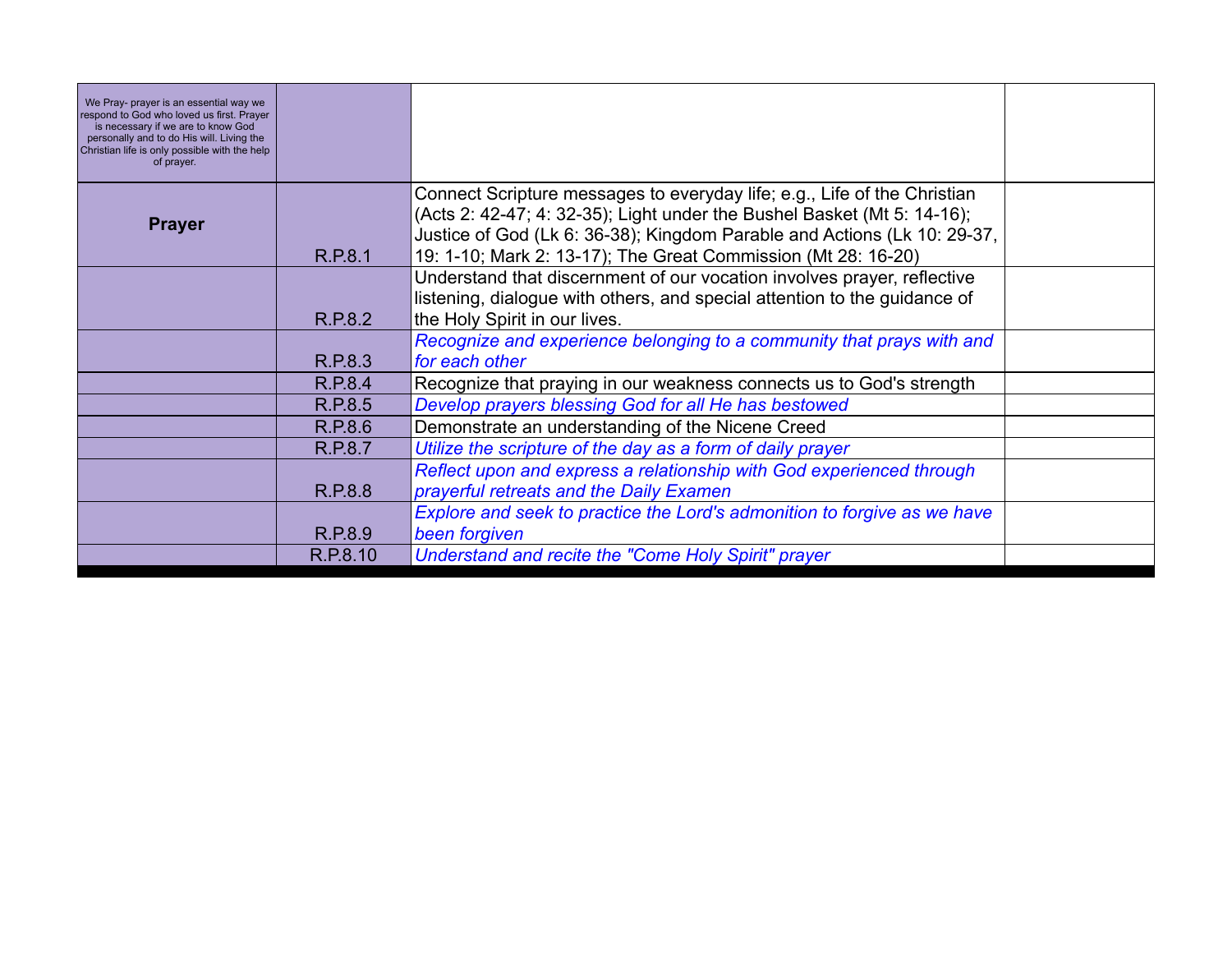| We Pray- prayer is an essential way we<br>respond to God who loved us first. Prayer<br>is necessary if we are to know God<br>personally and to do His will. Living the<br>Christian life is only possible with the help<br>of prayer. |          |                                                                                                                                                                                                                                                                                                  |  |
|---------------------------------------------------------------------------------------------------------------------------------------------------------------------------------------------------------------------------------------|----------|--------------------------------------------------------------------------------------------------------------------------------------------------------------------------------------------------------------------------------------------------------------------------------------------------|--|
| <b>Prayer</b>                                                                                                                                                                                                                         | R.P.8.1  | Connect Scripture messages to everyday life; e.g., Life of the Christian<br>(Acts 2: 42-47; 4: 32-35); Light under the Bushel Basket (Mt 5: 14-16);<br>Justice of God (Lk 6: 36-38); Kingdom Parable and Actions (Lk 10: 29-37,<br>19: 1-10; Mark 2: 13-17); The Great Commission (Mt 28: 16-20) |  |
|                                                                                                                                                                                                                                       | R.P.8.2  | Understand that discernment of our vocation involves prayer, reflective<br>listening, dialogue with others, and special attention to the guidance of<br>the Holy Spirit in our lives.                                                                                                            |  |
|                                                                                                                                                                                                                                       | R.P.8.3  | Recognize and experience belonging to a community that prays with and<br>for each other                                                                                                                                                                                                          |  |
|                                                                                                                                                                                                                                       | R.P.8.4  | Recognize that praying in our weakness connects us to God's strength                                                                                                                                                                                                                             |  |
|                                                                                                                                                                                                                                       | R.P.8.5  | Develop prayers blessing God for all He has bestowed                                                                                                                                                                                                                                             |  |
|                                                                                                                                                                                                                                       | R.P.8.6  | Demonstrate an understanding of the Nicene Creed                                                                                                                                                                                                                                                 |  |
|                                                                                                                                                                                                                                       | R.P.8.7  | Utilize the scripture of the day as a form of daily prayer                                                                                                                                                                                                                                       |  |
|                                                                                                                                                                                                                                       | R.P.8.8  | Reflect upon and express a relationship with God experienced through<br>prayerful retreats and the Daily Examen                                                                                                                                                                                  |  |
|                                                                                                                                                                                                                                       | R.P.8.9  | Explore and seek to practice the Lord's admonition to forgive as we have<br>been forgiven                                                                                                                                                                                                        |  |
|                                                                                                                                                                                                                                       | R.P.8.10 | Understand and recite the "Come Holy Spirit" prayer                                                                                                                                                                                                                                              |  |
|                                                                                                                                                                                                                                       |          |                                                                                                                                                                                                                                                                                                  |  |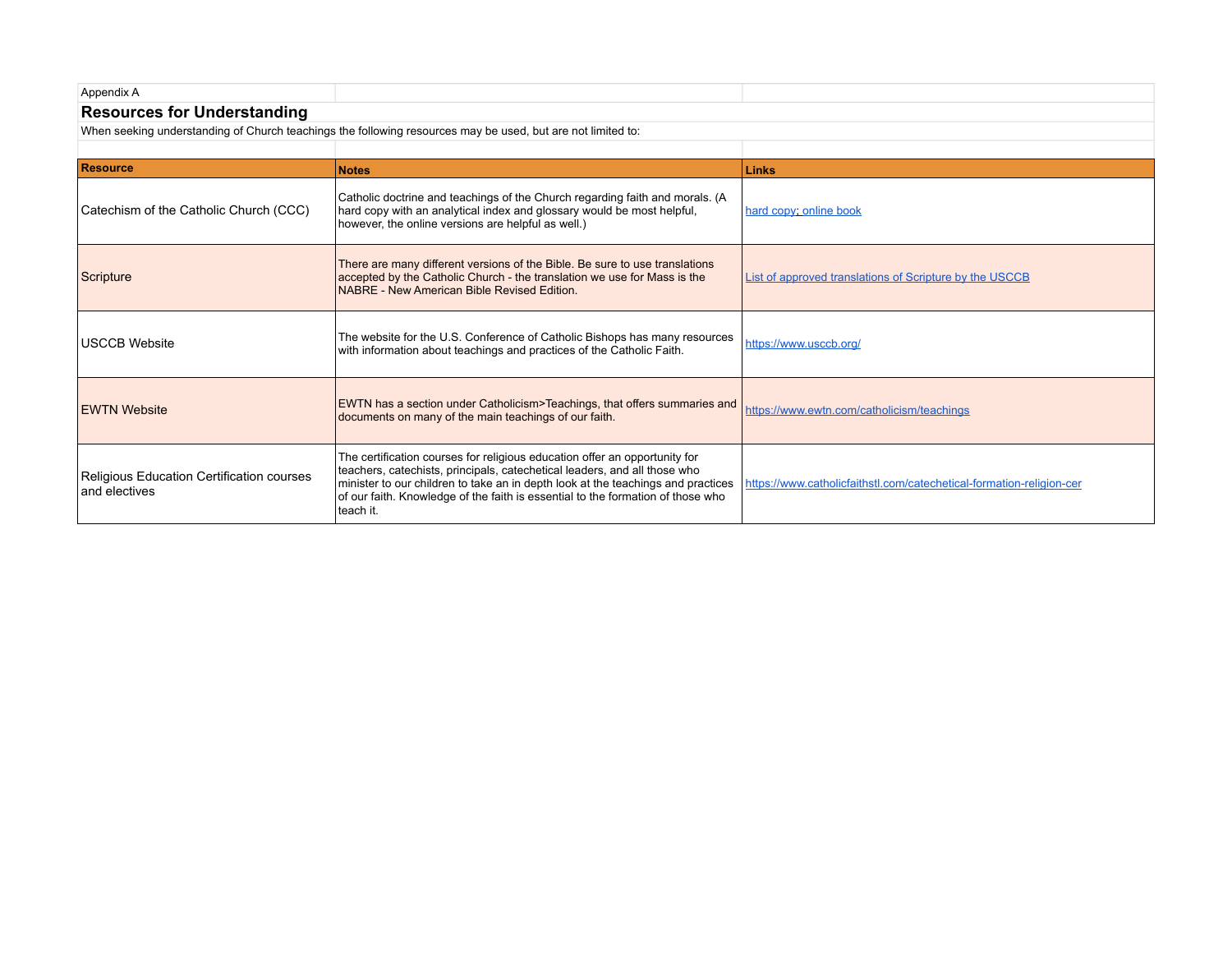| Appendix A                  |  |  |  |
|-----------------------------|--|--|--|
| Resources for Understanding |  |  |  |

When seeking understanding of Church teachings the following resources may be used, but are not limited to:

| Resource                                                   | <b>Notes</b>                                                                                                                                                                                                                                                                                                                                | Links                                                                |
|------------------------------------------------------------|---------------------------------------------------------------------------------------------------------------------------------------------------------------------------------------------------------------------------------------------------------------------------------------------------------------------------------------------|----------------------------------------------------------------------|
| Catechism of the Catholic Church (CCC)                     | Catholic doctrine and teachings of the Church regarding faith and morals. (A<br>hard copy with an analytical index and glossary would be most helpful,<br>however, the online versions are helpful as well.)                                                                                                                                | hard copy; online book                                               |
| Scripture                                                  | There are many different versions of the Bible. Be sure to use translations<br>accepted by the Catholic Church - the translation we use for Mass is the<br>NABRE - New American Bible Revised Edition.                                                                                                                                      | List of approved translations of Scripture by the USCCB              |
| <b>USCCB Website</b>                                       | The website for the U.S. Conference of Catholic Bishops has many resources<br>with information about teachings and practices of the Catholic Faith.                                                                                                                                                                                         | https://www.usccb.org/                                               |
| <b>EWTN Website</b>                                        | EWTN has a section under Catholicism>Teachings, that offers summaries and<br>documents on many of the main teachings of our faith.                                                                                                                                                                                                          | https://www.ewtn.com/catholicism/teachings                           |
| Religious Education Certification courses<br>and electives | The certification courses for religious education offer an opportunity for<br>teachers, catechists, principals, catechetical leaders, and all those who<br>minister to our children to take an in depth look at the teachings and practices<br>of our faith. Knowledge of the faith is essential to the formation of those who<br>teach it. | https://www.catholicfaithstl.com/catechetical-formation-religion-cer |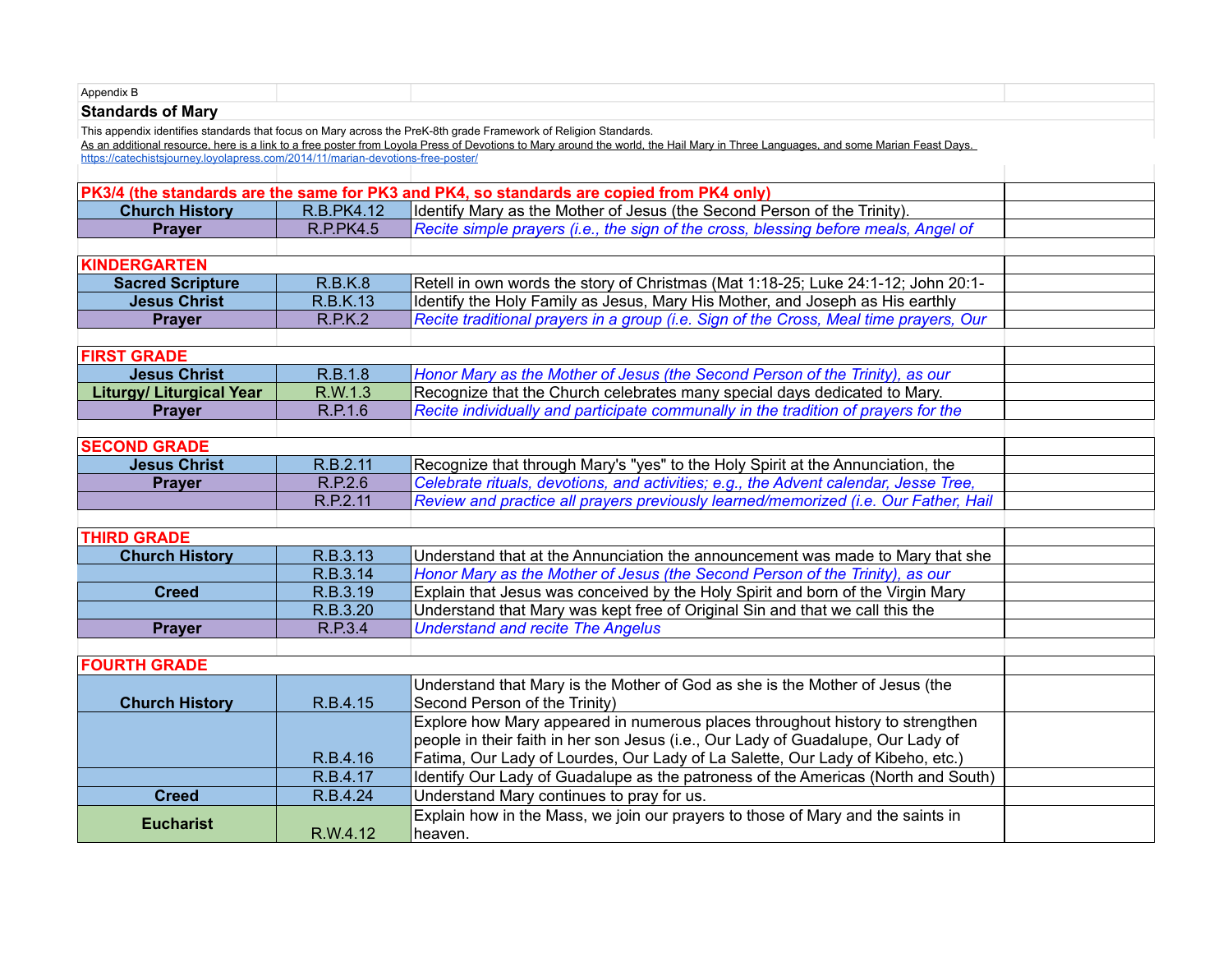| Appendix B                                                                      |                  |                                                                                                                                                                                   |  |
|---------------------------------------------------------------------------------|------------------|-----------------------------------------------------------------------------------------------------------------------------------------------------------------------------------|--|
| <b>Standards of Mary</b>                                                        |                  |                                                                                                                                                                                   |  |
|                                                                                 |                  | This appendix identifies standards that focus on Mary across the PreK-8th grade Framework of Religion Standards.                                                                  |  |
| https://catechistsjourney.loyolapress.com/2014/11/marian-devotions-free-poster/ |                  | As an additional resource, here is a link to a free poster from Loyola Press of Devotions to Mary around the world, the Hail Mary in Three Languages, and some Marian Feast Days. |  |
|                                                                                 |                  |                                                                                                                                                                                   |  |
|                                                                                 |                  | PK3/4 (the standards are the same for PK3 and PK4, so standards are copied from PK4 only)                                                                                         |  |
| <b>Church History</b>                                                           | R.B.PK4.12       | Identify Mary as the Mother of Jesus (the Second Person of the Trinity).                                                                                                          |  |
| <b>Prayer</b>                                                                   | <b>R.P.PK4.5</b> | Recite simple prayers (i.e., the sign of the cross, blessing before meals, Angel of                                                                                               |  |
|                                                                                 |                  |                                                                                                                                                                                   |  |
| <b>KINDERGARTEN</b>                                                             |                  |                                                                                                                                                                                   |  |
| <b>Sacred Scripture</b>                                                         | <b>R.B.K.8</b>   | Retell in own words the story of Christmas (Mat 1:18-25; Luke 24:1-12; John 20:1-                                                                                                 |  |
| <b>Jesus Christ</b>                                                             | <b>R.B.K.13</b>  | Identify the Holy Family as Jesus, Mary His Mother, and Joseph as His earthly                                                                                                     |  |
| <b>Prayer</b>                                                                   | <b>R.P.K.2</b>   | Recite traditional prayers in a group (i.e. Sign of the Cross, Meal time prayers, Our                                                                                             |  |
|                                                                                 |                  |                                                                                                                                                                                   |  |
| <b>FIRST GRADE</b>                                                              |                  |                                                                                                                                                                                   |  |
| <b>Jesus Christ</b>                                                             | R.B.1.8          | Honor Mary as the Mother of Jesus (the Second Person of the Trinity), as our                                                                                                      |  |
| <b>Liturgy/ Liturgical Year</b>                                                 | R.W.1.3          | Recognize that the Church celebrates many special days dedicated to Mary.                                                                                                         |  |
| <b>Prayer</b>                                                                   | R.P.1.6          | Recite individually and participate communally in the tradition of prayers for the                                                                                                |  |
|                                                                                 |                  |                                                                                                                                                                                   |  |
| <b>SECOND GRADE</b>                                                             |                  |                                                                                                                                                                                   |  |
| <b>Jesus Christ</b>                                                             | R.B.2.11         | Recognize that through Mary's "yes" to the Holy Spirit at the Annunciation, the                                                                                                   |  |
| <b>Prayer</b>                                                                   | R.P.2.6          | Celebrate rituals, devotions, and activities; e.g., the Advent calendar, Jesse Tree,                                                                                              |  |
|                                                                                 | R.P.2.11         | Review and practice all prayers previously learned/memorized (i.e. Our Father, Hail                                                                                               |  |
|                                                                                 |                  |                                                                                                                                                                                   |  |
| <b>THIRD GRADE</b>                                                              |                  |                                                                                                                                                                                   |  |
| <b>Church History</b>                                                           | R.B.3.13         | Understand that at the Annunciation the announcement was made to Mary that she                                                                                                    |  |
|                                                                                 | R.B.3.14         | Honor Mary as the Mother of Jesus (the Second Person of the Trinity), as our                                                                                                      |  |
| <b>Creed</b>                                                                    | R.B.3.19         | Explain that Jesus was conceived by the Holy Spirit and born of the Virgin Mary                                                                                                   |  |
|                                                                                 | R.B.3.20         | Understand that Mary was kept free of Original Sin and that we call this the                                                                                                      |  |
| <b>Prayer</b>                                                                   | R.P.3.4          | <b>Understand and recite The Angelus</b>                                                                                                                                          |  |
| <b>FOURTH GRADE</b>                                                             |                  |                                                                                                                                                                                   |  |
|                                                                                 |                  |                                                                                                                                                                                   |  |
|                                                                                 |                  | Understand that Mary is the Mother of God as she is the Mother of Jesus (the                                                                                                      |  |
| <b>Church History</b>                                                           | R.B.4.15         | Second Person of the Trinity)                                                                                                                                                     |  |
|                                                                                 |                  | Explore how Mary appeared in numerous places throughout history to strengthen                                                                                                     |  |
|                                                                                 |                  | people in their faith in her son Jesus (i.e., Our Lady of Guadalupe, Our Lady of                                                                                                  |  |
|                                                                                 | R.B.4.16         | Fatima, Our Lady of Lourdes, Our Lady of La Salette, Our Lady of Kibeho, etc.)                                                                                                    |  |
|                                                                                 | R.B.4.17         | Identify Our Lady of Guadalupe as the patroness of the Americas (North and South)                                                                                                 |  |
| <b>Creed</b>                                                                    | R.B.4.24         | Understand Mary continues to pray for us.                                                                                                                                         |  |
| <b>Eucharist</b>                                                                |                  | Explain how in the Mass, we join our prayers to those of Mary and the saints in                                                                                                   |  |
|                                                                                 | R.W.4.12         | heaven.                                                                                                                                                                           |  |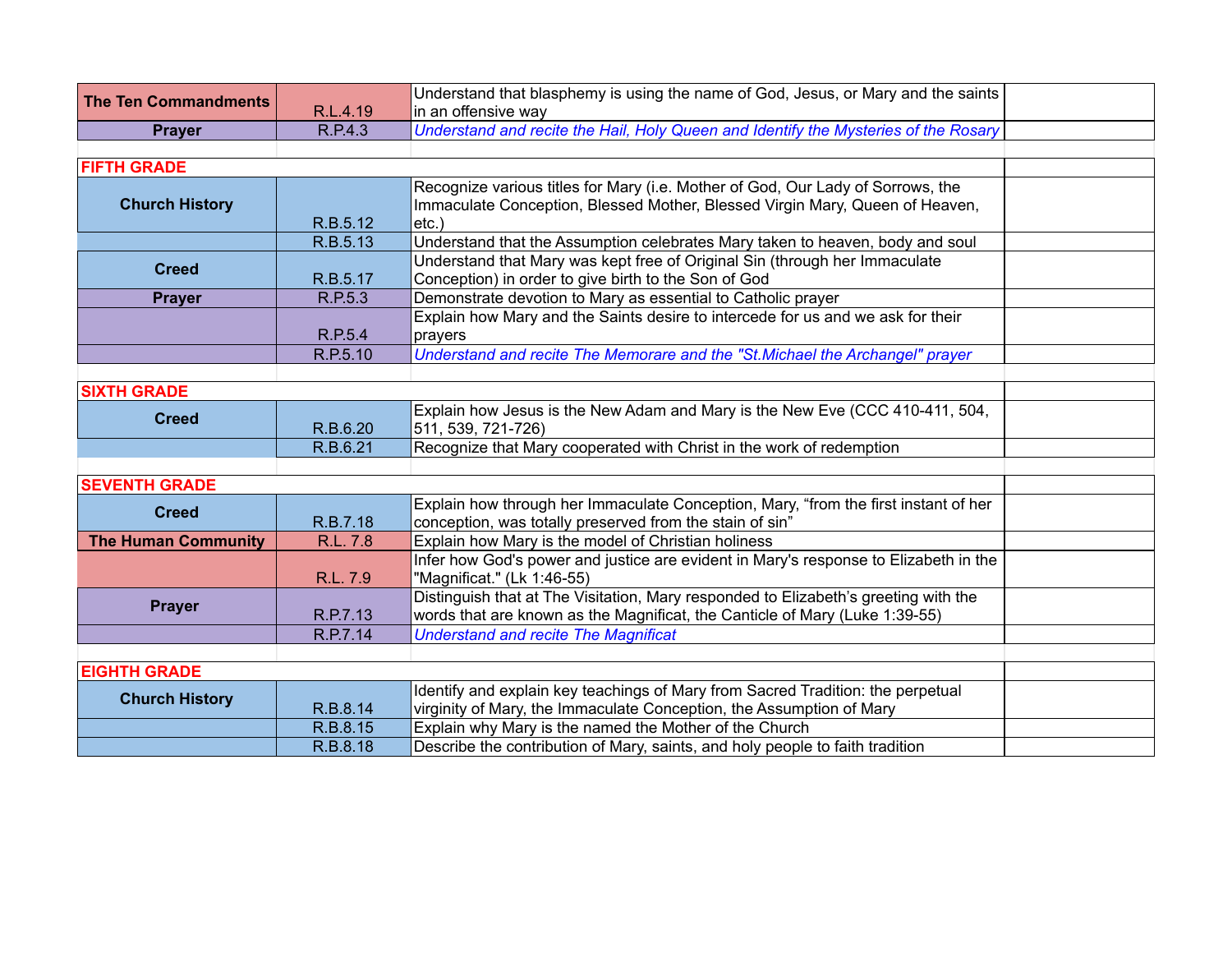| <b>The Ten Commandments</b> |          | Understand that blasphemy is using the name of God, Jesus, or Mary and the saints    |  |
|-----------------------------|----------|--------------------------------------------------------------------------------------|--|
|                             | R.L.4.19 | in an offensive way                                                                  |  |
| <b>Prayer</b>               | R.P.4.3  | Understand and recite the Hail, Holy Queen and Identify the Mysteries of the Rosary  |  |
|                             |          |                                                                                      |  |
| <b>FIFTH GRADE</b>          |          |                                                                                      |  |
|                             |          | Recognize various titles for Mary (i.e. Mother of God, Our Lady of Sorrows, the      |  |
| <b>Church History</b>       |          | Immaculate Conception, Blessed Mother, Blessed Virgin Mary, Queen of Heaven,         |  |
|                             | R.B.5.12 | $etc.$ )                                                                             |  |
|                             | R.B.5.13 | Understand that the Assumption celebrates Mary taken to heaven, body and soul        |  |
| <b>Creed</b>                |          | Understand that Mary was kept free of Original Sin (through her Immaculate           |  |
|                             | R.B.5.17 | Conception) in order to give birth to the Son of God                                 |  |
| <b>Prayer</b>               | R.P.5.3  | Demonstrate devotion to Mary as essential to Catholic prayer                         |  |
|                             |          | Explain how Mary and the Saints desire to intercede for us and we ask for their      |  |
|                             | R.P.5.4  | prayers                                                                              |  |
|                             | R.P.5.10 | Understand and recite The Memorare and the "St. Michael the Archangel" prayer        |  |
|                             |          |                                                                                      |  |
| <b>SIXTH GRADE</b>          |          |                                                                                      |  |
| <b>Creed</b>                |          | Explain how Jesus is the New Adam and Mary is the New Eve (CCC 410-411, 504,         |  |
|                             | R.B.6.20 | 511, 539, 721-726)                                                                   |  |
|                             | R.B.6.21 | Recognize that Mary cooperated with Christ in the work of redemption                 |  |
|                             |          |                                                                                      |  |
| <b>SEVENTH GRADE</b>        |          |                                                                                      |  |
| <b>Creed</b>                |          | Explain how through her Immaculate Conception, Mary, "from the first instant of her  |  |
|                             | R.B.7.18 | conception, was totally preserved from the stain of sin"                             |  |
| <b>The Human Community</b>  | R.L. 7.8 | Explain how Mary is the model of Christian holiness                                  |  |
|                             |          | Infer how God's power and justice are evident in Mary's response to Elizabeth in the |  |
|                             | R.L. 7.9 | "Magnificat." (Lk 1:46-55)                                                           |  |
| <b>Prayer</b>               |          | Distinguish that at The Visitation, Mary responded to Elizabeth's greeting with the  |  |
|                             | R.P.7.13 | words that are known as the Magnificat, the Canticle of Mary (Luke 1:39-55)          |  |
|                             | R.P.7.14 | <b>Understand and recite The Magnificat</b>                                          |  |
|                             |          |                                                                                      |  |
| <b>EIGHTH GRADE</b>         |          |                                                                                      |  |
| <b>Church History</b>       |          | Identify and explain key teachings of Mary from Sacred Tradition: the perpetual      |  |
|                             | R.B.8.14 | virginity of Mary, the Immaculate Conception, the Assumption of Mary                 |  |
|                             | R.B.8.15 | Explain why Mary is the named the Mother of the Church                               |  |
|                             | R.B.8.18 | Describe the contribution of Mary, saints, and holy people to faith tradition        |  |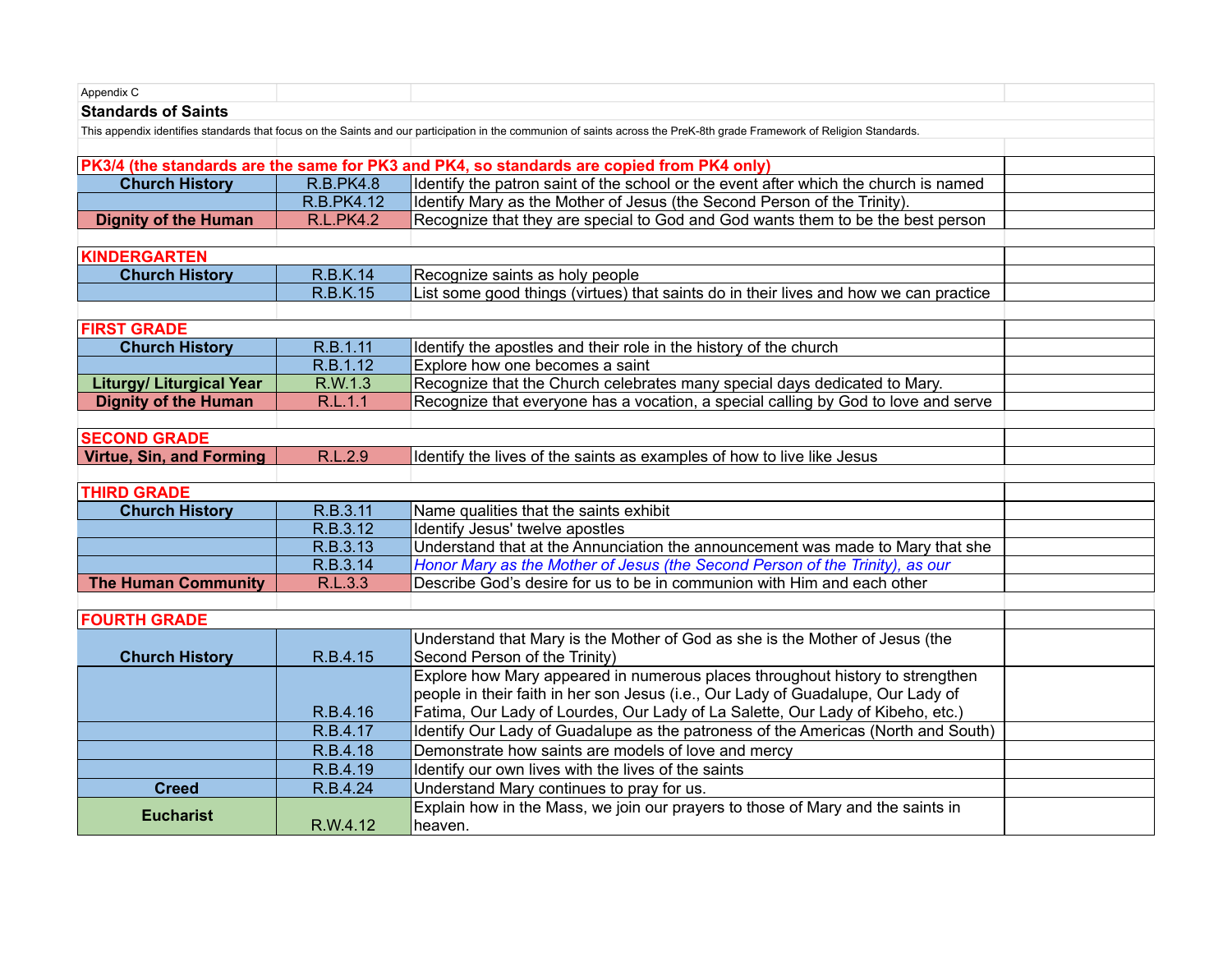| Appendix C                      |                  |                                                                                                                                                                         |  |
|---------------------------------|------------------|-------------------------------------------------------------------------------------------------------------------------------------------------------------------------|--|
| <b>Standards of Saints</b>      |                  |                                                                                                                                                                         |  |
|                                 |                  | This appendix identifies standards that focus on the Saints and our participation in the communion of saints across the PreK-8th grade Framework of Religion Standards. |  |
|                                 |                  |                                                                                                                                                                         |  |
|                                 |                  | PK3/4 (the standards are the same for PK3 and PK4, so standards are copied from PK4 only)                                                                               |  |
| <b>Church History</b>           | <b>R.B.PK4.8</b> | Identify the patron saint of the school or the event after which the church is named                                                                                    |  |
|                                 | R.B.PK4.12       | Identify Mary as the Mother of Jesus (the Second Person of the Trinity).                                                                                                |  |
| <b>Dignity of the Human</b>     | <b>R.L.PK4.2</b> | Recognize that they are special to God and God wants them to be the best person                                                                                         |  |
|                                 |                  |                                                                                                                                                                         |  |
| <b>KINDERGARTEN</b>             |                  |                                                                                                                                                                         |  |
| <b>Church History</b>           | <b>R.B.K.14</b>  | Recognize saints as holy people                                                                                                                                         |  |
|                                 | <b>R.B.K.15</b>  | List some good things (virtues) that saints do in their lives and how we can practice                                                                                   |  |
|                                 |                  |                                                                                                                                                                         |  |
| <b>FIRST GRADE</b>              |                  |                                                                                                                                                                         |  |
| <b>Church History</b>           | R.B.1.11         | Identify the apostles and their role in the history of the church                                                                                                       |  |
|                                 | R.B.1.12         | Explore how one becomes a saint                                                                                                                                         |  |
| <b>Liturgy/ Liturgical Year</b> | R.W.1.3          | Recognize that the Church celebrates many special days dedicated to Mary.                                                                                               |  |
| <b>Dignity of the Human</b>     | R.L.1.1          | Recognize that everyone has a vocation, a special calling by God to love and serve                                                                                      |  |
|                                 |                  |                                                                                                                                                                         |  |
| <b>SECOND GRADE</b>             |                  |                                                                                                                                                                         |  |
| <b>Virtue, Sin, and Forming</b> | R.L.2.9          | Identify the lives of the saints as examples of how to live like Jesus                                                                                                  |  |
|                                 |                  |                                                                                                                                                                         |  |
| <b>THIRD GRADE</b>              |                  |                                                                                                                                                                         |  |
| <b>Church History</b>           | R.B.3.11         | Name qualities that the saints exhibit                                                                                                                                  |  |
|                                 | R.B.3.12         | Identify Jesus' twelve apostles                                                                                                                                         |  |
|                                 | R.B.3.13         | Understand that at the Annunciation the announcement was made to Mary that she                                                                                          |  |
|                                 | R.B.3.14         | Honor Mary as the Mother of Jesus (the Second Person of the Trinity), as our                                                                                            |  |
| <b>The Human Community</b>      | R.L.3.3          | Describe God's desire for us to be in communion with Him and each other                                                                                                 |  |
|                                 |                  |                                                                                                                                                                         |  |
| <b>FOURTH GRADE</b>             |                  |                                                                                                                                                                         |  |
|                                 |                  | Understand that Mary is the Mother of God as she is the Mother of Jesus (the                                                                                            |  |
| <b>Church History</b>           | R.B.4.15         | Second Person of the Trinity)                                                                                                                                           |  |
|                                 |                  | Explore how Mary appeared in numerous places throughout history to strengthen                                                                                           |  |
|                                 |                  | people in their faith in her son Jesus (i.e., Our Lady of Guadalupe, Our Lady of                                                                                        |  |
|                                 | R.B.4.16         | Fatima, Our Lady of Lourdes, Our Lady of La Salette, Our Lady of Kibeho, etc.)                                                                                          |  |
|                                 | R.B.4.17         | Identify Our Lady of Guadalupe as the patroness of the Americas (North and South)                                                                                       |  |
|                                 | R.B.4.18         | Demonstrate how saints are models of love and mercy                                                                                                                     |  |
|                                 | R.B.4.19         | Identify our own lives with the lives of the saints                                                                                                                     |  |
| <b>Creed</b>                    | R.B.4.24         | Understand Mary continues to pray for us.                                                                                                                               |  |
| <b>Eucharist</b>                |                  | Explain how in the Mass, we join our prayers to those of Mary and the saints in                                                                                         |  |
|                                 | R.W.4.12         | heaven.                                                                                                                                                                 |  |
|                                 |                  |                                                                                                                                                                         |  |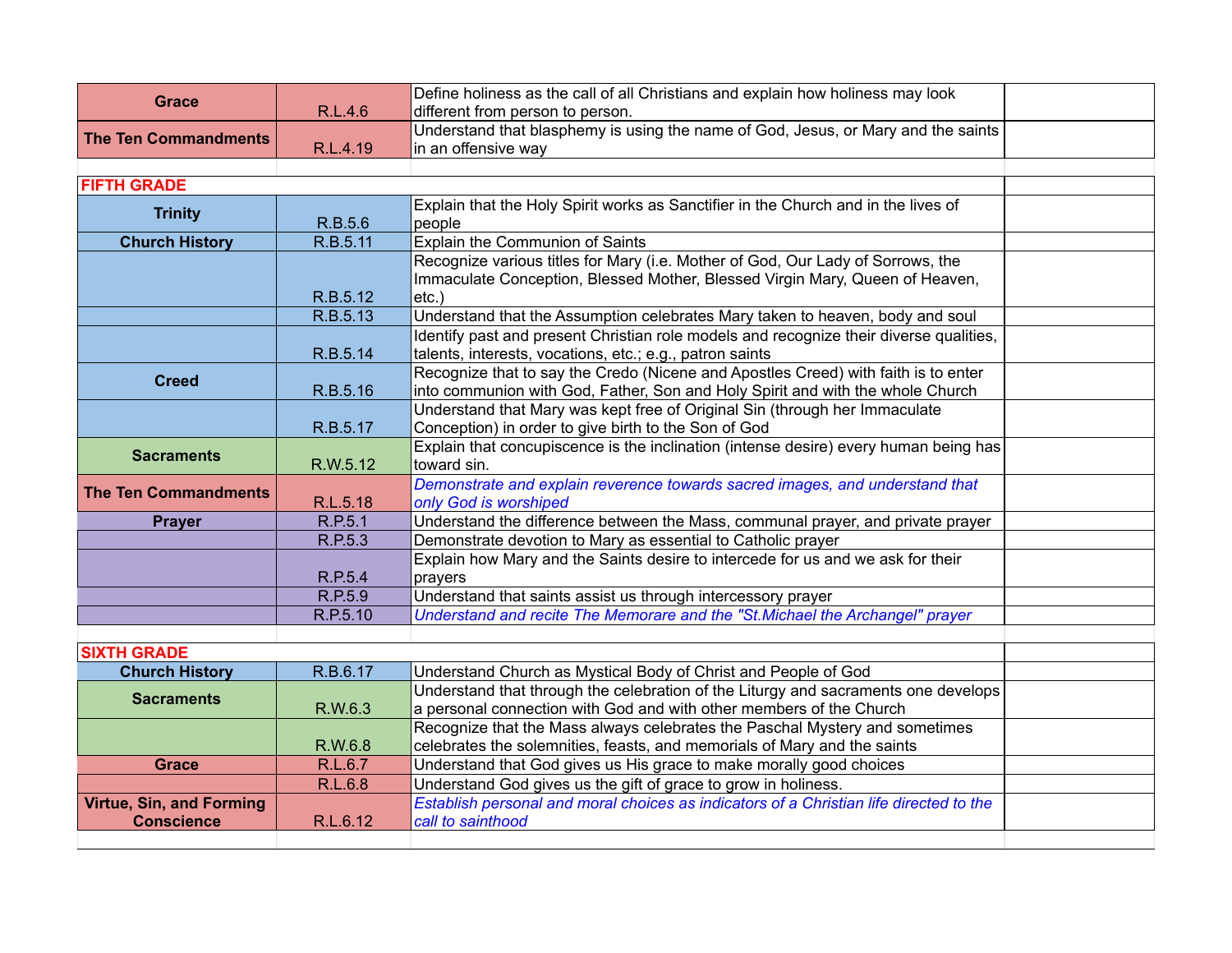| <b>Grace</b>                | R.L.4.6  | Define holiness as the call of all Christians and explain how holiness may look<br>different from person to person.                                                                        |  |
|-----------------------------|----------|--------------------------------------------------------------------------------------------------------------------------------------------------------------------------------------------|--|
| <b>The Ten Commandments</b> |          | Understand that blasphemy is using the name of God, Jesus, or Mary and the saints                                                                                                          |  |
|                             | R.L.4.19 | in an offensive way                                                                                                                                                                        |  |
|                             |          |                                                                                                                                                                                            |  |
| <b>FIFTH GRADE</b>          |          |                                                                                                                                                                                            |  |
| <b>Trinity</b>              | R.B.5.6  | Explain that the Holy Spirit works as Sanctifier in the Church and in the lives of<br>people                                                                                               |  |
| <b>Church History</b>       | R.B.5.11 | Explain the Communion of Saints                                                                                                                                                            |  |
|                             | R.B.5.12 | Recognize various titles for Mary (i.e. Mother of God, Our Lady of Sorrows, the<br>Immaculate Conception, Blessed Mother, Blessed Virgin Mary, Queen of Heaven,<br>$ \mathsf{etc.}\rangle$ |  |
|                             | R.B.5.13 | Understand that the Assumption celebrates Mary taken to heaven, body and soul                                                                                                              |  |
|                             | R.B.5.14 | Identify past and present Christian role models and recognize their diverse qualities,<br>talents, interests, vocations, etc.; e.g., patron saints                                         |  |
| <b>Creed</b>                | R.B.5.16 | Recognize that to say the Credo (Nicene and Apostles Creed) with faith is to enter<br>into communion with God, Father, Son and Holy Spirit and with the whole Church                       |  |
|                             | R.B.5.17 | Understand that Mary was kept free of Original Sin (through her Immaculate<br>Conception) in order to give birth to the Son of God                                                         |  |
| <b>Sacraments</b>           | R.W.5.12 | Explain that concupiscence is the inclination (intense desire) every human being has<br>toward sin.                                                                                        |  |
| <b>The Ten Commandments</b> | R.L.5.18 | Demonstrate and explain reverence towards sacred images, and understand that<br>only God is worshiped                                                                                      |  |
| <b>Prayer</b>               | R.P.5.1  | Understand the difference between the Mass, communal prayer, and private prayer                                                                                                            |  |
|                             | R.P.5.3  | Demonstrate devotion to Mary as essential to Catholic prayer                                                                                                                               |  |
|                             | R.P.5.4  | Explain how Mary and the Saints desire to intercede for us and we ask for their<br>prayers                                                                                                 |  |
|                             | R.P.5.9  | Understand that saints assist us through intercessory prayer                                                                                                                               |  |
|                             | R.P.5.10 | Understand and recite The Memorare and the "St. Michael the Archangel" prayer                                                                                                              |  |
|                             |          |                                                                                                                                                                                            |  |
| <b>SIXTH GRADE</b>          |          |                                                                                                                                                                                            |  |
| <b>Church History</b>       | R.B.6.17 | Understand Church as Mystical Body of Christ and People of God                                                                                                                             |  |
| <b>Sacraments</b>           | R.W.6.3  | Understand that through the celebration of the Liturgy and sacraments one develops<br>a personal connection with God and with other members of the Church                                  |  |
|                             | R.W.6.8  | Recognize that the Mass always celebrates the Paschal Mystery and sometimes<br>celebrates the solemnities, feasts, and memorials of Mary and the saints                                    |  |
|                             |          |                                                                                                                                                                                            |  |

|                                 | $1 \lambda V V. \cup V$ | releviates the sulchmittes, leasts, and memorials of ividity and the saints                   |  |
|---------------------------------|-------------------------|-----------------------------------------------------------------------------------------------|--|
| <b>Grace</b>                    | R.L.6.7                 | Understand that God gives us His grace to make morally good choices                           |  |
|                                 | R.L.6.8                 | Understand God gives us the gift of grace to grow in holiness.                                |  |
| <b>Virtue, Sin, and Forming</b> |                         | <b>Establish personal and moral choices as indicators of a Christian life directed to the</b> |  |
| <b>Conscience</b>               | R.L.6.12                | <b>Call to sainthood</b>                                                                      |  |
|                                 |                         |                                                                                               |  |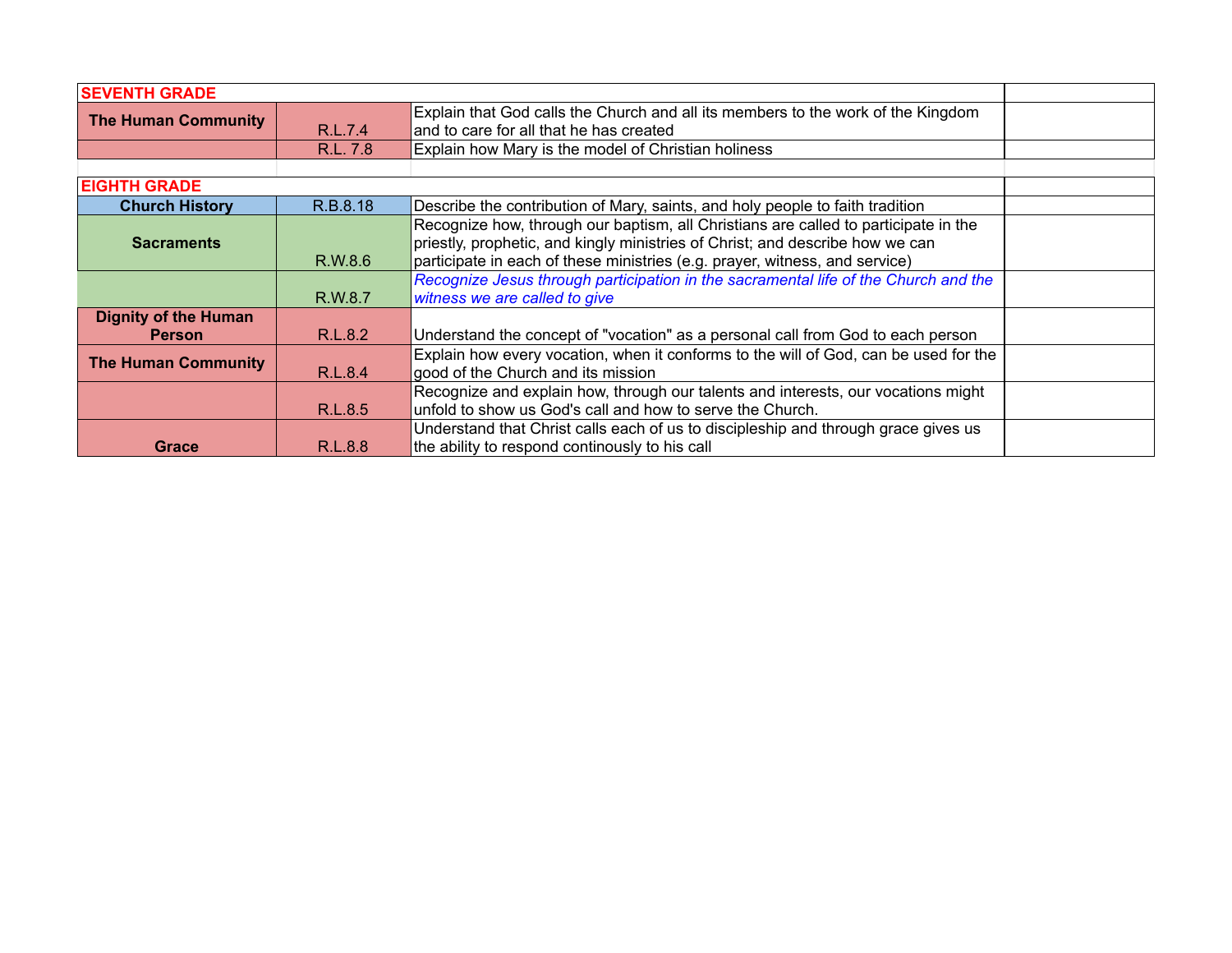| <b>SEVENTH GRADE</b>                         |          |                                                                                                                                                                                                                                                     |  |
|----------------------------------------------|----------|-----------------------------------------------------------------------------------------------------------------------------------------------------------------------------------------------------------------------------------------------------|--|
| <b>The Human Community</b>                   | R.L.7.4  | Explain that God calls the Church and all its members to the work of the Kingdom<br>and to care for all that he has created                                                                                                                         |  |
|                                              | R.L. 7.8 | Explain how Mary is the model of Christian holiness                                                                                                                                                                                                 |  |
|                                              |          |                                                                                                                                                                                                                                                     |  |
| <b>EIGHTH GRADE</b>                          |          |                                                                                                                                                                                                                                                     |  |
| <b>Church History</b>                        | R.B.8.18 | Describe the contribution of Mary, saints, and holy people to faith tradition                                                                                                                                                                       |  |
| <b>Sacraments</b>                            | R.W.8.6  | Recognize how, through our baptism, all Christians are called to participate in the<br>priestly, prophetic, and kingly ministries of Christ; and describe how we can<br>participate in each of these ministries (e.g. prayer, witness, and service) |  |
|                                              | R.W.8.7  | Recognize Jesus through participation in the sacramental life of the Church and the<br>witness we are called to give                                                                                                                                |  |
| <b>Dignity of the Human</b><br><b>Person</b> | R.L.8.2  | Understand the concept of "vocation" as a personal call from God to each person                                                                                                                                                                     |  |
| <b>The Human Community</b>                   | R.L.8.4  | Explain how every vocation, when it conforms to the will of God, can be used for the<br>good of the Church and its mission                                                                                                                          |  |
|                                              | R.L.8.5  | Recognize and explain how, through our talents and interests, our vocations might<br>unfold to show us God's call and how to serve the Church.                                                                                                      |  |
| <b>Grace</b>                                 | R.L.8.8  | Understand that Christ calls each of us to discipleship and through grace gives us<br>the ability to respond continously to his call                                                                                                                |  |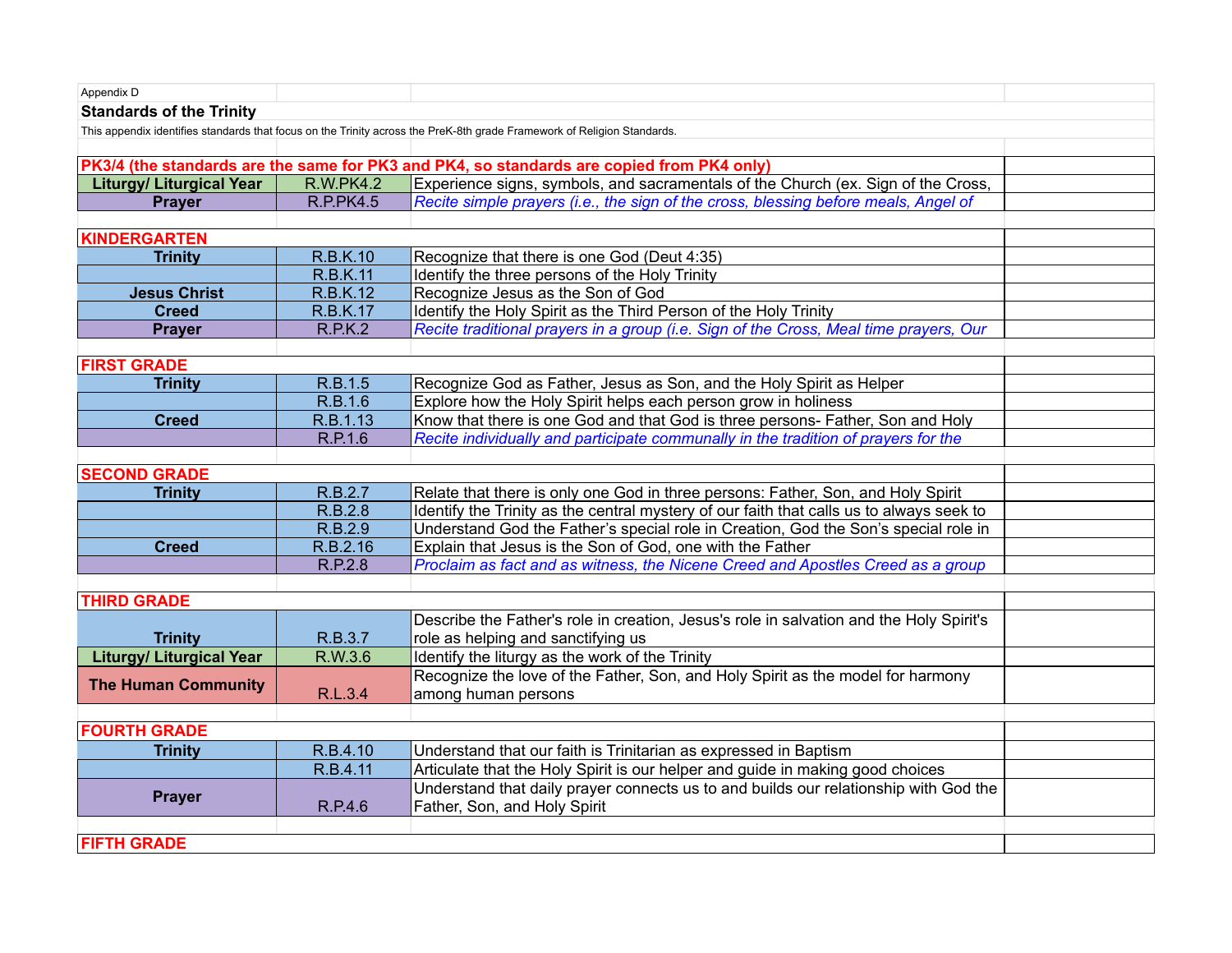| Appendix D                      |                  |                                                                                                                         |  |
|---------------------------------|------------------|-------------------------------------------------------------------------------------------------------------------------|--|
| <b>Standards of the Trinity</b> |                  |                                                                                                                         |  |
|                                 |                  | This appendix identifies standards that focus on the Trinity across the PreK-8th grade Framework of Religion Standards. |  |
|                                 |                  |                                                                                                                         |  |
|                                 |                  | PK3/4 (the standards are the same for PK3 and PK4, so standards are copied from PK4 only)                               |  |
| <b>Liturgy/ Liturgical Year</b> | R.W.PK4.2        | Experience signs, symbols, and sacramentals of the Church (ex. Sign of the Cross,                                       |  |
| <b>Prayer</b>                   | <b>R.P.PK4.5</b> | Recite simple prayers (i.e., the sign of the cross, blessing before meals, Angel of                                     |  |
|                                 |                  |                                                                                                                         |  |
| <b>KINDERGARTEN</b>             |                  |                                                                                                                         |  |
| <b>Trinity</b>                  | R.B.K.10         | Recognize that there is one God (Deut 4:35)                                                                             |  |
|                                 | <b>R.B.K.11</b>  | Identify the three persons of the Holy Trinity                                                                          |  |
| <b>Jesus Christ</b>             | <b>R.B.K.12</b>  | Recognize Jesus as the Son of God                                                                                       |  |
| <b>Creed</b>                    | <b>R.B.K.17</b>  | Identify the Holy Spirit as the Third Person of the Holy Trinity                                                        |  |
| <b>Prayer</b>                   | <b>R.P.K.2</b>   | Recite traditional prayers in a group (i.e. Sign of the Cross, Meal time prayers, Our                                   |  |
|                                 |                  |                                                                                                                         |  |
| <b>FIRST GRADE</b>              |                  |                                                                                                                         |  |
| <b>Trinity</b>                  | R.B.1.5          | Recognize God as Father, Jesus as Son, and the Holy Spirit as Helper                                                    |  |
|                                 | R.B.1.6          | Explore how the Holy Spirit helps each person grow in holiness                                                          |  |
| <b>Creed</b>                    | R.B.1.13         | Know that there is one God and that God is three persons- Father, Son and Holy                                          |  |
|                                 | R.P.1.6          | Recite individually and participate communally in the tradition of prayers for the                                      |  |
|                                 |                  |                                                                                                                         |  |
| <b>SECOND GRADE</b>             |                  |                                                                                                                         |  |
| <b>Trinity</b>                  | R.B.2.7          | Relate that there is only one God in three persons: Father, Son, and Holy Spirit                                        |  |
|                                 | R.B.2.8          | Identify the Trinity as the central mystery of our faith that calls us to always seek to                                |  |
|                                 | R.B.2.9          | Understand God the Father's special role in Creation, God the Son's special role in                                     |  |
| <b>Creed</b>                    | R.B.2.16         | Explain that Jesus is the Son of God, one with the Father                                                               |  |
|                                 | R.P.2.8          | Proclaim as fact and as witness, the Nicene Creed and Apostles Creed as a group                                         |  |
|                                 |                  |                                                                                                                         |  |
| <b>THIRD GRADE</b>              |                  |                                                                                                                         |  |
|                                 |                  | Describe the Father's role in creation, Jesus's role in salvation and the Holy Spirit's                                 |  |
| <b>Trinity</b>                  | R.B.3.7          | role as helping and sanctifying us                                                                                      |  |
| <b>Liturgy/ Liturgical Year</b> | R.W.3.6          | Identify the liturgy as the work of the Trinity                                                                         |  |
| <b>The Human Community</b>      |                  | Recognize the love of the Father, Son, and Holy Spirit as the model for harmony                                         |  |
|                                 | R.L.3.4          | among human persons                                                                                                     |  |
|                                 |                  |                                                                                                                         |  |
| <b>FOURTH GRADE</b>             |                  |                                                                                                                         |  |
| <b>Trinity</b>                  | R.B.4.10         | Understand that our faith is Trinitarian as expressed in Baptism                                                        |  |
|                                 | R.B.4.11         | Articulate that the Holy Spirit is our helper and guide in making good choices                                          |  |
|                                 |                  | Understand that daily prayer connects us to and builds our relationship with God the                                    |  |
| <b>Prayer</b>                   | R.P.4.6          | Father, Son, and Holy Spirit                                                                                            |  |
|                                 |                  |                                                                                                                         |  |
| <b>FIFTH GRADE</b>              |                  |                                                                                                                         |  |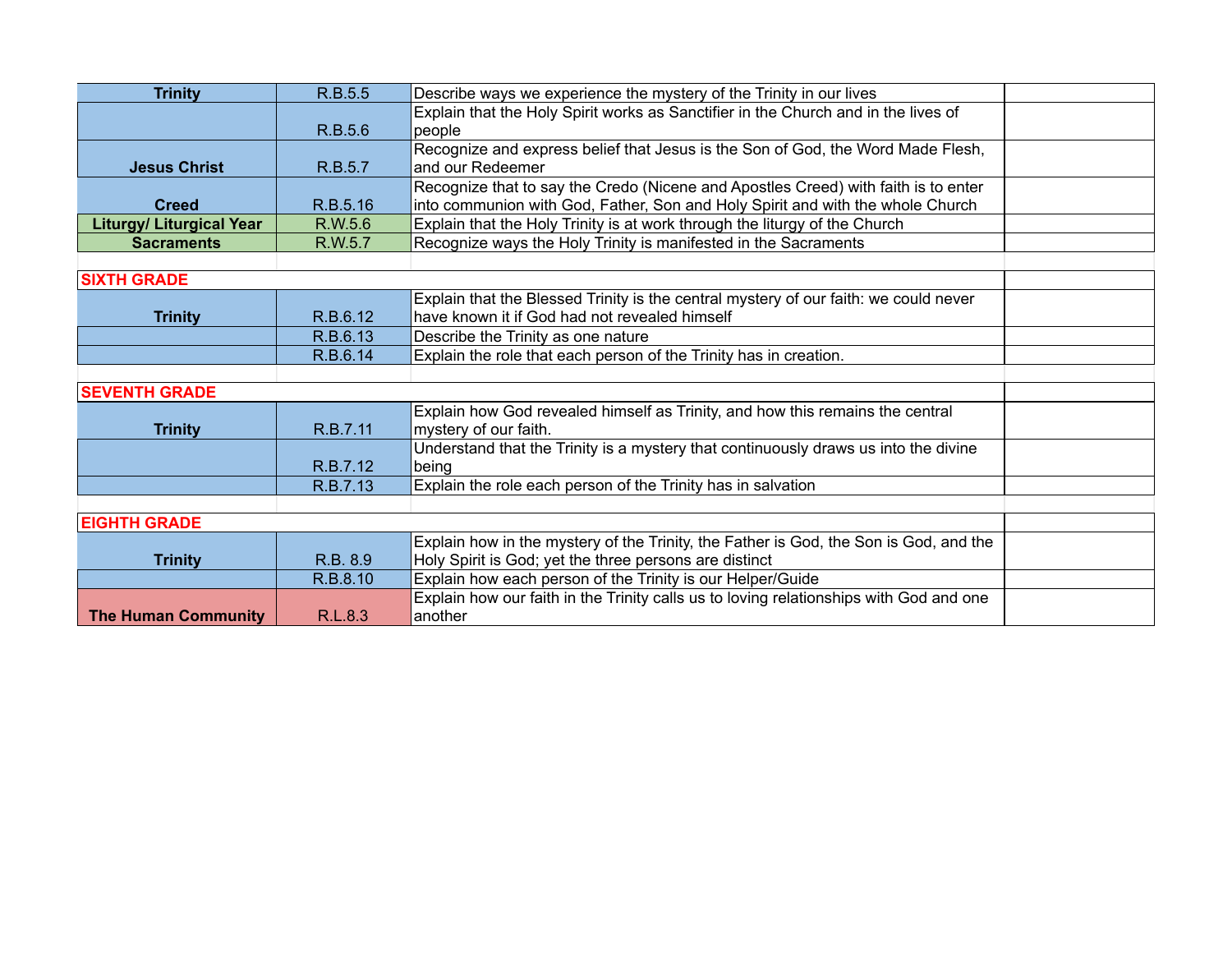| <b>Trinity</b>                  | R.B.5.5  | Describe ways we experience the mystery of the Trinity in our lives                    |  |
|---------------------------------|----------|----------------------------------------------------------------------------------------|--|
|                                 |          | Explain that the Holy Spirit works as Sanctifier in the Church and in the lives of     |  |
|                                 | R.B.5.6  | people                                                                                 |  |
|                                 |          | Recognize and express belief that Jesus is the Son of God, the Word Made Flesh,        |  |
| <b>Jesus Christ</b>             | R.B.5.7  | and our Redeemer                                                                       |  |
|                                 |          | Recognize that to say the Credo (Nicene and Apostles Creed) with faith is to enter     |  |
| <b>Creed</b>                    | R.B.5.16 | into communion with God, Father, Son and Holy Spirit and with the whole Church         |  |
| <b>Liturgy/ Liturgical Year</b> | R.W.5.6  | Explain that the Holy Trinity is at work through the liturgy of the Church             |  |
| <b>Sacraments</b>               | R.W.5.7  | Recognize ways the Holy Trinity is manifested in the Sacraments                        |  |
|                                 |          |                                                                                        |  |
| <b>SIXTH GRADE</b>              |          |                                                                                        |  |
|                                 |          | Explain that the Blessed Trinity is the central mystery of our faith: we could never   |  |
| <b>Trinity</b>                  | R.B.6.12 | have known it if God had not revealed himself                                          |  |
|                                 | R.B.6.13 | Describe the Trinity as one nature                                                     |  |
|                                 | R.B.6.14 | Explain the role that each person of the Trinity has in creation.                      |  |
|                                 |          |                                                                                        |  |
| <b>SEVENTH GRADE</b>            |          |                                                                                        |  |
|                                 |          | Explain how God revealed himself as Trinity, and how this remains the central          |  |
| <b>Trinity</b>                  | R.B.7.11 | mystery of our faith.                                                                  |  |
|                                 |          | Understand that the Trinity is a mystery that continuously draws us into the divine    |  |
|                                 | R.B.7.12 | being                                                                                  |  |
|                                 | R.B.7.13 | Explain the role each person of the Trinity has in salvation                           |  |
|                                 |          |                                                                                        |  |
| <b>EIGHTH GRADE</b>             |          |                                                                                        |  |
|                                 |          | Explain how in the mystery of the Trinity, the Father is God, the Son is God, and the  |  |
| <b>Trinity</b>                  | R.B. 8.9 | Holy Spirit is God; yet the three persons are distinct                                 |  |
|                                 | R.B.8.10 | Explain how each person of the Trinity is our Helper/Guide                             |  |
|                                 |          | Explain how our faith in the Trinity calls us to loving relationships with God and one |  |
| <b>The Human Community</b>      | R.L.8.3  | another                                                                                |  |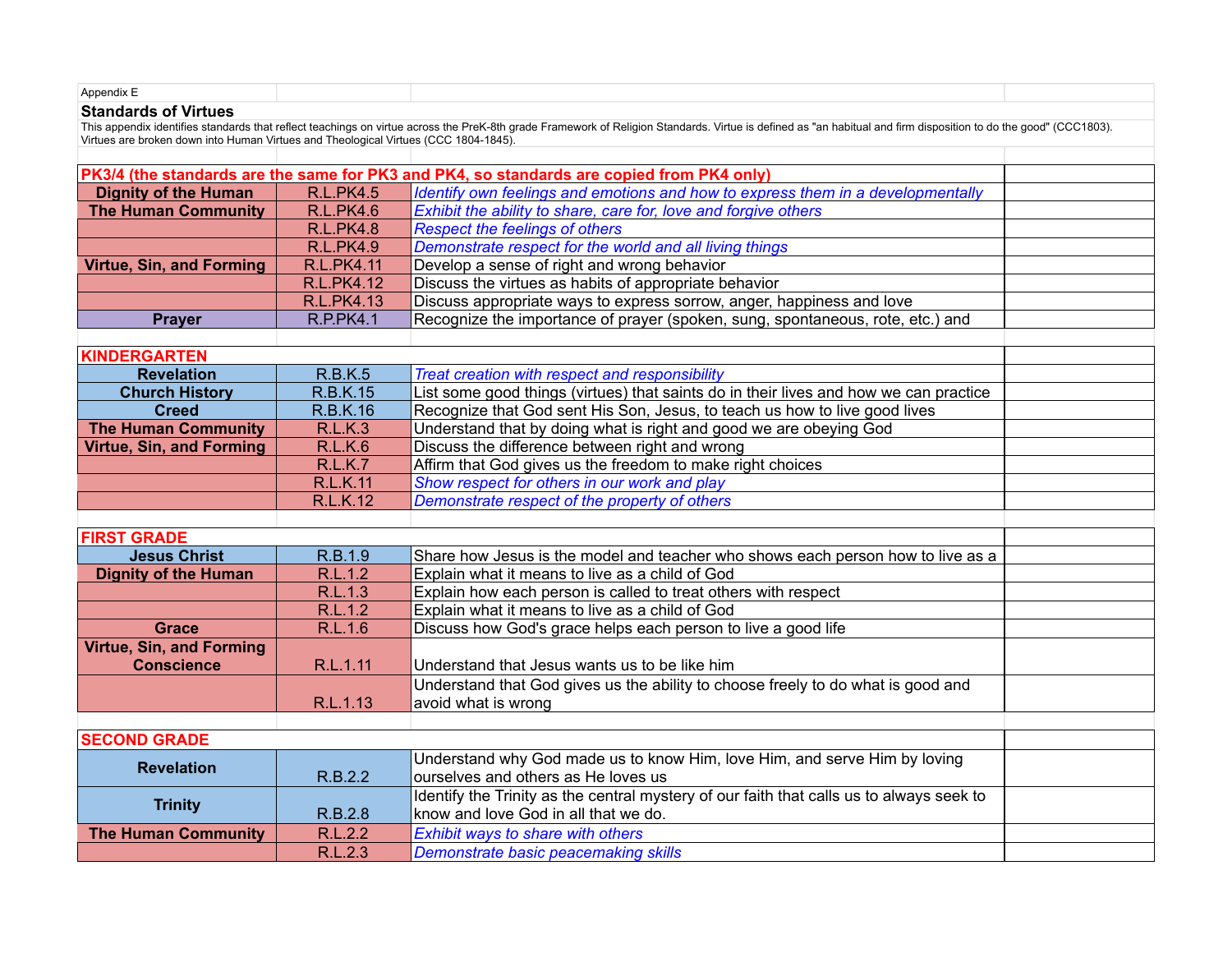| Appendix E                                                                          |                   |                                                                                                                                                                                                                  |  |
|-------------------------------------------------------------------------------------|-------------------|------------------------------------------------------------------------------------------------------------------------------------------------------------------------------------------------------------------|--|
| <b>Standards of Virtues</b>                                                         |                   |                                                                                                                                                                                                                  |  |
|                                                                                     |                   | This appendix identifies standards that reflect teachings on virtue across the PreK-8th grade Framework of Religion Standards. Virtue is defined as "an habitual and firm disposition to do the good" (CCC1803). |  |
| Virtues are broken down into Human Virtues and Theological Virtues (CCC 1804-1845). |                   |                                                                                                                                                                                                                  |  |
|                                                                                     |                   |                                                                                                                                                                                                                  |  |
|                                                                                     |                   | PK3/4 (the standards are the same for PK3 and PK4, so standards are copied from PK4 only)                                                                                                                        |  |
| <b>Dignity of the Human</b>                                                         | <b>R.L.PK4.5</b>  | Identify own feelings and emotions and how to express them in a developmentally                                                                                                                                  |  |
| <b>The Human Community</b>                                                          | <b>R.L.PK4.6</b>  | Exhibit the ability to share, care for, love and forgive others                                                                                                                                                  |  |
|                                                                                     | <b>R.L.PK4.8</b>  | <b>Respect the feelings of others</b>                                                                                                                                                                            |  |
|                                                                                     | <b>R.L.PK4.9</b>  | Demonstrate respect for the world and all living things                                                                                                                                                          |  |
| Virtue, Sin, and Forming                                                            | <b>R.L.PK4.11</b> | Develop a sense of right and wrong behavior                                                                                                                                                                      |  |
|                                                                                     | R.L.PK4.12        | Discuss the virtues as habits of appropriate behavior                                                                                                                                                            |  |
|                                                                                     | R.L.PK4.13        | Discuss appropriate ways to express sorrow, anger, happiness and love                                                                                                                                            |  |
| <b>Prayer</b>                                                                       | <b>R.P.PK4.1</b>  | Recognize the importance of prayer (spoken, sung, spontaneous, rote, etc.) and                                                                                                                                   |  |
|                                                                                     |                   |                                                                                                                                                                                                                  |  |
| <b>KINDERGARTEN</b>                                                                 |                   |                                                                                                                                                                                                                  |  |
| <b>Revelation</b>                                                                   | R.B.K.5           | Treat creation with respect and responsibility                                                                                                                                                                   |  |
| <b>Church History</b>                                                               | <b>R.B.K.15</b>   | List some good things (virtues) that saints do in their lives and how we can practice                                                                                                                            |  |
| <b>Creed</b>                                                                        | R.B.K.16          | Recognize that God sent His Son, Jesus, to teach us how to live good lives                                                                                                                                       |  |
| <b>The Human Community</b>                                                          | <b>R.L.K.3</b>    | Understand that by doing what is right and good we are obeying God                                                                                                                                               |  |
| <b>Virtue, Sin, and Forming</b>                                                     | R.L.K.6           | Discuss the difference between right and wrong                                                                                                                                                                   |  |
|                                                                                     | <b>R.L.K.7</b>    | Affirm that God gives us the freedom to make right choices                                                                                                                                                       |  |
|                                                                                     | <b>R.L.K.11</b>   | Show respect for others in our work and play                                                                                                                                                                     |  |
|                                                                                     | <b>R.L.K.12</b>   | Demonstrate respect of the property of others                                                                                                                                                                    |  |
|                                                                                     |                   |                                                                                                                                                                                                                  |  |
| <b>FIRST GRADE</b>                                                                  |                   |                                                                                                                                                                                                                  |  |
| <b>Jesus Christ</b>                                                                 | R.B.1.9           | Share how Jesus is the model and teacher who shows each person how to live as a                                                                                                                                  |  |
| <b>Dignity of the Human</b>                                                         | R.L.1.2           | Explain what it means to live as a child of God                                                                                                                                                                  |  |
|                                                                                     | R.L.1.3           | Explain how each person is called to treat others with respect                                                                                                                                                   |  |
|                                                                                     | R.L.1.2           | Explain what it means to live as a child of God                                                                                                                                                                  |  |
| <b>Grace</b>                                                                        | R.L.1.6           | Discuss how God's grace helps each person to live a good life                                                                                                                                                    |  |
| <b>Virtue, Sin, and Forming</b>                                                     |                   |                                                                                                                                                                                                                  |  |
| <b>Conscience</b>                                                                   | R.L.1.11          | Understand that Jesus wants us to be like him                                                                                                                                                                    |  |
|                                                                                     |                   | Understand that God gives us the ability to choose freely to do what is good and                                                                                                                                 |  |
|                                                                                     | R.L.1.13          | avoid what is wrong                                                                                                                                                                                              |  |
|                                                                                     |                   |                                                                                                                                                                                                                  |  |
| <b>SECOND GRADE</b>                                                                 |                   |                                                                                                                                                                                                                  |  |
|                                                                                     |                   | Understand why God made us to know Him, love Him, and serve Him by loving                                                                                                                                        |  |
| <b>Revelation</b>                                                                   | R.B.2.2           | ourselves and others as He loves us                                                                                                                                                                              |  |
|                                                                                     |                   | Identify the Trinity as the central mystery of our faith that calls us to always seek to                                                                                                                         |  |
| <b>Trinity</b>                                                                      | R.B.2.8           | know and love God in all that we do.                                                                                                                                                                             |  |
| <b>The Human Community</b>                                                          | R.L.2.2           | Exhibit ways to share with others                                                                                                                                                                                |  |
|                                                                                     | R.L.2.3           | Demonstrate basic peacemaking skills                                                                                                                                                                             |  |
|                                                                                     |                   |                                                                                                                                                                                                                  |  |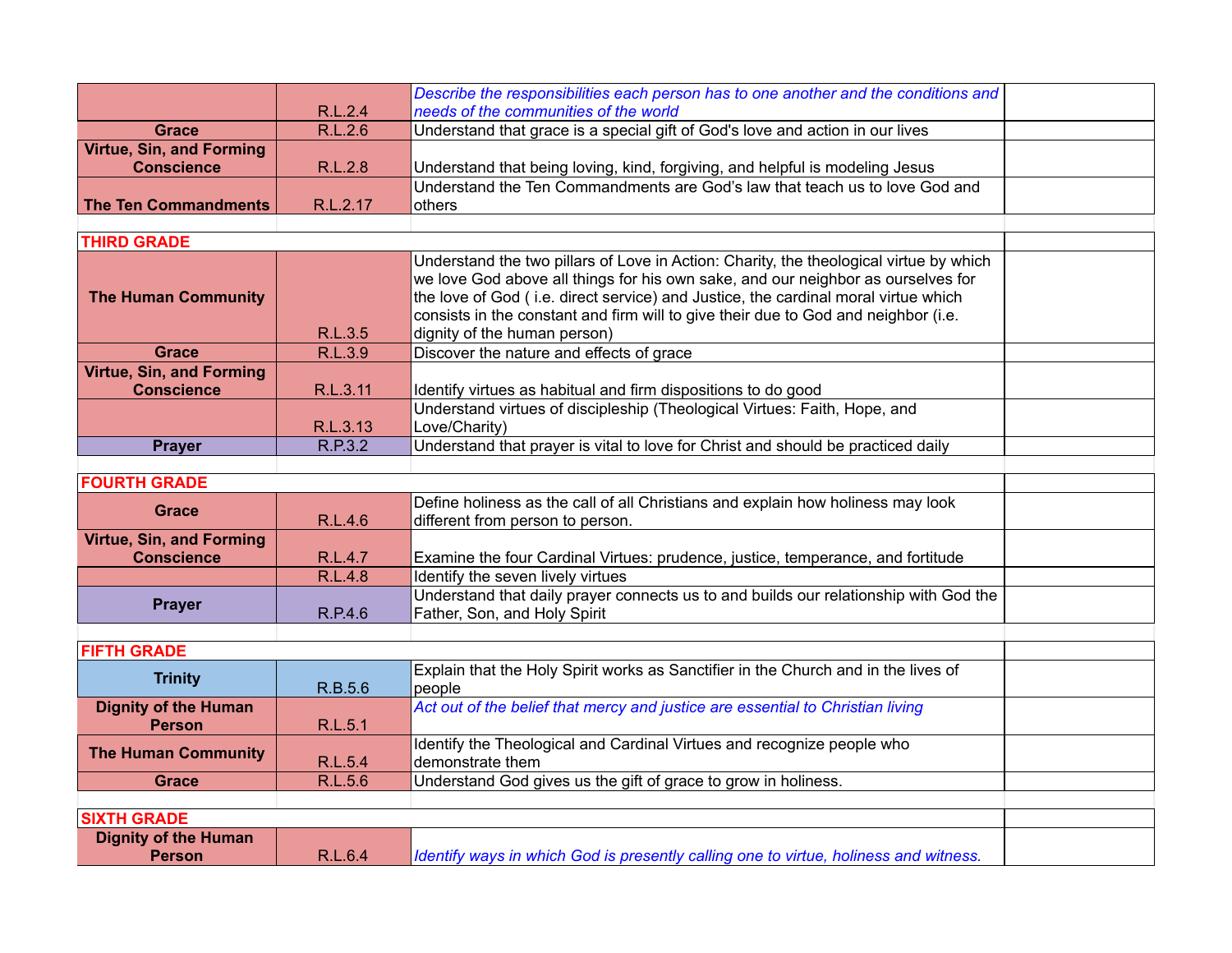|                                 |          | Describe the responsibilities each person has to one another and the conditions and    |  |
|---------------------------------|----------|----------------------------------------------------------------------------------------|--|
|                                 | R.L.2.4  | needs of the communities of the world                                                  |  |
| <b>Grace</b>                    | R.L.2.6  | Understand that grace is a special gift of God's love and action in our lives          |  |
| <b>Virtue, Sin, and Forming</b> |          |                                                                                        |  |
| <b>Conscience</b>               | R.L.2.8  | Understand that being loving, kind, forgiving, and helpful is modeling Jesus           |  |
|                                 |          | Understand the Ten Commandments are God's law that teach us to love God and            |  |
| <b>The Ten Commandments</b>     | R.L.2.17 | others                                                                                 |  |
|                                 |          |                                                                                        |  |
| <b>THIRD GRADE</b>              |          |                                                                                        |  |
|                                 |          | Understand the two pillars of Love in Action: Charity, the theological virtue by which |  |
|                                 |          | we love God above all things for his own sake, and our neighbor as ourselves for       |  |
| <b>The Human Community</b>      |          | the love of God (i.e. direct service) and Justice, the cardinal moral virtue which     |  |
|                                 |          | consists in the constant and firm will to give their due to God and neighbor (i.e.     |  |
|                                 | R.L.3.5  | dignity of the human person)                                                           |  |
| Grace                           | R.L.3.9  | Discover the nature and effects of grace                                               |  |
| <b>Virtue, Sin, and Forming</b> |          |                                                                                        |  |
| <b>Conscience</b>               | R.L.3.11 | Identify virtues as habitual and firm dispositions to do good                          |  |
|                                 |          | Understand virtues of discipleship (Theological Virtues: Faith, Hope, and              |  |
|                                 | R.L.3.13 | Love/Charity)                                                                          |  |
| <b>Prayer</b>                   | R.P.3.2  | Understand that prayer is vital to love for Christ and should be practiced daily       |  |
|                                 |          |                                                                                        |  |
| <b>FOURTH GRADE</b>             |          |                                                                                        |  |
| <b>Grace</b>                    |          | Define holiness as the call of all Christians and explain how holiness may look        |  |
|                                 | R.L.4.6  | different from person to person.                                                       |  |
| <b>Virtue, Sin, and Forming</b> |          |                                                                                        |  |
| <b>Conscience</b>               | R.L.4.7  | Examine the four Cardinal Virtues: prudence, justice, temperance, and fortitude        |  |
|                                 | R.L.4.8  | Identify the seven lively virtues                                                      |  |
| <b>Prayer</b>                   |          | Understand that daily prayer connects us to and builds our relationship with God the   |  |
|                                 | R.P.4.6  | Father, Son, and Holy Spirit                                                           |  |
|                                 |          |                                                                                        |  |
| <b>FIFTH GRADE</b>              |          |                                                                                        |  |
| <b>Trinity</b>                  |          | Explain that the Holy Spirit works as Sanctifier in the Church and in the lives of     |  |
|                                 | R.B.5.6  | people                                                                                 |  |
| <b>Dignity of the Human</b>     |          | Act out of the belief that mercy and justice are essential to Christian living         |  |
| <b>Person</b>                   | R.L.5.1  |                                                                                        |  |
| <b>The Human Community</b>      |          | Identify the Theological and Cardinal Virtues and recognize people who                 |  |
|                                 | R.L.5.4  | demonstrate them                                                                       |  |
| <b>Grace</b>                    | R.L.5.6  | Understand God gives us the gift of grace to grow in holiness.                         |  |
|                                 |          |                                                                                        |  |
| <b>SIXTH GRADE</b>              |          |                                                                                        |  |
| <b>Dignity of the Human</b>     |          |                                                                                        |  |
| <b>Person</b>                   | R.L.6.4  | Identify ways in which God is presently calling one to virtue, holiness and witness.   |  |